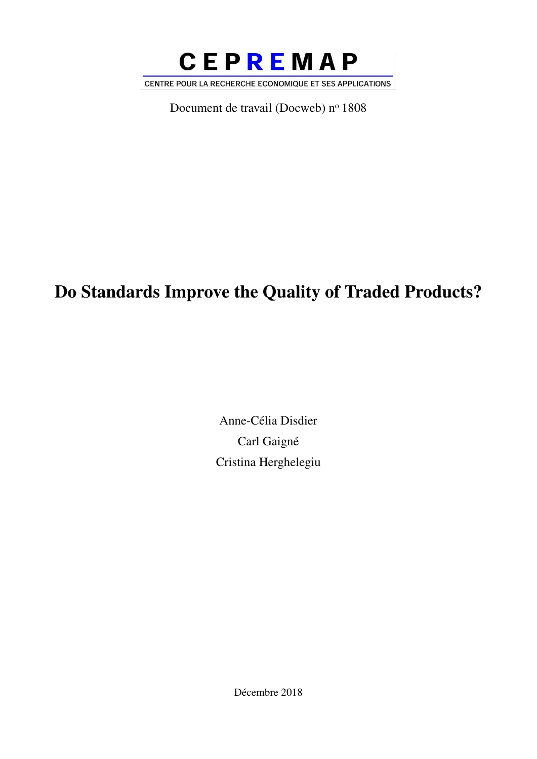

Document de travail (Docweb) nº 1808

# Do Standards Improve the Quality of Traded Products?

Anne-Célia Disdier Carl Gaigné Cristina Herghelegiu

Décembre 2018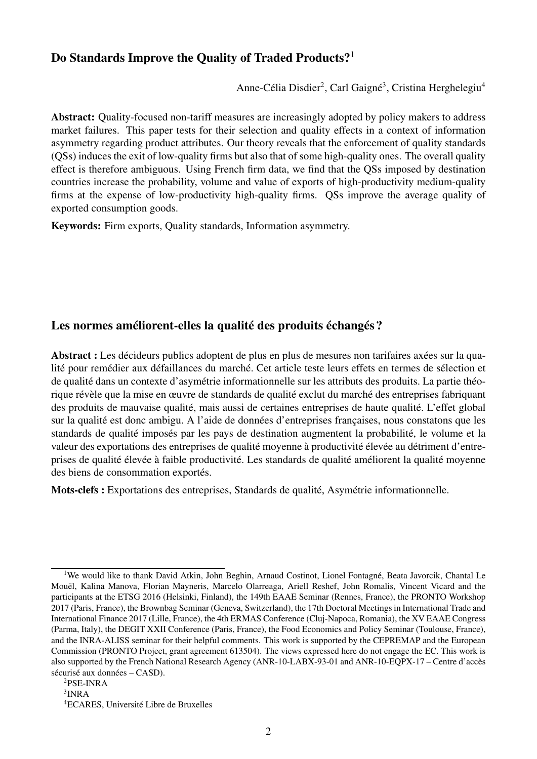### Do Standards Improve the Quality of Traded Products?<sup>1</sup>

Anne-Célia Disdier<sup>2</sup>, Carl Gaigné<sup>3</sup>, Cristina Herghelegiu<sup>4</sup>

Abstract: Quality-focused non-tariff measures are increasingly adopted by policy makers to address market failures. This paper tests for their selection and quality effects in a context of information asymmetry regarding product attributes. Our theory reveals that the enforcement of quality standards (QSs) induces the exit of low-quality firms but also that of some high-quality ones. The overall quality effect is therefore ambiguous. Using French firm data, we find that the QSs imposed by destination countries increase the probability, volume and value of exports of high-productivity medium-quality firms at the expense of low-productivity high-quality firms. QSs improve the average quality of exported consumption goods.

Keywords: Firm exports, Quality standards, Information asymmetry.

#### Les normes améliorent-elles la qualité des produits échangés ?

Abstract : Les décideurs publics adoptent de plus en plus de mesures non tarifaires axées sur la qualité pour remédier aux défaillances du marché. Cet article teste leurs effets en termes de sélection et de qualité dans un contexte d'asymétrie informationnelle sur les attributs des produits. La partie théorique révèle que la mise en œuvre de standards de qualité exclut du marché des entreprises fabriquant des produits de mauvaise qualité, mais aussi de certaines entreprises de haute qualité. L'effet global sur la qualité est donc ambigu. A l'aide de données d'entreprises françaises, nous constatons que les standards de qualité imposés par les pays de destination augmentent la probabilité, le volume et la valeur des exportations des entreprises de qualité moyenne à productivité élevée au détriment d'entreprises de qualité élevée à faible productivité. Les standards de qualité améliorent la qualité moyenne des biens de consommation exportés.

Mots-clefs : Exportations des entreprises, Standards de qualité, Asymétrie informationnelle.

<sup>&</sup>lt;sup>1</sup>We would like to thank David Atkin, John Beghin, Arnaud Costinot, Lionel Fontagné, Beata Javorcik, Chantal Le Mouël, Kalina Manova, Florian Mayneris, Marcelo Olarreaga, Ariell Reshef, John Romalis, Vincent Vicard and the participants at the ETSG 2016 (Helsinki, Finland), the 149th EAAE Seminar (Rennes, France), the PRONTO Workshop 2017 (Paris, France), the Brownbag Seminar (Geneva, Switzerland), the 17th Doctoral Meetings in International Trade and International Finance 2017 (Lille, France), the 4th ERMAS Conference (Cluj-Napoca, Romania), the XV EAAE Congress (Parma, Italy), the DEGIT XXII Conference (Paris, France), the Food Economics and Policy Seminar (Toulouse, France), and the INRA-ALISS seminar for their helpful comments. This work is supported by the CEPREMAP and the European Commission (PRONTO Project, grant agreement 613504). The views expressed here do not engage the EC. This work is also supported by the French National Research Agency (ANR-10-LABX-93-01 and ANR-10-EQPX-17 – Centre d'accès sécurisé aux données – CASD).

<sup>2</sup>PSE-INRA

 $3$ INRA

<sup>4</sup>ECARES, Université Libre de Bruxelles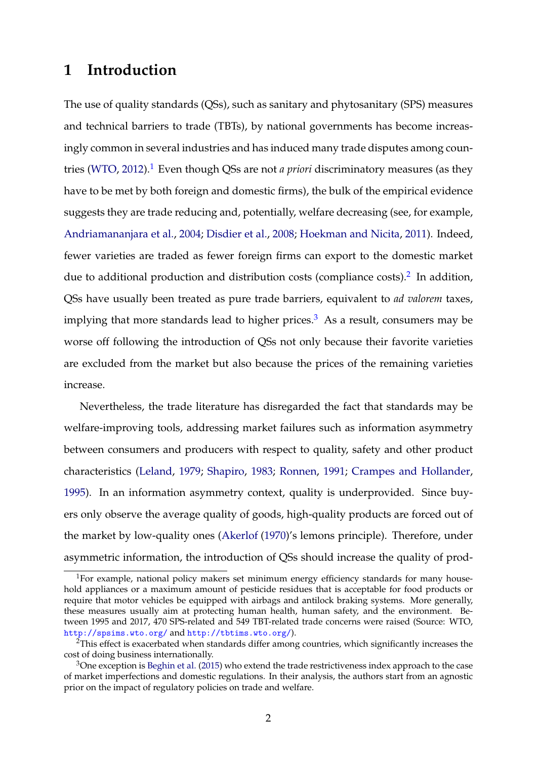### **1 Introduction**

The use of quality standards (QSs), such as sanitary and phytosanitary (SPS) measures and technical barriers to trade (TBTs), by national governments has become increasingly common in several industries and has induced many trade disputes among countries (WTO, 2012).<sup>1</sup> Even though QSs are not *a priori* discriminatory measures (as they have to be met by both foreign and domestic firms), the bulk of the empirical evidence suggests they are trade reducing and, potentially, welfare decreasing (see, for example, Andriamananjara et al., 2004; Disdier et al., 2008; Hoekman and Nicita, 2011). Indeed, fewer varieties are traded as fewer foreign firms can export to the domestic market due to additional production and distribution costs (compliance costs). $^2$  In addition, QSs have usually been treated as pure trade barriers, equivalent to *ad valorem* taxes, implying that more standards lead to higher prices.<sup>3</sup> As a result, consumers may be worse off following the introduction of QSs not only because their favorite varieties are excluded from the market but also because the prices of the remaining varieties increase.

Nevertheless, the trade literature has disregarded the fact that standards may be welfare-improving tools, addressing market failures such as information asymmetry between consumers and producers with respect to quality, safety and other product characteristics (Leland, 1979; Shapiro, 1983; Ronnen, 1991; Crampes and Hollander, 1995). In an information asymmetry context, quality is underprovided. Since buyers only observe the average quality of goods, high-quality products are forced out of the market by low-quality ones (Akerlof (1970)'s lemons principle). Therefore, under asymmetric information, the introduction of QSs should increase the quality of prod-

<sup>&</sup>lt;sup>1</sup>For example, national policy makers set minimum energy efficiency standards for many household appliances or a maximum amount of pesticide residues that is acceptable for food products or require that motor vehicles be equipped with airbags and antilock braking systems. More generally, these measures usually aim at protecting human health, human safety, and the environment. Between 1995 and 2017, 470 SPS-related and 549 TBT-related trade concerns were raised (Source: WTO, <http://spsims.wto.org/> and <http://tbtims.wto.org/>).

 ${}^{2}$ This effect is exacerbated when standards differ among countries, which significantly increases the cost of doing business internationally.

 $3$ One exception is Beghin et al. (2015) who extend the trade restrictiveness index approach to the case of market imperfections and domestic regulations. In their analysis, the authors start from an agnostic prior on the impact of regulatory policies on trade and welfare.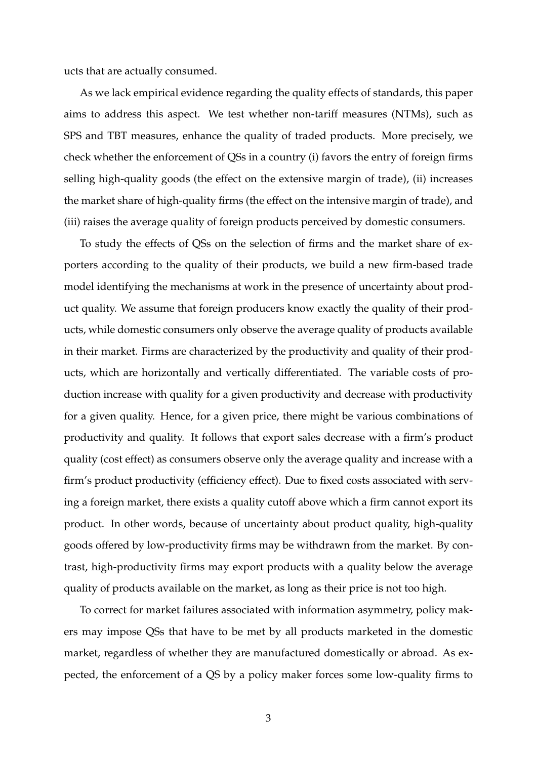ucts that are actually consumed.

As we lack empirical evidence regarding the quality effects of standards, this paper aims to address this aspect. We test whether non-tariff measures (NTMs), such as SPS and TBT measures, enhance the quality of traded products. More precisely, we check whether the enforcement of QSs in a country (i) favors the entry of foreign firms selling high-quality goods (the effect on the extensive margin of trade), (ii) increases the market share of high-quality firms (the effect on the intensive margin of trade), and (iii) raises the average quality of foreign products perceived by domestic consumers.

To study the effects of QSs on the selection of firms and the market share of exporters according to the quality of their products, we build a new firm-based trade model identifying the mechanisms at work in the presence of uncertainty about product quality. We assume that foreign producers know exactly the quality of their products, while domestic consumers only observe the average quality of products available in their market. Firms are characterized by the productivity and quality of their products, which are horizontally and vertically differentiated. The variable costs of production increase with quality for a given productivity and decrease with productivity for a given quality. Hence, for a given price, there might be various combinations of productivity and quality. It follows that export sales decrease with a firm's product quality (cost effect) as consumers observe only the average quality and increase with a firm's product productivity (efficiency effect). Due to fixed costs associated with serving a foreign market, there exists a quality cutoff above which a firm cannot export its product. In other words, because of uncertainty about product quality, high-quality goods offered by low-productivity firms may be withdrawn from the market. By contrast, high-productivity firms may export products with a quality below the average quality of products available on the market, as long as their price is not too high.

To correct for market failures associated with information asymmetry, policy makers may impose QSs that have to be met by all products marketed in the domestic market, regardless of whether they are manufactured domestically or abroad. As expected, the enforcement of a QS by a policy maker forces some low-quality firms to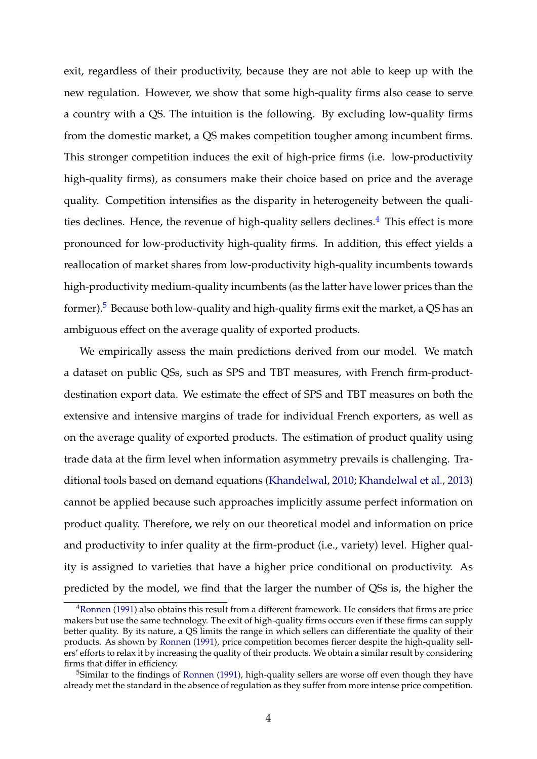exit, regardless of their productivity, because they are not able to keep up with the new regulation. However, we show that some high-quality firms also cease to serve a country with a QS. The intuition is the following. By excluding low-quality firms from the domestic market, a QS makes competition tougher among incumbent firms. This stronger competition induces the exit of high-price firms (i.e. low-productivity high-quality firms), as consumers make their choice based on price and the average quality. Competition intensifies as the disparity in heterogeneity between the qualities declines. Hence, the revenue of high-quality sellers declines.<sup>4</sup> This effect is more pronounced for low-productivity high-quality firms. In addition, this effect yields a reallocation of market shares from low-productivity high-quality incumbents towards high-productivity medium-quality incumbents (as the latter have lower prices than the former).<sup>5</sup> Because both low-quality and high-quality firms exit the market, a QS has an ambiguous effect on the average quality of exported products.

We empirically assess the main predictions derived from our model. We match a dataset on public QSs, such as SPS and TBT measures, with French firm-productdestination export data. We estimate the effect of SPS and TBT measures on both the extensive and intensive margins of trade for individual French exporters, as well as on the average quality of exported products. The estimation of product quality using trade data at the firm level when information asymmetry prevails is challenging. Traditional tools based on demand equations (Khandelwal, 2010; Khandelwal et al., 2013) cannot be applied because such approaches implicitly assume perfect information on product quality. Therefore, we rely on our theoretical model and information on price and productivity to infer quality at the firm-product (i.e., variety) level. Higher quality is assigned to varieties that have a higher price conditional on productivity. As predicted by the model, we find that the larger the number of QSs is, the higher the

<sup>4</sup>Ronnen (1991) also obtains this result from a different framework. He considers that firms are price makers but use the same technology. The exit of high-quality firms occurs even if these firms can supply better quality. By its nature, a QS limits the range in which sellers can differentiate the quality of their products. As shown by Ronnen (1991), price competition becomes fiercer despite the high-quality sellers' efforts to relax it by increasing the quality of their products. We obtain a similar result by considering firms that differ in efficiency.

<sup>&</sup>lt;sup>5</sup>Similar to the findings of Ronnen (1991), high-quality sellers are worse off even though they have already met the standard in the absence of regulation as they suffer from more intense price competition.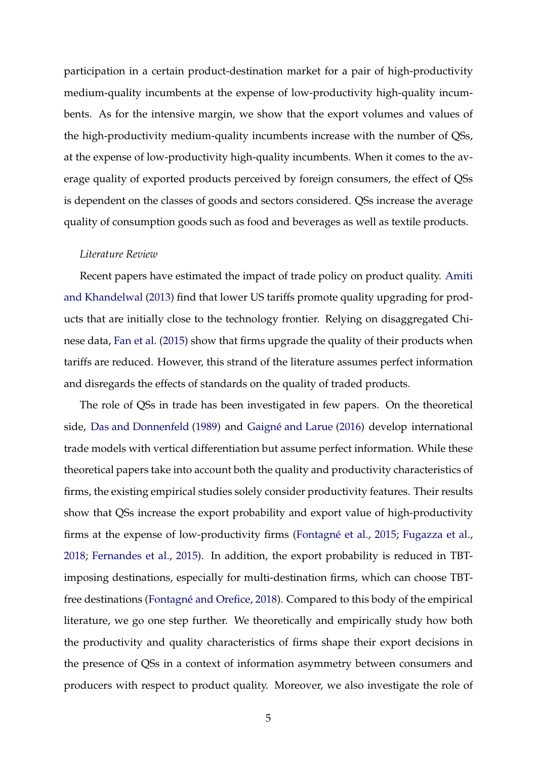participation in a certain product-destination market for a pair of high-productivity medium-quality incumbents at the expense of low-productivity high-quality incumbents. As for the intensive margin, we show that the export volumes and values of the high-productivity medium-quality incumbents increase with the number of QSs, at the expense of low-productivity high-quality incumbents. When it comes to the average quality of exported products perceived by foreign consumers, the effect of QSs is dependent on the classes of goods and sectors considered. QSs increase the average quality of consumption goods such as food and beverages as well as textile products.

#### *Literature Review*

Recent papers have estimated the impact of trade policy on product quality. Amiti and Khandelwal (2013) find that lower US tariffs promote quality upgrading for products that are initially close to the technology frontier. Relying on disaggregated Chinese data, Fan et al. (2015) show that firms upgrade the quality of their products when tariffs are reduced. However, this strand of the literature assumes perfect information and disregards the effects of standards on the quality of traded products.

The role of QSs in trade has been investigated in few papers. On the theoretical side, Das and Donnenfeld (1989) and Gaigné and Larue (2016) develop international trade models with vertical differentiation but assume perfect information. While these theoretical papers take into account both the quality and productivity characteristics of firms, the existing empirical studies solely consider productivity features. Their results show that QSs increase the export probability and export value of high-productivity firms at the expense of low-productivity firms (Fontagné et al., 2015; Fugazza et al., 2018; Fernandes et al., 2015). In addition, the export probability is reduced in TBTimposing destinations, especially for multi-destination firms, which can choose TBTfree destinations (Fontagné and Orefice, 2018). Compared to this body of the empirical literature, we go one step further. We theoretically and empirically study how both the productivity and quality characteristics of firms shape their export decisions in the presence of QSs in a context of information asymmetry between consumers and producers with respect to product quality. Moreover, we also investigate the role of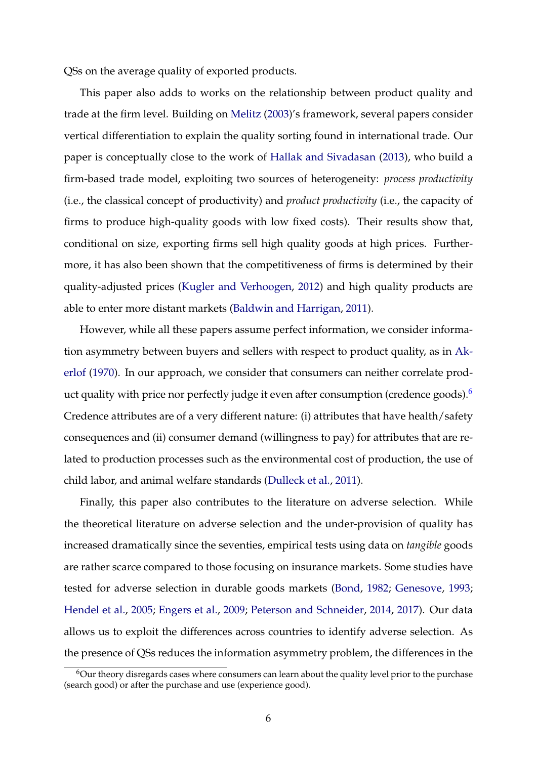QSs on the average quality of exported products.

This paper also adds to works on the relationship between product quality and trade at the firm level. Building on Melitz (2003)'s framework, several papers consider vertical differentiation to explain the quality sorting found in international trade. Our paper is conceptually close to the work of Hallak and Sivadasan (2013), who build a firm-based trade model, exploiting two sources of heterogeneity: *process productivity* (i.e., the classical concept of productivity) and *product productivity* (i.e., the capacity of firms to produce high-quality goods with low fixed costs). Their results show that, conditional on size, exporting firms sell high quality goods at high prices. Furthermore, it has also been shown that the competitiveness of firms is determined by their quality-adjusted prices (Kugler and Verhoogen, 2012) and high quality products are able to enter more distant markets (Baldwin and Harrigan, 2011).

However, while all these papers assume perfect information, we consider information asymmetry between buyers and sellers with respect to product quality, as in Akerlof (1970). In our approach, we consider that consumers can neither correlate product quality with price nor perfectly judge it even after consumption (credence goods). $6$ Credence attributes are of a very different nature: (i) attributes that have health/safety consequences and (ii) consumer demand (willingness to pay) for attributes that are related to production processes such as the environmental cost of production, the use of child labor, and animal welfare standards (Dulleck et al., 2011).

Finally, this paper also contributes to the literature on adverse selection. While the theoretical literature on adverse selection and the under-provision of quality has increased dramatically since the seventies, empirical tests using data on *tangible* goods are rather scarce compared to those focusing on insurance markets. Some studies have tested for adverse selection in durable goods markets (Bond, 1982; Genesove, 1993; Hendel et al., 2005; Engers et al., 2009; Peterson and Schneider, 2014, 2017). Our data allows us to exploit the differences across countries to identify adverse selection. As the presence of QSs reduces the information asymmetry problem, the differences in the

 $6$ Our theory disregards cases where consumers can learn about the quality level prior to the purchase (search good) or after the purchase and use (experience good).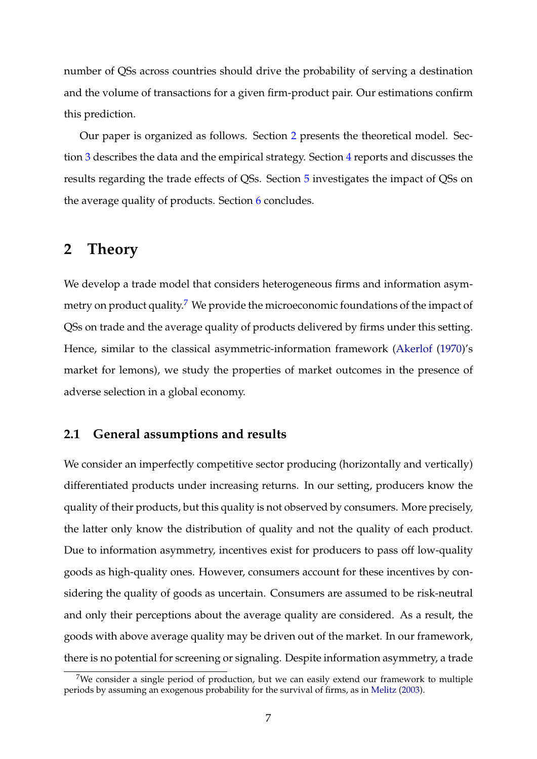number of QSs across countries should drive the probability of serving a destination and the volume of transactions for a given firm-product pair. Our estimations confirm this prediction.

Our paper is organized as follows. Section 2 presents the theoretical model. Section 3 describes the data and the empirical strategy. Section 4 reports and discusses the results regarding the trade effects of QSs. Section 5 investigates the impact of QSs on the average quality of products. Section 6 concludes.

### **2 Theory**

We develop a trade model that considers heterogeneous firms and information asymmetry on product quality.<sup>7</sup> We provide the microeconomic foundations of the impact of QSs on trade and the average quality of products delivered by firms under this setting. Hence, similar to the classical asymmetric-information framework (Akerlof (1970)'s market for lemons), we study the properties of market outcomes in the presence of adverse selection in a global economy.

#### **2.1 General assumptions and results**

We consider an imperfectly competitive sector producing (horizontally and vertically) differentiated products under increasing returns. In our setting, producers know the quality of their products, but this quality is not observed by consumers. More precisely, the latter only know the distribution of quality and not the quality of each product. Due to information asymmetry, incentives exist for producers to pass off low-quality goods as high-quality ones. However, consumers account for these incentives by considering the quality of goods as uncertain. Consumers are assumed to be risk-neutral and only their perceptions about the average quality are considered. As a result, the goods with above average quality may be driven out of the market. In our framework, there is no potential for screening or signaling. Despite information asymmetry, a trade

<sup>&</sup>lt;sup>7</sup>We consider a single period of production, but we can easily extend our framework to multiple periods by assuming an exogenous probability for the survival of firms, as in Melitz (2003).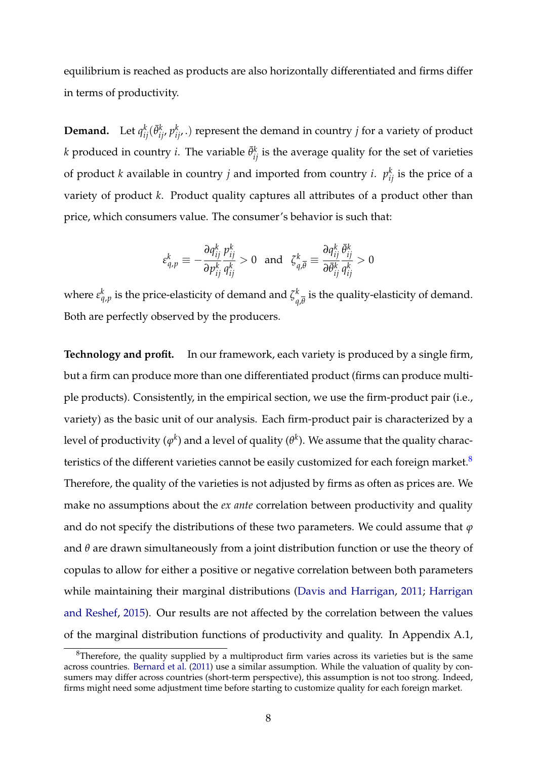equilibrium is reached as products are also horizontally differentiated and firms differ in terms of productivity.

**Demand.** Let  $q_{ij}^k(\bar{\theta}_{ij}^k, p_{ij}^k)$ . represent the demand in country *j* for a variety of product *k* produced in country *i*. The variable  $\bar{\theta}^k_{ij}$  is the average quality for the set of varieties of product *k* available in country *j* and imported from country *i*.  $p_{ij}^k$  is the price of a variety of product *k*. Product quality captures all attributes of a product other than price, which consumers value. The consumer's behavior is such that:

$$
\varepsilon_{q,p}^k \equiv -\frac{\partial q_{ij}^k}{\partial p_{ij}^k} \frac{p_{ij}^k}{q_{ij}^k} > 0 \text{ and } \zeta_{q,\overline{\theta}}^k \equiv \frac{\partial q_{ij}^k}{\partial \overline{\theta}_{ij}^k} \frac{\overline{\theta}_{ij}^k}{q_{ij}^k} > 0
$$

where  $\varepsilon_{q,p}^k$  is the price-elasticity of demand and  $\zeta_q^k$  $\frac{\kappa}{q,\overline{\theta}}$  is the quality-elasticity of demand. Both are perfectly observed by the producers.

**Technology and profit.** In our framework, each variety is produced by a single firm, but a firm can produce more than one differentiated product (firms can produce multiple products). Consistently, in the empirical section, we use the firm-product pair (i.e., variety) as the basic unit of our analysis. Each firm-product pair is characterized by a level of productivity ( $\varphi^k$ ) and a level of quality ( $\theta^k$ ). We assume that the quality characteristics of the different varieties cannot be easily customized for each foreign market. $8$ Therefore, the quality of the varieties is not adjusted by firms as often as prices are. We make no assumptions about the *ex ante* correlation between productivity and quality and do not specify the distributions of these two parameters. We could assume that  $\varphi$ and *θ* are drawn simultaneously from a joint distribution function or use the theory of copulas to allow for either a positive or negative correlation between both parameters while maintaining their marginal distributions (Davis and Harrigan, 2011; Harrigan and Reshef, 2015). Our results are not affected by the correlation between the values of the marginal distribution functions of productivity and quality. In Appendix A.1,

 ${}^{8}$ Therefore, the quality supplied by a multiproduct firm varies across its varieties but is the same across countries. Bernard et al. (2011) use a similar assumption. While the valuation of quality by consumers may differ across countries (short-term perspective), this assumption is not too strong. Indeed, firms might need some adjustment time before starting to customize quality for each foreign market.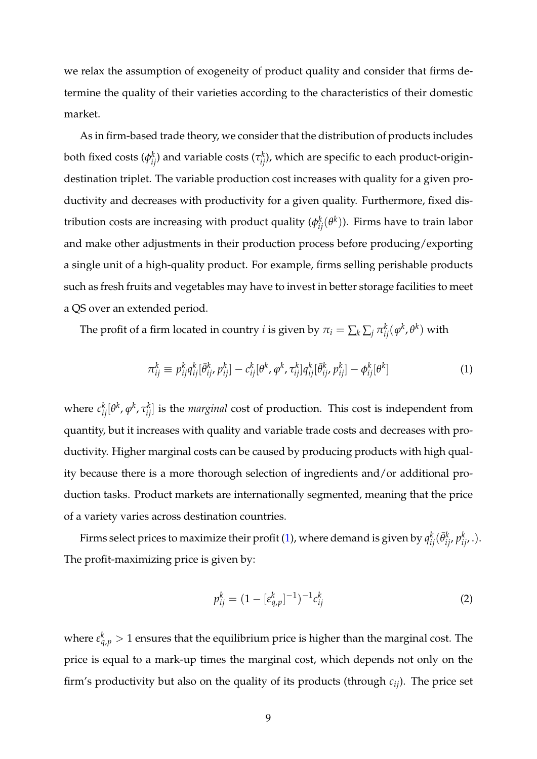we relax the assumption of exogeneity of product quality and consider that firms determine the quality of their varieties according to the characteristics of their domestic market.

As in firm-based trade theory, we consider that the distribution of products includes both fixed costs ( $\phi_{ij}^k$ ) and variable costs ( $\tau_{ij}^k$ ), which are specific to each product-origindestination triplet. The variable production cost increases with quality for a given productivity and decreases with productivity for a given quality. Furthermore, fixed distribution costs are increasing with product quality ( $\phi_{ij}^k(\theta^k)$ ). Firms have to train labor and make other adjustments in their production process before producing/exporting a single unit of a high-quality product. For example, firms selling perishable products such as fresh fruits and vegetables may have to invest in better storage facilities to meet a QS over an extended period.

The profit of a firm located in country *i* is given by  $\pi_i = \sum_k \sum_j \pi_{ij}^k(\phi^k, \theta^k)$  with

$$
\pi_{ij}^k \equiv p_{ij}^k q_{ij}^k [\bar{\theta}_{ij}^k, p_{ij}^k] - c_{ij}^k [\theta^k, \varphi^k, \tau_{ij}^k] q_{ij}^k [\bar{\theta}_{ij}^k, p_{ij}^k] - \varphi_{ij}^k [\theta^k]
$$
(1)

where  $c_{ij}^{k}[\theta^{k}, \varphi^{k}, \tau_{ij}^{k}]$  is the *marginal* cost of production. This cost is independent from quantity, but it increases with quality and variable trade costs and decreases with productivity. Higher marginal costs can be caused by producing products with high quality because there is a more thorough selection of ingredients and/or additional production tasks. Product markets are internationally segmented, meaning that the price of a variety varies across destination countries.

Firms select prices to maximize their profit (1), where demand is given by  $q_{ij}^k(\bar{\theta}_{ij}^k,p_{ij'}^k.)$ . The profit-maximizing price is given by:

$$
p_{ij}^k = (1 - [\varepsilon_{q,p}^k]^{-1})^{-1} c_{ij}^k
$$
 (2)

where  $\varepsilon_{q,p}^k > 1$  ensures that the equilibrium price is higher than the marginal cost. The price is equal to a mark-up times the marginal cost, which depends not only on the firm's productivity but also on the quality of its products (through *cij*). The price set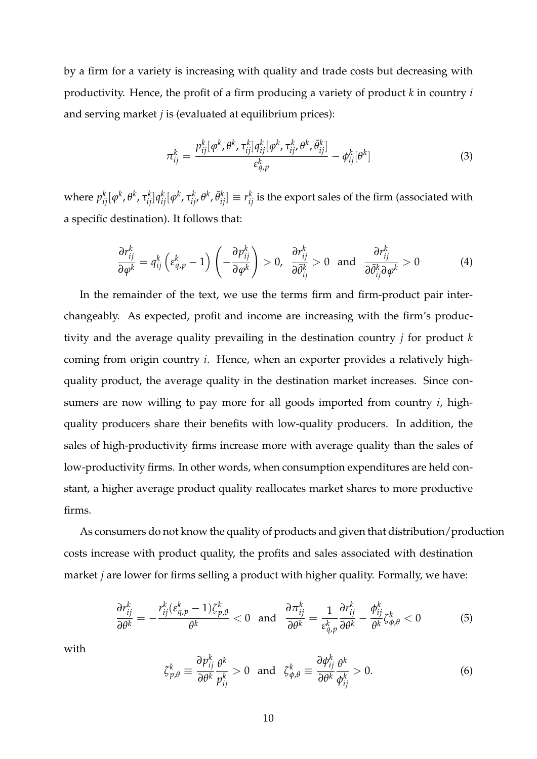by a firm for a variety is increasing with quality and trade costs but decreasing with productivity. Hence, the profit of a firm producing a variety of product *k* in country *i* and serving market *j* is (evaluated at equilibrium prices):

$$
\pi_{ij}^k = \frac{p_{ij}^k[\varphi^k, \theta^k, \tau_{ij}^k]q_{ij}^k[\varphi^k, \tau_{ij}^k, \theta^k, \bar{\theta}_{ij}^k]}{\varepsilon_{q,p}^k} - \varphi_{ij}^k[\theta^k]
$$
(3)

where  $p_{ij}^k[\varphi^k,\theta^k,\tau_{ij}^k]q_{ij}^k[\varphi^k,\tau_{ij'}^k\theta^k,\bar\theta_{ij}^k]\equiv r_{ij}^k$  is the export sales of the firm (associated with a specific destination). It follows that:

$$
\frac{\partial r_{ij}^k}{\partial \varphi^k} = q_{ij}^k \left( \varepsilon_{q,p}^k - 1 \right) \left( -\frac{\partial p_{ij}^k}{\partial \varphi^k} \right) > 0, \quad \frac{\partial r_{ij}^k}{\partial \bar{\theta}_{ij}^k} > 0 \quad \text{and} \quad \frac{\partial r_{ij}^k}{\partial \bar{\theta}_{ij}^k \partial \varphi^k} > 0 \tag{4}
$$

In the remainder of the text, we use the terms firm and firm-product pair interchangeably. As expected, profit and income are increasing with the firm's productivity and the average quality prevailing in the destination country *j* for product *k* coming from origin country *i*. Hence, when an exporter provides a relatively highquality product, the average quality in the destination market increases. Since consumers are now willing to pay more for all goods imported from country *i*, highquality producers share their benefits with low-quality producers. In addition, the sales of high-productivity firms increase more with average quality than the sales of low-productivity firms. In other words, when consumption expenditures are held constant, a higher average product quality reallocates market shares to more productive firms.

As consumers do not know the quality of products and given that distribution/production costs increase with product quality, the profits and sales associated with destination market *j* are lower for firms selling a product with higher quality. Formally, we have:

$$
\frac{\partial r_{ij}^k}{\partial \theta^k} = -\frac{r_{ij}^k (\varepsilon_{q,p}^k - 1) \zeta_{p,\theta}^k}{\theta^k} < 0 \quad \text{and} \quad \frac{\partial \pi_{ij}^k}{\partial \theta^k} = \frac{1}{\varepsilon_{q,p}^k} \frac{\partial r_{ij}^k}{\partial \theta^k} - \frac{\phi_{ij}^k}{\theta^k} \zeta_{p,\theta}^k < 0 \tag{5}
$$

with

$$
\zeta_{p,\theta}^{k} \equiv \frac{\partial p_{ij}^{k}}{\partial \theta^{k}} \frac{\theta^{k}}{p_{ij}^{k}} > 0 \text{ and } \zeta_{\phi,\theta}^{k} \equiv \frac{\partial \phi_{ij}^{k}}{\partial \theta^{k}} \frac{\theta^{k}}{\phi_{ij}^{k}} > 0. \tag{6}
$$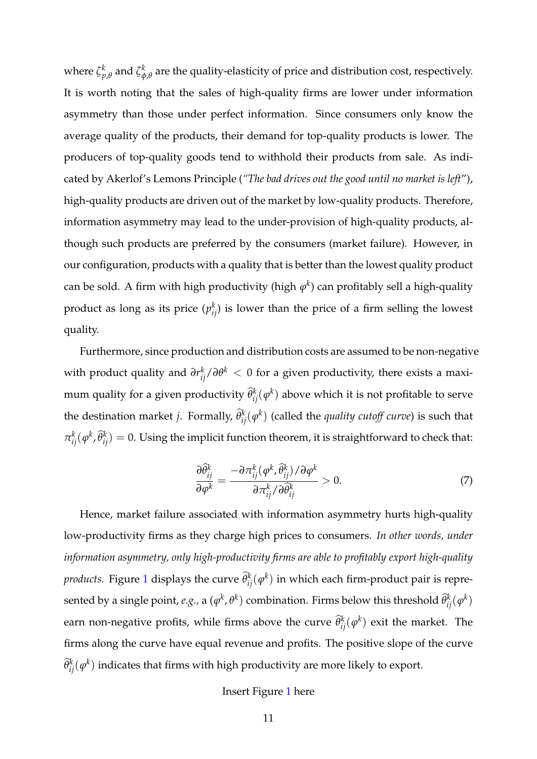where  $\zeta^k_{\it p}$  $_{p,\theta }^{k}$  and  $\mathcal{\zeta}_{\phi }^{k}$ *φ*,*θ* are the quality-elasticity of price and distribution cost, respectively. It is worth noting that the sales of high-quality firms are lower under information asymmetry than those under perfect information. Since consumers only know the average quality of the products, their demand for top-quality products is lower. The producers of top-quality goods tend to withhold their products from sale. As indicated by Akerlof's Lemons Principle (*"The bad drives out the good until no market is left*"), high-quality products are driven out of the market by low-quality products. Therefore, information asymmetry may lead to the under-provision of high-quality products, although such products are preferred by the consumers (market failure). However, in our configuration, products with a quality that is better than the lowest quality product can be sold. A firm with high productivity (high  $\varphi^k$ ) can profitably sell a high-quality product as long as its price  $(p_{ij}^k)$  is lower than the price of a firm selling the lowest quality.

Furthermore, since production and distribution costs are assumed to be non-negative with product quality and  $\partial r_{ij}^k/\partial \theta^k < 0$  for a given productivity, there exists a maximum quality for a given productivity  $\widehat{\theta}_{ij}^k(\phi^k)$  above which it is not profitable to serve the destination market *j*. Formally,  $\widehat{\theta}_{ij}^{k}(\varphi^{k})$  (called the *quality cutoff curve*) is such that  $\pi_{ij}^k(\varphi^k, \widehat{\theta}_{ij}^k)=0.$  Using the implicit function theorem, it is straightforward to check that:

$$
\frac{\partial \widehat{\theta}_{ij}^k}{\partial \varphi^k} = \frac{-\partial \pi_{ij}^k(\varphi^k, \widehat{\theta}_{ij}^k)/\partial \varphi^k}{\partial \pi_{ij}^k/\partial \widehat{\theta}_{ij}^k} > 0.
$$
 (7)

Hence, market failure associated with information asymmetry hurts high-quality low-productivity firms as they charge high prices to consumers. *In other words, under information asymmetry, only high-productivity firms are able to profitably export high-quality products.* Figure 1 displays the curve  $\widehat{\theta}_{ij}^k(\varphi^k)$  in which each firm-product pair is represented by a single point, *e.g.,* a  $(\varphi^k, \theta^k)$  combination. Firms below this threshold  $\widehat{\theta}_{ij}^k(\varphi^k)$ earn non-negative profits, while firms above the curve  $\widehat{\theta}_{ij}^k(\varphi^k)$  exit the market. The firms along the curve have equal revenue and profits. The positive slope of the curve  $\widehat{\theta}_{ij}^k(\mathbf{\phi}^k)$  indicates that firms with high productivity are more likely to export.

#### Insert Figure 1 here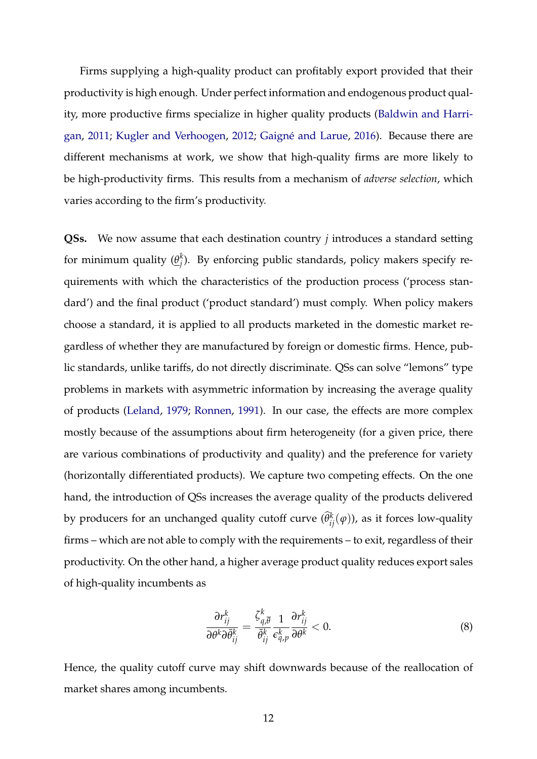Firms supplying a high-quality product can profitably export provided that their productivity is high enough. Under perfect information and endogenous product quality, more productive firms specialize in higher quality products (Baldwin and Harrigan, 2011; Kugler and Verhoogen, 2012; Gaigné and Larue, 2016). Because there are different mechanisms at work, we show that high-quality firms are more likely to be high-productivity firms. This results from a mechanism of *adverse selection*, which varies according to the firm's productivity.

**QSs.** We now assume that each destination country *j* introduces a standard setting for minimum quality  $(\underline{\theta}_i^k)$ *j* ). By enforcing public standards, policy makers specify requirements with which the characteristics of the production process ('process standard') and the final product ('product standard') must comply. When policy makers choose a standard, it is applied to all products marketed in the domestic market regardless of whether they are manufactured by foreign or domestic firms. Hence, public standards, unlike tariffs, do not directly discriminate. QSs can solve "lemons" type problems in markets with asymmetric information by increasing the average quality of products (Leland, 1979; Ronnen, 1991). In our case, the effects are more complex mostly because of the assumptions about firm heterogeneity (for a given price, there are various combinations of productivity and quality) and the preference for variety (horizontally differentiated products). We capture two competing effects. On the one hand, the introduction of QSs increases the average quality of the products delivered by producers for an unchanged quality cutoff curve  $(\hat{\theta}_{ij}^k(\varphi))$ , as it forces low-quality firms – which are not able to comply with the requirements – to exit, regardless of their productivity. On the other hand, a higher average product quality reduces export sales of high-quality incumbents as

$$
\frac{\partial r_{ij}^k}{\partial \theta^k \partial \bar{\theta}_{ij}^k} = \frac{\zeta_{q,\overline{\theta}}^k}{\bar{\theta}_{ij}^k} \frac{1}{\epsilon_{q,p}^k} \frac{\partial r_{ij}^k}{\partial \theta^k} < 0. \tag{8}
$$

Hence, the quality cutoff curve may shift downwards because of the reallocation of market shares among incumbents.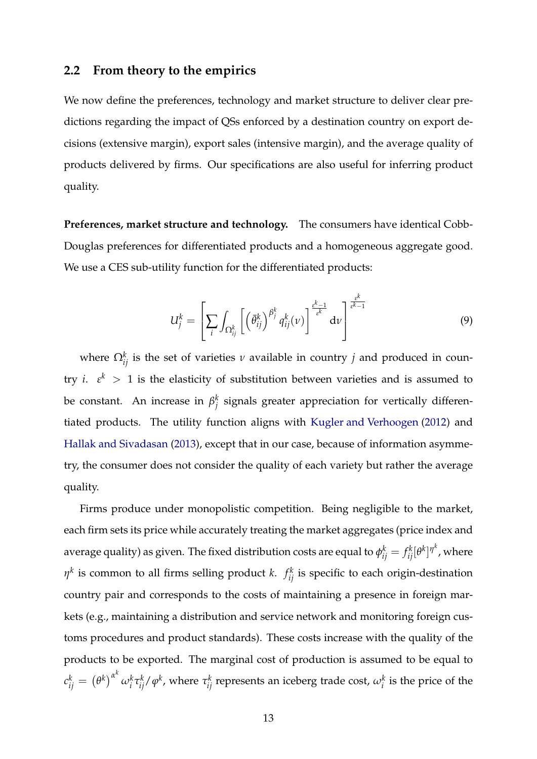#### **2.2 From theory to the empirics**

We now define the preferences, technology and market structure to deliver clear predictions regarding the impact of QSs enforced by a destination country on export decisions (extensive margin), export sales (intensive margin), and the average quality of products delivered by firms. Our specifications are also useful for inferring product quality.

**Preferences, market structure and technology.** The consumers have identical Cobb-Douglas preferences for differentiated products and a homogeneous aggregate good. We use a CES sub-utility function for the differentiated products:

$$
U_j^k = \left[\sum_i \int_{\Omega_{ij}^k} \left[ \left(\bar{\theta}_{ij}^k\right)^{\beta_j^k} q_{ij}^k(v) \right]^{\frac{\varepsilon^k - 1}{\varepsilon^k}} dv \right]^{\frac{\varepsilon^k}{\varepsilon^k - 1}}
$$
(9)

where  $\Omega_{ij}^k$  is the set of varieties  $\nu$  available in country  $j$  and produced in country *i*.  $\varepsilon^k$  > 1 is the elasticity of substitution between varieties and is assumed to be constant. An increase in  $\beta_i^k$  $j_j^\kappa$  signals greater appreciation for vertically differentiated products. The utility function aligns with Kugler and Verhoogen (2012) and Hallak and Sivadasan (2013), except that in our case, because of information asymmetry, the consumer does not consider the quality of each variety but rather the average quality.

Firms produce under monopolistic competition. Being negligible to the market, each firm sets its price while accurately treating the market aggregates (price index and average quality) as given. The fixed distribution costs are equal to  $\phi_{ij}^k=f_{ij}^k[\theta^k]^{\eta^k}$ , where  $\eta^k$  is common to all firms selling product *k*.  $f^k_{ij}$  is specific to each origin-destination country pair and corresponds to the costs of maintaining a presence in foreign markets (e.g., maintaining a distribution and service network and monitoring foreign customs procedures and product standards). These costs increase with the quality of the products to be exported. The marginal cost of production is assumed to be equal to  $c_{ij}^k = \left(\theta^k\right)^{\alpha^k}\omega_i^k\tau_{ij}^k/\varphi^k$ , where  $\tau_{ij}^k$  represents an iceberg trade cost,  $\omega_i^k$  is the price of the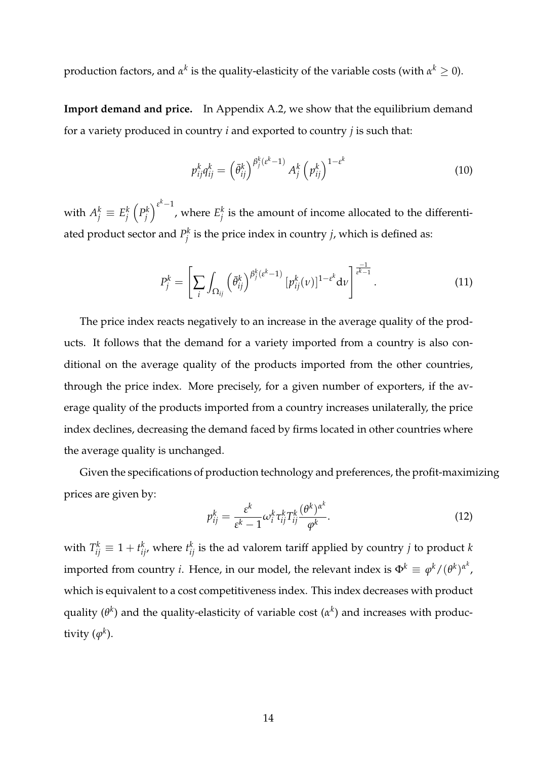production factors, and  $\alpha^k$  is the quality-elasticity of the variable costs (with  $\alpha^k\geq 0$ ).

**Import demand and price.** In Appendix A.2, we show that the equilibrium demand for a variety produced in country *i* and exported to country *j* is such that:

$$
p_{ij}^k q_{ij}^k = \left(\bar{\theta}_{ij}^k\right)^{\beta_j^k (\varepsilon^k - 1)} A_j^k \left(p_{ij}^k\right)^{1 - \varepsilon^k} \tag{10}
$$

with  $A_j^k \equiv E_j^k$ *j*  $\left(P_i^k\right)$ *j*  $\sum_{k=1}^{k}$ , where  $E_i^k$  $j$ <sup> $k$ </sup> is the amount of income allocated to the differentiated product sector and  $P_i^k$ *j* is the price index in country *j*, which is defined as:

$$
P_j^k = \left[ \sum_i \int_{\Omega_{ij}} \left( \bar{\theta}_{ij}^k \right)^{\beta_j^k (\varepsilon^k - 1)} [p_{ij}^k (\nu)]^{1 - \varepsilon^k} d\nu \right]^{\frac{-1}{\varepsilon^k - 1}}.
$$
 (11)

The price index reacts negatively to an increase in the average quality of the products. It follows that the demand for a variety imported from a country is also conditional on the average quality of the products imported from the other countries, through the price index. More precisely, for a given number of exporters, if the average quality of the products imported from a country increases unilaterally, the price index declines, decreasing the demand faced by firms located in other countries where the average quality is unchanged.

Given the specifications of production technology and preferences, the profit-maximizing prices are given by:

$$
p_{ij}^k = \frac{\varepsilon^k}{\varepsilon^k - 1} \omega_i^k \tau_{ij}^k T_{ij}^k \frac{(\theta^k)^{\alpha^k}}{\varphi^k}.
$$
 (12)

with  $T_{ij}^k \equiv 1 + t_{ij}^k$ , where  $t_{ij}^k$  is the ad valorem tariff applied by country *j* to product *k* imported from country *i*. Hence, in our model, the relevant index is  $\Phi^k \equiv \varphi^k/(\theta^k)^{\alpha^k}$ , which is equivalent to a cost competitiveness index. This index decreases with product quality (*θ k* ) and the quality-elasticity of variable cost (*α k* ) and increases with productivity  $(\varphi^k)$ .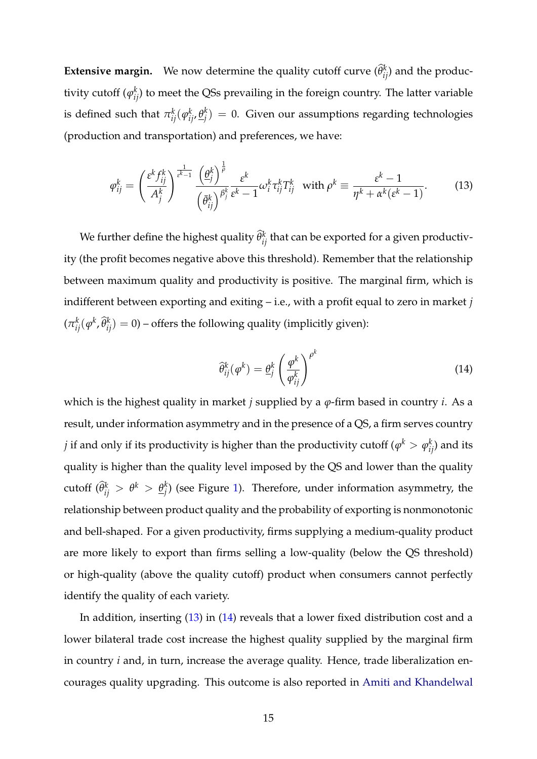**Extensive margin.** We now determine the quality cutoff curve  $(\hat{\theta}_{ij}^k)$  and the productivity cutoff  $(\varphi_{ij}^k)$  to meet the QSs prevailing in the foreign country. The latter variable is defined such that  $\pi_{ij}^k(\varphi_{ij}^k,\underline{\theta}_j^k)$  $j_j^{\left(k\right)}=0.$  Given our assumptions regarding technologies (production and transportation) and preferences, we have:

$$
\varphi_{ij}^k = \left(\frac{\varepsilon^k f_{ij}^k}{A_j^k}\right)^{\frac{1}{\varepsilon^k - 1}} \frac{\left(\frac{\theta_j^k}{\theta_j}\right)^{\frac{1}{\rho}}}{\left(\frac{\overline{\theta}_i^k}{\theta_j^k}\right)^{\frac{\beta_j^k}{\rho}} \varepsilon^k - 1} \omega_i^k \tau_{ij}^k T_{ij}^k \quad \text{with } \rho^k \equiv \frac{\varepsilon^k - 1}{\eta^k + \alpha^k (\varepsilon^k - 1)}. \tag{13}
$$

We further define the highest quality  $\widehat{\theta}_{ij}^k$  that can be exported for a given productivity (the profit becomes negative above this threshold). Remember that the relationship between maximum quality and productivity is positive. The marginal firm, which is indifferent between exporting and exiting – i.e., with a profit equal to zero in market *j*  $(\pi_{ij}^k(\varphi^k, \widehat{\theta}_{ij}^k) = 0)$  – offers the following quality (implicitly given):

$$
\widehat{\theta}_{ij}^k(\varphi^k) = \underline{\theta}_j^k \left(\frac{\varphi^k}{\varphi_{ij}^k}\right)^{\rho^k} \tag{14}
$$

which is the highest quality in market *j* supplied by a *ϕ*-firm based in country *i*. As a result, under information asymmetry and in the presence of a QS, a firm serves country *j* if and only if its productivity is higher than the productivity cutoff  $(\varphi^k > \varphi^k_{ij})$  and its quality is higher than the quality level imposed by the QS and lower than the quality  $\text{cutoff} \; (\widehat{\theta}_{ij}^k \; > \; \theta^k \; > \; \underline{\theta}_{j}^k$  $j_j^{\kappa}$ ) (see Figure 1). Therefore, under information asymmetry, the relationship between product quality and the probability of exporting is nonmonotonic and bell-shaped. For a given productivity, firms supplying a medium-quality product are more likely to export than firms selling a low-quality (below the QS threshold) or high-quality (above the quality cutoff) product when consumers cannot perfectly identify the quality of each variety.

In addition, inserting (13) in (14) reveals that a lower fixed distribution cost and a lower bilateral trade cost increase the highest quality supplied by the marginal firm in country *i* and, in turn, increase the average quality. Hence, trade liberalization encourages quality upgrading. This outcome is also reported in Amiti and Khandelwal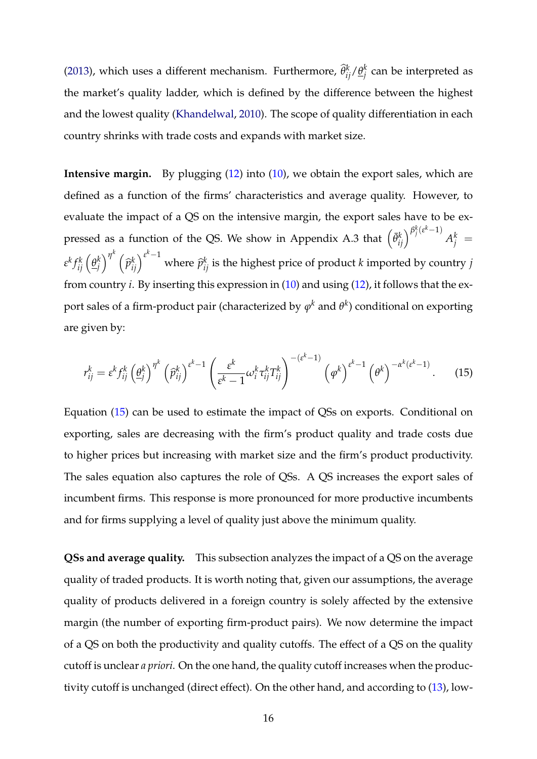(2013), which uses a different mechanism. Furthermore,  $\widehat{\theta}_{ij}^{k}/\underline{\theta}_{j}^{k}$ *j* can be interpreted as the market's quality ladder, which is defined by the difference between the highest and the lowest quality (Khandelwal, 2010). The scope of quality differentiation in each country shrinks with trade costs and expands with market size.

**Intensive margin.** By plugging (12) into (10), we obtain the export sales, which are defined as a function of the firms' characteristics and average quality. However, to evaluate the impact of a QS on the intensive margin, the export sales have to be expressed as a function of the QS. We show in Appendix A.3 that  $\left(\bar{\theta}_{ij}^{k}\right)^{\beta_{j}^{k}\left(e^{k}-1\right)}$  $A_j^k =$ *ε k f k ij θ k*  $\binom{k}{j}^{\eta^k}$  (  $\widehat{p}_{ij}^{k}\Big)^{\varepsilon^{k}-1}$ where  $\hat{p}_{ij}^k$  is the highest price of product *k* imported by country *j* from country *i*. By inserting this expression in (10) and using (12), it follows that the export sales of a firm-product pair (characterized by  $\varphi^k$  and  $\theta^k$ ) conditional on exporting are given by:

$$
r_{ij}^k = \varepsilon^k f_{ij}^k \left(\underline{\theta}_j^k\right)^{\eta^k} \left(\widehat{p}_{ij}^k\right)^{\varepsilon^k - 1} \left(\frac{\varepsilon^k}{\varepsilon^k - 1} \omega_i^k \tau_{ij}^k T_{ij}^k\right)^{-(\varepsilon^k - 1)} \left(\varphi^k\right)^{\varepsilon^k - 1} \left(\theta^k\right)^{-\alpha^k(\varepsilon^k - 1)}.\tag{15}
$$

Equation (15) can be used to estimate the impact of QSs on exports. Conditional on exporting, sales are decreasing with the firm's product quality and trade costs due to higher prices but increasing with market size and the firm's product productivity. The sales equation also captures the role of QSs. A QS increases the export sales of incumbent firms. This response is more pronounced for more productive incumbents and for firms supplying a level of quality just above the minimum quality.

**QSs and average quality.** This subsection analyzes the impact of a QS on the average quality of traded products. It is worth noting that, given our assumptions, the average quality of products delivered in a foreign country is solely affected by the extensive margin (the number of exporting firm-product pairs). We now determine the impact of a QS on both the productivity and quality cutoffs. The effect of a QS on the quality cutoff is unclear *a priori*. On the one hand, the quality cutoff increases when the productivity cutoff is unchanged (direct effect). On the other hand, and according to (13), low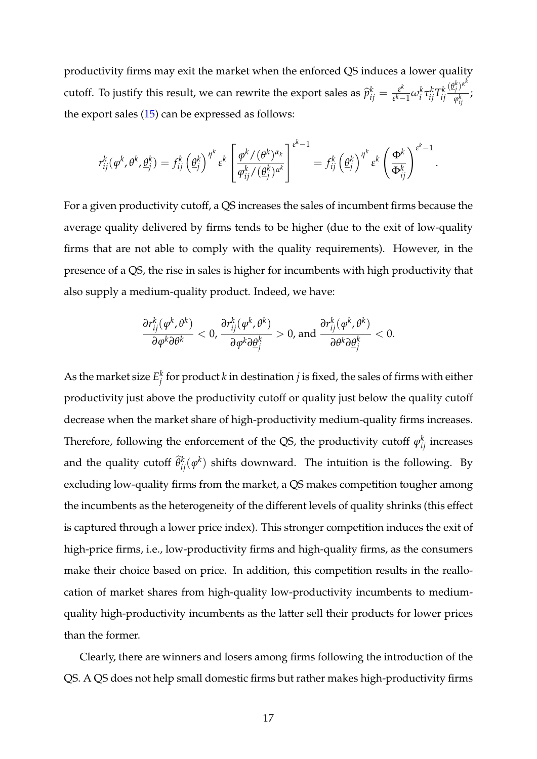productivity firms may exit the market when the enforced QS induces a lower quality cutoff. To justify this result, we can rewrite the export sales as  $\hat{p}_{ij}^k = \frac{\varepsilon^k}{\varepsilon^k - 1}$ *ε*<sup>κ</sup>—1 ω<sup>*k*</sup> τ<sup>*k*</sup>τ*ij T<sup>k</sup> ij*  $(\underline{\theta}_j^k)^{\alpha^k}$  $\frac{\partial f}{\partial t}$ ; <sup>*i*</sup> the export sales (15) can be expressed as follows:

$$
r_{ij}^k(\varphi^k, \theta^k, \underline{\theta}_j^k) = f_{ij}^k(\underline{\theta}_j^k)^{\eta^k} \varepsilon^k \left[ \frac{\varphi^k/(\theta^k)^{\alpha_k}}{\varphi_{ij}^k/(\underline{\theta}_j^k)^{\alpha^k}} \right]^{\varepsilon^k - 1} = f_{ij}^k(\underline{\theta}_j^k)^{\eta^k} \varepsilon^k \left( \frac{\Phi^k}{\Phi_{ij}^k} \right)^{\varepsilon^k - 1}
$$

.

For a given productivity cutoff, a QS increases the sales of incumbent firms because the average quality delivered by firms tends to be higher (due to the exit of low-quality firms that are not able to comply with the quality requirements). However, in the presence of a QS, the rise in sales is higher for incumbents with high productivity that also supply a medium-quality product. Indeed, we have:

$$
\frac{\partial r_{ij}^k(\phi^k, \theta^k)}{\partial \phi^k \partial \theta^k} < 0, \frac{\partial r_{ij}^k(\phi^k, \theta^k)}{\partial \phi^k \partial \underline{\theta}_j^k} > 0, \text{ and } \frac{\partial r_{ij}^k(\phi^k, \theta^k)}{\partial \theta^k \partial \underline{\theta}_j^k} < 0.
$$

As the market size  $E_i^k$ *j* for product *k* in destination *j* is fixed, the sales of firms with either productivity just above the productivity cutoff or quality just below the quality cutoff decrease when the market share of high-productivity medium-quality firms increases. Therefore, following the enforcement of the QS, the productivity cutoff  $\varphi_{ij}^k$  increases and the quality cutoff  $\widehat{\theta}_{ij}^k(\varphi^k)$  shifts downward. The intuition is the following. By excluding low-quality firms from the market, a QS makes competition tougher among the incumbents as the heterogeneity of the different levels of quality shrinks (this effect is captured through a lower price index). This stronger competition induces the exit of high-price firms, i.e., low-productivity firms and high-quality firms, as the consumers make their choice based on price. In addition, this competition results in the reallocation of market shares from high-quality low-productivity incumbents to mediumquality high-productivity incumbents as the latter sell their products for lower prices than the former.

Clearly, there are winners and losers among firms following the introduction of the QS. A QS does not help small domestic firms but rather makes high-productivity firms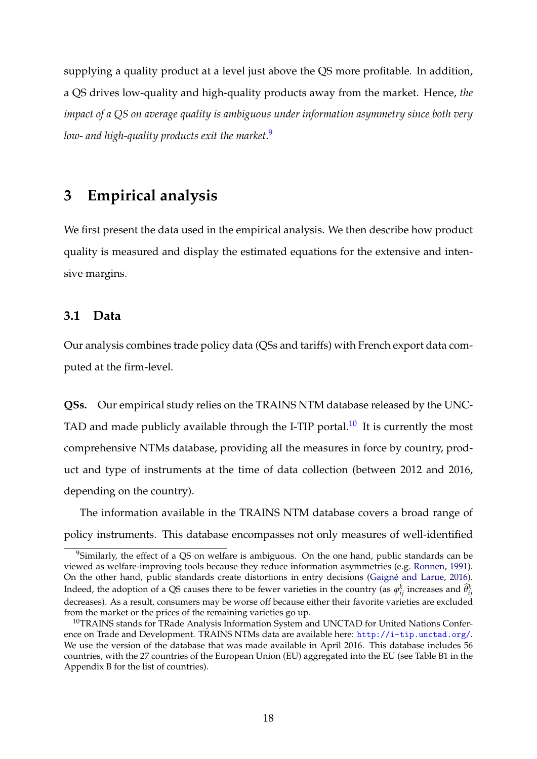supplying a quality product at a level just above the QS more profitable. In addition, a QS drives low-quality and high-quality products away from the market. Hence, *the impact of a QS on average quality is ambiguous under information asymmetry since both very low- and high-quality products exit the market*. 9

### **3 Empirical analysis**

We first present the data used in the empirical analysis. We then describe how product quality is measured and display the estimated equations for the extensive and intensive margins.

#### **3.1 Data**

Our analysis combines trade policy data (QSs and tariffs) with French export data computed at the firm-level.

**QSs.** Our empirical study relies on the TRAINS NTM database released by the UNC-TAD and made publicly available through the I-TIP portal.<sup>10</sup> It is currently the most comprehensive NTMs database, providing all the measures in force by country, product and type of instruments at the time of data collection (between 2012 and 2016, depending on the country).

The information available in the TRAINS NTM database covers a broad range of policy instruments. This database encompasses not only measures of well-identified

<sup>&</sup>lt;sup>9</sup>Similarly, the effect of a QS on welfare is ambiguous. On the one hand, public standards can be viewed as welfare-improving tools because they reduce information asymmetries (e.g. Ronnen, 1991). On the other hand, public standards create distortions in entry decisions (Gaigné and Larue, 2016). Indeed, the adoption of a QS causes there to be fewer varieties in the country (as  $\varphi_{ij}^k$  increases and  $\widehat{\theta}_{ij}^k$ decreases). As a result, consumers may be worse off because either their favorite varieties are excluded from the market or the prices of the remaining varieties go up.

<sup>&</sup>lt;sup>10</sup>TRAINS stands for TRade Analysis Information System and UNCTAD for United Nations Conference on Trade and Development. TRAINS NTMs data are available here: <http://i-tip.unctad.org/>. We use the version of the database that was made available in April 2016. This database includes 56 countries, with the 27 countries of the European Union (EU) aggregated into the EU (see Table B1 in the Appendix B for the list of countries).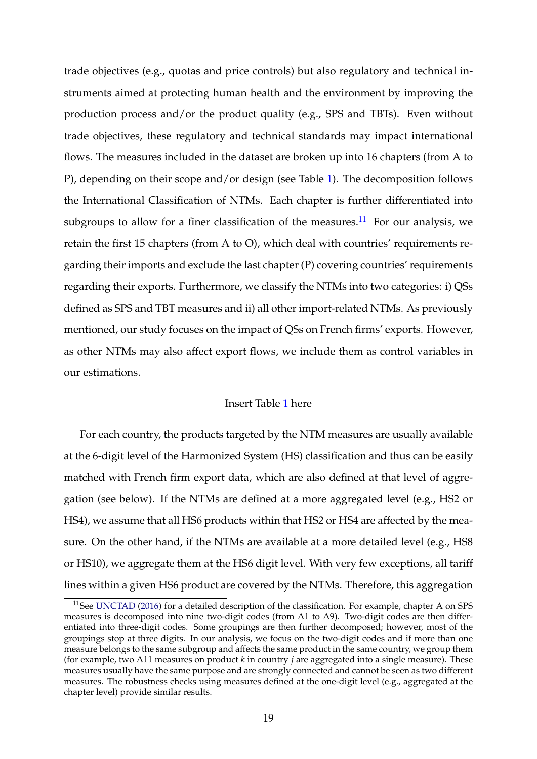trade objectives (e.g., quotas and price controls) but also regulatory and technical instruments aimed at protecting human health and the environment by improving the production process and/or the product quality (e.g., SPS and TBTs). Even without trade objectives, these regulatory and technical standards may impact international flows. The measures included in the dataset are broken up into 16 chapters (from A to P), depending on their scope and/or design (see Table [1\)](#page-43-0). The decomposition follows the International Classification of NTMs. Each chapter is further differentiated into subgroups to allow for a finer classification of the measures.<sup>11</sup> For our analysis, we retain the first 15 chapters (from A to O), which deal with countries' requirements regarding their imports and exclude the last chapter (P) covering countries' requirements regarding their exports. Furthermore, we classify the NTMs into two categories: i) QSs defined as SPS and TBT measures and ii) all other import-related NTMs. As previously mentioned, our study focuses on the impact of QSs on French firms' exports. However, as other NTMs may also affect export flows, we include them as control variables in our estimations.

#### Insert Table [1](#page-43-0) here

For each country, the products targeted by the NTM measures are usually available at the 6-digit level of the Harmonized System (HS) classification and thus can be easily matched with French firm export data, which are also defined at that level of aggregation (see below). If the NTMs are defined at a more aggregated level (e.g., HS2 or HS4), we assume that all HS6 products within that HS2 or HS4 are affected by the measure. On the other hand, if the NTMs are available at a more detailed level (e.g., HS8 or HS10), we aggregate them at the HS6 digit level. With very few exceptions, all tariff lines within a given HS6 product are covered by the NTMs. Therefore, this aggregation

 $11$ See UNCTAD (2016) for a detailed description of the classification. For example, chapter A on SPS measures is decomposed into nine two-digit codes (from A1 to A9). Two-digit codes are then differentiated into three-digit codes. Some groupings are then further decomposed; however, most of the groupings stop at three digits. In our analysis, we focus on the two-digit codes and if more than one measure belongs to the same subgroup and affects the same product in the same country, we group them (for example, two A11 measures on product *k* in country *j* are aggregated into a single measure). These measures usually have the same purpose and are strongly connected and cannot be seen as two different measures. The robustness checks using measures defined at the one-digit level (e.g., aggregated at the chapter level) provide similar results.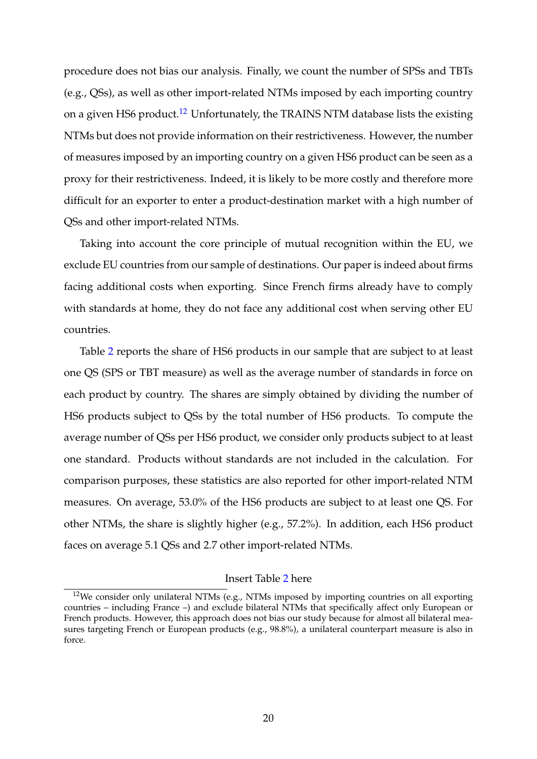procedure does not bias our analysis. Finally, we count the number of SPSs and TBTs (e.g., QSs), as well as other import-related NTMs imposed by each importing country on a given HS6 product.<sup>12</sup> Unfortunately, the TRAINS NTM database lists the existing NTMs but does not provide information on their restrictiveness. However, the number of measures imposed by an importing country on a given HS6 product can be seen as a proxy for their restrictiveness. Indeed, it is likely to be more costly and therefore more difficult for an exporter to enter a product-destination market with a high number of QSs and other import-related NTMs.

Taking into account the core principle of mutual recognition within the EU, we exclude EU countries from our sample of destinations. Our paper is indeed about firms facing additional costs when exporting. Since French firms already have to comply with standards at home, they do not face any additional cost when serving other EU countries.

Table [2](#page-44-0) reports the share of HS6 products in our sample that are subject to at least one QS (SPS or TBT measure) as well as the average number of standards in force on each product by country. The shares are simply obtained by dividing the number of HS6 products subject to QSs by the total number of HS6 products. To compute the average number of QSs per HS6 product, we consider only products subject to at least one standard. Products without standards are not included in the calculation. For comparison purposes, these statistics are also reported for other import-related NTM measures. On average, 53.0% of the HS6 products are subject to at least one QS. For other NTMs, the share is slightly higher (e.g., 57.2%). In addition, each HS6 product faces on average 5.1 QSs and 2.7 other import-related NTMs.

#### Insert Table [2](#page-44-0) here

 $12$ We consider only unilateral NTMs (e.g., NTMs imposed by importing countries on all exporting countries – including France –) and exclude bilateral NTMs that specifically affect only European or French products. However, this approach does not bias our study because for almost all bilateral measures targeting French or European products (e.g., 98.8%), a unilateral counterpart measure is also in force.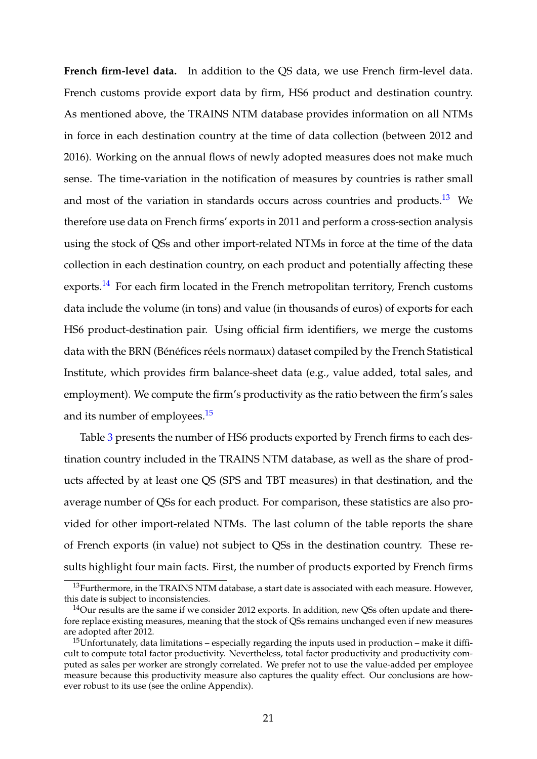**French firm-level data.** In addition to the QS data, we use French firm-level data. French customs provide export data by firm, HS6 product and destination country. As mentioned above, the TRAINS NTM database provides information on all NTMs in force in each destination country at the time of data collection (between 2012 and 2016). Working on the annual flows of newly adopted measures does not make much sense. The time-variation in the notification of measures by countries is rather small and most of the variation in standards occurs across countries and products.<sup>13</sup> We therefore use data on French firms' exports in 2011 and perform a cross-section analysis using the stock of QSs and other import-related NTMs in force at the time of the data collection in each destination country, on each product and potentially affecting these exports.<sup>14</sup> For each firm located in the French metropolitan territory, French customs data include the volume (in tons) and value (in thousands of euros) of exports for each HS6 product-destination pair. Using official firm identifiers, we merge the customs data with the BRN (Bénéfices réels normaux) dataset compiled by the French Statistical Institute, which provides firm balance-sheet data (e.g., value added, total sales, and employment). We compute the firm's productivity as the ratio between the firm's sales and its number of employees.<sup>15</sup>

Table [3](#page-45-0) presents the number of HS6 products exported by French firms to each destination country included in the TRAINS NTM database, as well as the share of products affected by at least one QS (SPS and TBT measures) in that destination, and the average number of QSs for each product. For comparison, these statistics are also provided for other import-related NTMs. The last column of the table reports the share of French exports (in value) not subject to QSs in the destination country. These results highlight four main facts. First, the number of products exported by French firms

<sup>&</sup>lt;sup>13</sup>Furthermore, in the TRAINS NTM database, a start date is associated with each measure. However, this date is subject to inconsistencies.

<sup>&</sup>lt;sup>14</sup>Our results are the same if we consider 2012 exports. In addition, new QSs often update and therefore replace existing measures, meaning that the stock of QSs remains unchanged even if new measures are adopted after 2012.

<sup>&</sup>lt;sup>15</sup>Unfortunately, data limitations – especially regarding the inputs used in production – make it difficult to compute total factor productivity. Nevertheless, total factor productivity and productivity computed as sales per worker are strongly correlated. We prefer not to use the value-added per employee measure because this productivity measure also captures the quality effect. Our conclusions are however robust to its use (see the online Appendix).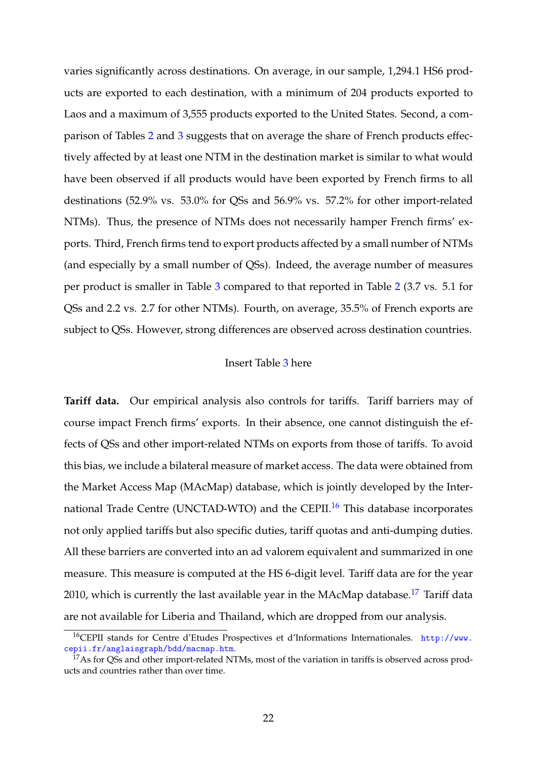varies significantly across destinations. On average, in our sample, 1,294.1 HS6 products are exported to each destination, with a minimum of 204 products exported to Laos and a maximum of 3,555 products exported to the United States. Second, a comparison of Tables [2](#page-44-0) and [3](#page-45-0) suggests that on average the share of French products effectively affected by at least one NTM in the destination market is similar to what would have been observed if all products would have been exported by French firms to all destinations (52.9% vs. 53.0% for QSs and 56.9% vs. 57.2% for other import-related NTMs). Thus, the presence of NTMs does not necessarily hamper French firms' exports. Third, French firms tend to export products affected by a small number of NTMs (and especially by a small number of QSs). Indeed, the average number of measures per product is smaller in Table [3](#page-45-0) compared to that reported in Table [2](#page-44-0) (3.7 vs. 5.1 for QSs and 2.2 vs. 2.7 for other NTMs). Fourth, on average, 35.5% of French exports are subject to QSs. However, strong differences are observed across destination countries.

#### Insert Table [3](#page-45-0) here

**Tariff data.** Our empirical analysis also controls for tariffs. Tariff barriers may of course impact French firms' exports. In their absence, one cannot distinguish the effects of QSs and other import-related NTMs on exports from those of tariffs. To avoid this bias, we include a bilateral measure of market access. The data were obtained from the Market Access Map (MAcMap) database, which is jointly developed by the International Trade Centre (UNCTAD-WTO) and the CEPII.<sup>16</sup> This database incorporates not only applied tariffs but also specific duties, tariff quotas and anti-dumping duties. All these barriers are converted into an ad valorem equivalent and summarized in one measure. This measure is computed at the HS 6-digit level. Tariff data are for the year 2010, which is currently the last available year in the MAcMap database.<sup>17</sup> Tariff data are not available for Liberia and Thailand, which are dropped from our analysis.

<sup>16</sup>CEPII stands for Centre d'Etudes Prospectives et d'Informations Internationales. [http://www.](http://www.cepii.fr/anglaisgraph/bdd/macmap.htm) [cepii.fr/anglaisgraph/bdd/macmap.htm](http://www.cepii.fr/anglaisgraph/bdd/macmap.htm).

<sup>&</sup>lt;sup>17</sup>As for QSs and other import-related NTMs, most of the variation in tariffs is observed across products and countries rather than over time.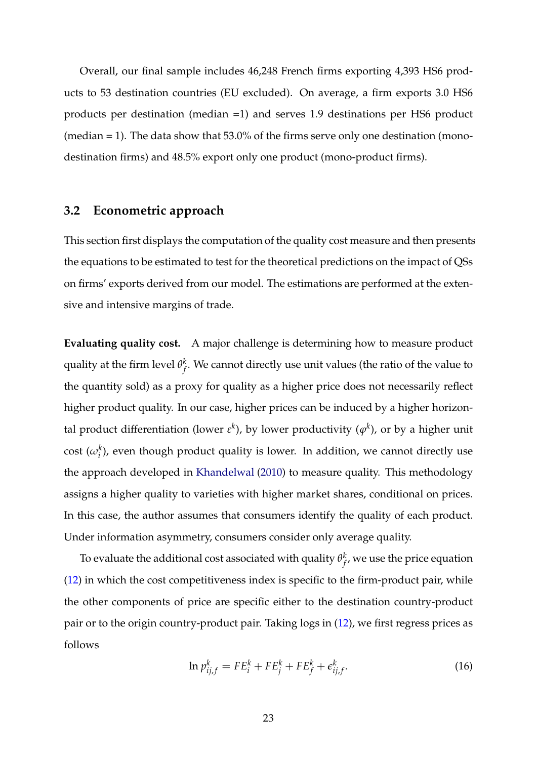Overall, our final sample includes 46,248 French firms exporting 4,393 HS6 products to 53 destination countries (EU excluded). On average, a firm exports 3.0 HS6 products per destination (median =1) and serves 1.9 destinations per HS6 product (median = 1). The data show that 53.0% of the firms serve only one destination (monodestination firms) and 48.5% export only one product (mono-product firms).

#### **3.2 Econometric approach**

This section first displays the computation of the quality cost measure and then presents the equations to be estimated to test for the theoretical predictions on the impact of QSs on firms' exports derived from our model. The estimations are performed at the extensive and intensive margins of trade.

**Evaluating quality cost.** A major challenge is determining how to measure product quality at the firm level  $\theta_f^k$  $f \llap/$ . We cannot directly use unit values (the ratio of the value to the quantity sold) as a proxy for quality as a higher price does not necessarily reflect higher product quality. In our case, higher prices can be induced by a higher horizontal product differentiation (lower  $\varepsilon^k$ ), by lower productivity ( $\varphi^k$ ), or by a higher unit cost  $(\omega_i^k)$ , even though product quality is lower. In addition, we cannot directly use the approach developed in Khandelwal (2010) to measure quality. This methodology assigns a higher quality to varieties with higher market shares, conditional on prices. In this case, the author assumes that consumers identify the quality of each product. Under information asymmetry, consumers consider only average quality.

To evaluate the additional cost associated with quality  $\theta_f^k$  $f^{\kappa}_{f^{\prime}}$  we use the price equation (12) in which the cost competitiveness index is specific to the firm-product pair, while the other components of price are specific either to the destination country-product pair or to the origin country-product pair. Taking logs in (12), we first regress prices as follows

$$
\ln p_{ij,f}^k = FE_i^k + FE_j^k + FE_f^k + \epsilon_{ij,f}^k.
$$
\n(16)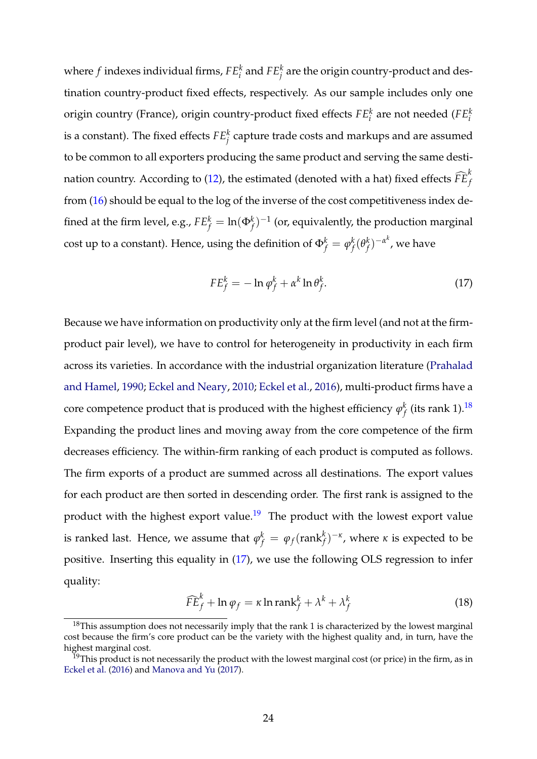where  $f$  indexes individual firms,  $FE^k_i$  and  $FE^k_j$  are the origin country-product and destination country-product fixed effects, respectively. As our sample includes only one origin country (France), origin country-product fixed effects *FE<sup>k</sup> i* are not needed (*FE<sup>k</sup> i* is a constant). The fixed effects  $FE^k_j$  capture trade costs and markups and are assumed to be common to all exporters producing the same product and serving the same destination country. According to (12), the estimated (denoted with a hat) fixed effects  $\widehat{FE}_{f}^{k}$ from (16) should be equal to the log of the inverse of the cost competitiveness index defined at the firm level, e.g.,  $FE_f^k = \ln(\Phi_f^k)^{-1}$  (or, equivalently, the production marginal cost up to a constant). Hence, using the definition of  $\Phi_f^k = \phi_f^k$ *f* (*θ k*  $\binom{k}{f}$ <sup>-α<sup>k</sup>, we have</sup>

$$
FE_f^k = -\ln \varphi_f^k + \alpha^k \ln \theta_f^k. \tag{17}
$$

Because we have information on productivity only at the firm level (and not at the firmproduct pair level), we have to control for heterogeneity in productivity in each firm across its varieties. In accordance with the industrial organization literature (Prahalad and Hamel, 1990; Eckel and Neary, 2010; Eckel et al., 2016), multi-product firms have a core competence product that is produced with the highest efficiency  $\varphi_f^k$  $_f^k$  (its rank 1). $^{18}$ Expanding the product lines and moving away from the core competence of the firm decreases efficiency. The within-firm ranking of each product is computed as follows. The firm exports of a product are summed across all destinations. The export values for each product are then sorted in descending order. The first rank is assigned to the product with the highest export value.<sup>19</sup> The product with the lowest export value is ranked last. Hence, we assume that  $\varphi_f^k = \varphi_f(\mathrm{rank}_f^k)^{-\kappa}$ , where  $\kappa$  is expected to be positive. Inserting this equality in (17), we use the following OLS regression to infer quality:

$$
\widehat{FE}_f^k + \ln \varphi_f = \kappa \ln \operatorname{rank}_f^k + \lambda^k + \lambda_f^k \tag{18}
$$

 $18$ This assumption does not necessarily imply that the rank 1 is characterized by the lowest marginal cost because the firm's core product can be the variety with the highest quality and, in turn, have the highest marginal cost.

<sup>&</sup>lt;sup>19</sup>This product is not necessarily the product with the lowest marginal cost (or price) in the firm, as in Eckel et al. (2016) and Manova and Yu (2017).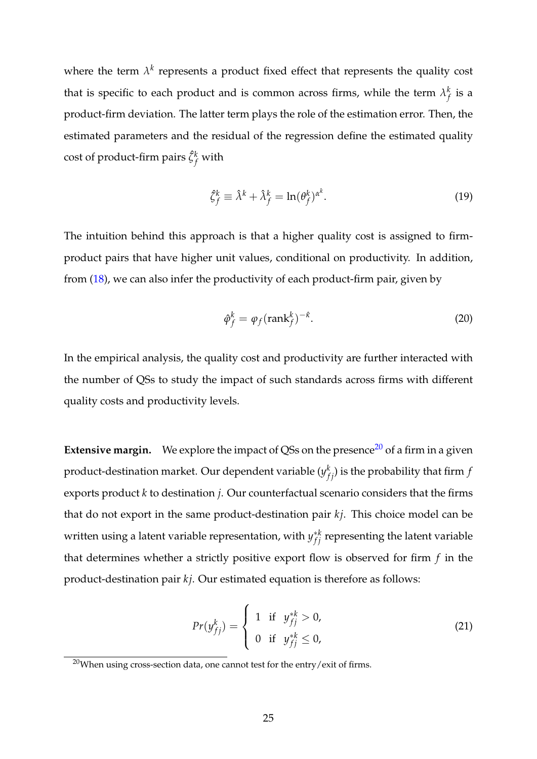where the term  $\lambda^k$  represents a product fixed effect that represents the quality cost that is specific to each product and is common across firms, while the term  $\lambda_f^k$  $^{\kappa}_{f}$  is a product-firm deviation. The latter term plays the role of the estimation error. Then, the estimated parameters and the residual of the regression define the estimated quality cost of product-firm pairs  $\hat{\zeta}_f^k$  with

$$
\hat{\zeta}_f^k \equiv \hat{\lambda}^k + \hat{\lambda}_f^k = \ln(\theta_f^k)^{\alpha^k}.
$$
\n(19)

The intuition behind this approach is that a higher quality cost is assigned to firmproduct pairs that have higher unit values, conditional on productivity. In addition, from (18), we can also infer the productivity of each product-firm pair, given by

$$
\hat{\varphi}_f^k = \varphi_f(\text{rank}_f^k)^{-\hat{\kappa}}.\tag{20}
$$

In the empirical analysis, the quality cost and productivity are further interacted with the number of QSs to study the impact of such standards across firms with different quality costs and productivity levels.

**Extensive margin.** We explore the impact of QSs on the presence<sup>20</sup> of a firm in a given product-destination market. Our dependent variable  $(y_{fj}^k)$  is the probability that firm  $f$ exports product *k* to destination *j*. Our counterfactual scenario considers that the firms that do not export in the same product-destination pair *kj*. This choice model can be written using a latent variable representation, with  $y_{fj}^{*k}$  representing the latent variable that determines whether a strictly positive export flow is observed for firm *f* in the product-destination pair *kj*. Our estimated equation is therefore as follows:

$$
Pr(y_{fj}^{k}) = \begin{cases} 1 & \text{if } y_{fj}^{*k} > 0, \\ 0 & \text{if } y_{fj}^{*k} \leq 0, \end{cases}
$$
 (21)

 $20$ When using cross-section data, one cannot test for the entry/exit of firms.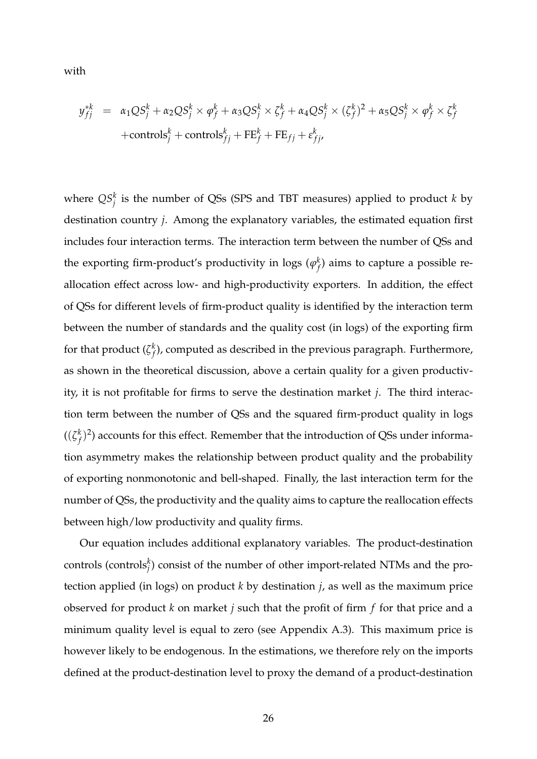with

$$
y_{fj}^{*k} = \alpha_1QS_j^k + \alpha_2QS_j^k \times \varphi_f^k + \alpha_3QS_j^k \times \zeta_f^k + \alpha_4QS_j^k \times (\zeta_f^k)^2 + \alpha_5QS_j^k \times \varphi_f^k \times \zeta_f^k
$$
  
+controls\_j^k + controls\_{fj}^k + FE\_j^k + FE\_{fj} + \varepsilon\_{fj'}^k

where  $QS_j^k$  is the number of QSs (SPS and TBT measures) applied to product  $k$  by destination country *j*. Among the explanatory variables, the estimated equation first includes four interaction terms. The interaction term between the number of QSs and the exporting firm-product's productivity in logs ( $\varphi_f^k$  $f \choose f$  aims to capture a possible reallocation effect across low- and high-productivity exporters. In addition, the effect of QSs for different levels of firm-product quality is identified by the interaction term between the number of standards and the quality cost (in logs) of the exporting firm for that product ( $\zeta_f^k$ *f* ), computed as described in the previous paragraph. Furthermore, as shown in the theoretical discussion, above a certain quality for a given productivity, it is not profitable for firms to serve the destination market *j*. The third interaction term between the number of QSs and the squared firm-product quality in logs ((*ζ k*  $\mathcal{F}_f^{(k)2}$ ) accounts for this effect. Remember that the introduction of QSs under information asymmetry makes the relationship between product quality and the probability of exporting nonmonotonic and bell-shaped. Finally, the last interaction term for the number of QSs, the productivity and the quality aims to capture the reallocation effects between high/low productivity and quality firms.

Our equation includes additional explanatory variables. The product-destination controls (controls $j$ <sup>*k*</sup>) consist of the number of other import-related NTMs and the protection applied (in logs) on product *k* by destination *j*, as well as the maximum price observed for product *k* on market *j* such that the profit of firm *f* for that price and a minimum quality level is equal to zero (see Appendix A.3). This maximum price is however likely to be endogenous. In the estimations, we therefore rely on the imports defined at the product-destination level to proxy the demand of a product-destination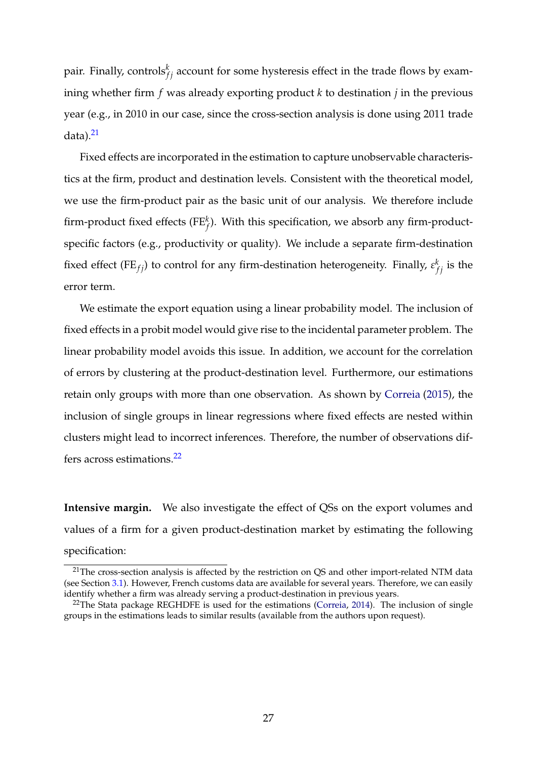pair. Finally, controls $^k_{fj}$  account for some hysteresis effect in the trade flows by examining whether firm *f* was already exporting product *k* to destination *j* in the previous year (e.g., in 2010 in our case, since the cross-section analysis is done using 2011 trade  $data)$ .<sup>21</sup>

Fixed effects are incorporated in the estimation to capture unobservable characteristics at the firm, product and destination levels. Consistent with the theoretical model, we use the firm-product pair as the basic unit of our analysis. We therefore include firm-product fixed effects (FE*<sup>k</sup> f* ). With this specification, we absorb any firm-productspecific factors (e.g., productivity or quality). We include a separate firm-destination fixed effect (FE<sub>fj</sub>) to control for any firm-destination heterogeneity. Finally,  $\varepsilon_{fj}^k$  is the error term.

We estimate the export equation using a linear probability model. The inclusion of fixed effects in a probit model would give rise to the incidental parameter problem. The linear probability model avoids this issue. In addition, we account for the correlation of errors by clustering at the product-destination level. Furthermore, our estimations retain only groups with more than one observation. As shown by Correia (2015), the inclusion of single groups in linear regressions where fixed effects are nested within clusters might lead to incorrect inferences. Therefore, the number of observations differs across estimations.22

**Intensive margin.** We also investigate the effect of QSs on the export volumes and values of a firm for a given product-destination market by estimating the following specification:

 $21$ The cross-section analysis is affected by the restriction on QS and other import-related NTM data (see Section 3.1). However, French customs data are available for several years. Therefore, we can easily identify whether a firm was already serving a product-destination in previous years.

 $22$ The Stata package REGHDFE is used for the estimations (Correia, 2014). The inclusion of single groups in the estimations leads to similar results (available from the authors upon request).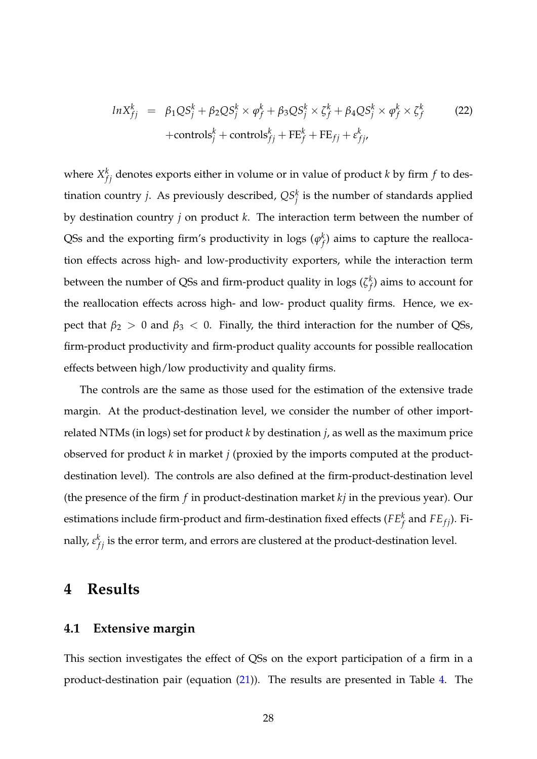$$
ln X_{fj}^{k} = \beta_1 Q S_j^{k} + \beta_2 Q S_j^{k} \times \varphi_f^{k} + \beta_3 Q S_j^{k} \times \zeta_f^{k} + \beta_4 Q S_j^{k} \times \varphi_f^{k} \times \zeta_f^{k}
$$
\n
$$
+ \text{controls}_{j}^{k} + \text{controls}_{fj}^{k} + \text{FE}_{fj} + \varepsilon_{fj}^{k},
$$
\n(22)

where  $X_{fj}^k$  denotes exports either in volume or in value of product *k* by firm *f* to destination country *j*. As previously described,  $QS_j^k$  is the number of standards applied by destination country *j* on product *k*. The interaction term between the number of QSs and the exporting firm's productivity in logs ( $\varphi_f^k$  $f \choose f$  aims to capture the reallocation effects across high- and low-productivity exporters, while the interaction term between the number of QSs and firm-product quality in logs (*ζ k f* ) aims to account for the reallocation effects across high- and low- product quality firms. Hence, we expect that  $\beta_2 > 0$  and  $\beta_3 < 0$ . Finally, the third interaction for the number of QSs, firm-product productivity and firm-product quality accounts for possible reallocation effects between high/low productivity and quality firms.

The controls are the same as those used for the estimation of the extensive trade margin. At the product-destination level, we consider the number of other importrelated NTMs (in logs) set for product *k* by destination *j*, as well as the maximum price observed for product *k* in market *j* (proxied by the imports computed at the productdestination level). The controls are also defined at the firm-product-destination level (the presence of the firm *f* in product-destination market *kj* in the previous year). Our estimations include firm-product and firm-destination fixed effects ( $FE<sup>k</sup><sub>f</sub>$  and  $FE<sub>fj</sub>$ ). Finally,  $\varepsilon_{fj}^k$  is the error term, and errors are clustered at the product-destination level.

### **4 Results**

#### **4.1 Extensive margin**

This section investigates the effect of QSs on the export participation of a firm in a product-destination pair (equation (21)). The results are presented in Table 4. The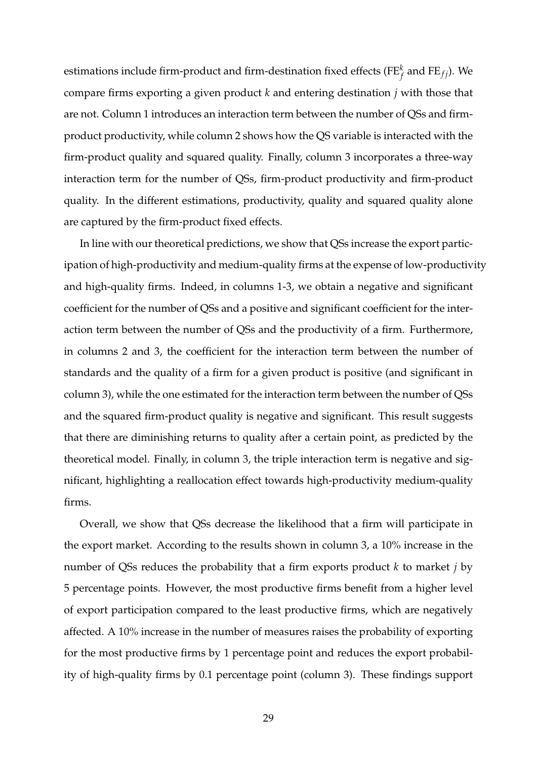estimations include firm-product and firm-destination fixed effects (FE $_f^k$  and FE $_{fj}$ ). We compare firms exporting a given product *k* and entering destination *j* with those that are not. Column 1 introduces an interaction term between the number of QSs and firmproduct productivity, while column 2 shows how the QS variable is interacted with the firm-product quality and squared quality. Finally, column 3 incorporates a three-way interaction term for the number of QSs, firm-product productivity and firm-product quality. In the different estimations, productivity, quality and squared quality alone are captured by the firm-product fixed effects.

In line with our theoretical predictions, we show that QSs increase the export participation of high-productivity and medium-quality firms at the expense of low-productivity and high-quality firms. Indeed, in columns 1-3, we obtain a negative and significant coefficient for the number of QSs and a positive and significant coefficient for the interaction term between the number of QSs and the productivity of a firm. Furthermore, in columns 2 and 3, the coefficient for the interaction term between the number of standards and the quality of a firm for a given product is positive (and significant in column 3), while the one estimated for the interaction term between the number of QSs and the squared firm-product quality is negative and significant. This result suggests that there are diminishing returns to quality after a certain point, as predicted by the theoretical model. Finally, in column 3, the triple interaction term is negative and significant, highlighting a reallocation effect towards high-productivity medium-quality firms.

Overall, we show that QSs decrease the likelihood that a firm will participate in the export market. According to the results shown in column 3, a 10% increase in the number of QSs reduces the probability that a firm exports product *k* to market *j* by 5 percentage points. However, the most productive firms benefit from a higher level of export participation compared to the least productive firms, which are negatively affected. A 10% increase in the number of measures raises the probability of exporting for the most productive firms by 1 percentage point and reduces the export probability of high-quality firms by 0.1 percentage point (column 3). These findings support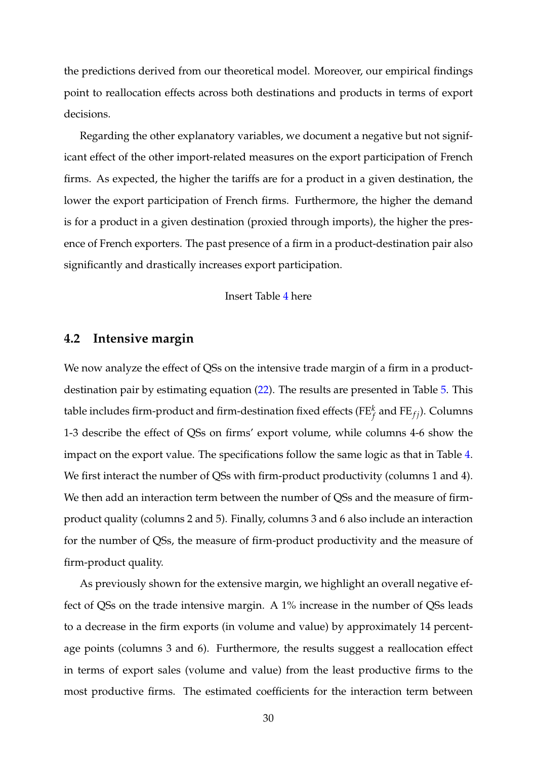the predictions derived from our theoretical model. Moreover, our empirical findings point to reallocation effects across both destinations and products in terms of export decisions.

Regarding the other explanatory variables, we document a negative but not significant effect of the other import-related measures on the export participation of French firms. As expected, the higher the tariffs are for a product in a given destination, the lower the export participation of French firms. Furthermore, the higher the demand is for a product in a given destination (proxied through imports), the higher the presence of French exporters. The past presence of a firm in a product-destination pair also significantly and drastically increases export participation.

#### Insert Table 4 here

#### **4.2 Intensive margin**

We now analyze the effect of QSs on the intensive trade margin of a firm in a productdestination pair by estimating equation (22). The results are presented in Table 5. This table includes firm-product and firm-destination fixed effects (FE $_f^k$  and FE $_{fj}$ ). Columns 1-3 describe the effect of QSs on firms' export volume, while columns 4-6 show the impact on the export value. The specifications follow the same logic as that in Table 4. We first interact the number of QSs with firm-product productivity (columns 1 and 4). We then add an interaction term between the number of QSs and the measure of firmproduct quality (columns 2 and 5). Finally, columns 3 and 6 also include an interaction for the number of QSs, the measure of firm-product productivity and the measure of firm-product quality.

As previously shown for the extensive margin, we highlight an overall negative effect of QSs on the trade intensive margin. A 1% increase in the number of QSs leads to a decrease in the firm exports (in volume and value) by approximately 14 percentage points (columns 3 and 6). Furthermore, the results suggest a reallocation effect in terms of export sales (volume and value) from the least productive firms to the most productive firms. The estimated coefficients for the interaction term between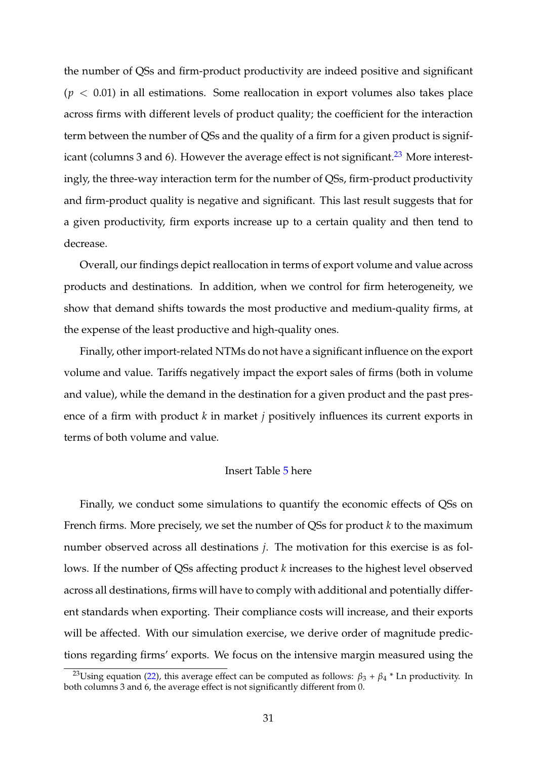the number of QSs and firm-product productivity are indeed positive and significant  $(p < 0.01)$  in all estimations. Some reallocation in export volumes also takes place across firms with different levels of product quality; the coefficient for the interaction term between the number of QSs and the quality of a firm for a given product is significant (columns 3 and 6). However the average effect is not significant.<sup>23</sup> More interestingly, the three-way interaction term for the number of QSs, firm-product productivity and firm-product quality is negative and significant. This last result suggests that for a given productivity, firm exports increase up to a certain quality and then tend to decrease.

Overall, our findings depict reallocation in terms of export volume and value across products and destinations. In addition, when we control for firm heterogeneity, we show that demand shifts towards the most productive and medium-quality firms, at the expense of the least productive and high-quality ones.

Finally, other import-related NTMs do not have a significant influence on the export volume and value. Tariffs negatively impact the export sales of firms (both in volume and value), while the demand in the destination for a given product and the past presence of a firm with product *k* in market *j* positively influences its current exports in terms of both volume and value.

#### Insert Table 5 here

Finally, we conduct some simulations to quantify the economic effects of QSs on French firms. More precisely, we set the number of QSs for product *k* to the maximum number observed across all destinations *j*. The motivation for this exercise is as follows. If the number of QSs affecting product *k* increases to the highest level observed across all destinations, firms will have to comply with additional and potentially different standards when exporting. Their compliance costs will increase, and their exports will be affected. With our simulation exercise, we derive order of magnitude predictions regarding firms' exports. We focus on the intensive margin measured using the

<sup>&</sup>lt;sup>23</sup>Using equation (22), this average effect can be computed as follows:  $\beta_3 + \beta_4 *$  Ln productivity. In both columns 3 and 6, the average effect is not significantly different from 0.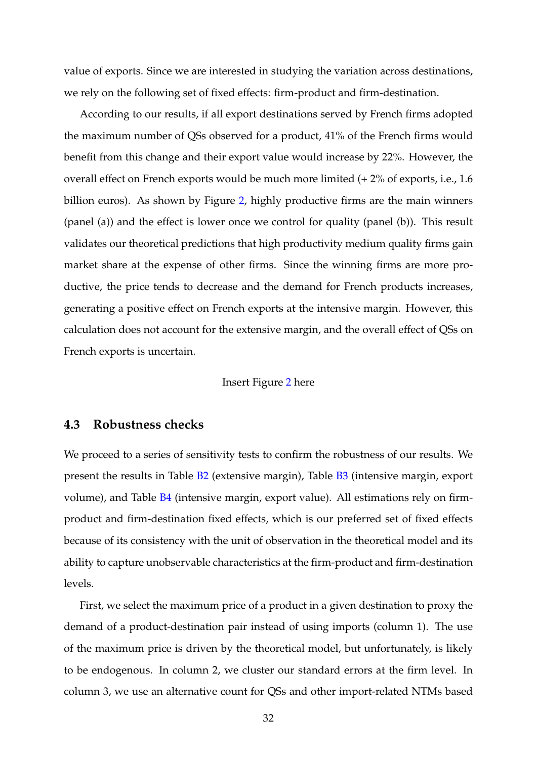value of exports. Since we are interested in studying the variation across destinations, we rely on the following set of fixed effects: firm-product and firm-destination.

According to our results, if all export destinations served by French firms adopted the maximum number of QSs observed for a product, 41% of the French firms would benefit from this change and their export value would increase by 22%. However, the overall effect on French exports would be much more limited (+ 2% of exports, i.e., 1.6 billion euros). As shown by Figure 2, highly productive firms are the main winners (panel (a)) and the effect is lower once we control for quality (panel (b)). This result validates our theoretical predictions that high productivity medium quality firms gain market share at the expense of other firms. Since the winning firms are more productive, the price tends to decrease and the demand for French products increases, generating a positive effect on French exports at the intensive margin. However, this calculation does not account for the extensive margin, and the overall effect of QSs on French exports is uncertain.

#### Insert Figure 2 here

#### **4.3 Robustness checks**

We proceed to a series of sensitivity tests to confirm the robustness of our results. We present the results in Table B2 (extensive margin), Table B3 (intensive margin, export volume), and Table [B4](#page-55-0) (intensive margin, export value). All estimations rely on firmproduct and firm-destination fixed effects, which is our preferred set of fixed effects because of its consistency with the unit of observation in the theoretical model and its ability to capture unobservable characteristics at the firm-product and firm-destination levels.

First, we select the maximum price of a product in a given destination to proxy the demand of a product-destination pair instead of using imports (column 1). The use of the maximum price is driven by the theoretical model, but unfortunately, is likely to be endogenous. In column 2, we cluster our standard errors at the firm level. In column 3, we use an alternative count for QSs and other import-related NTMs based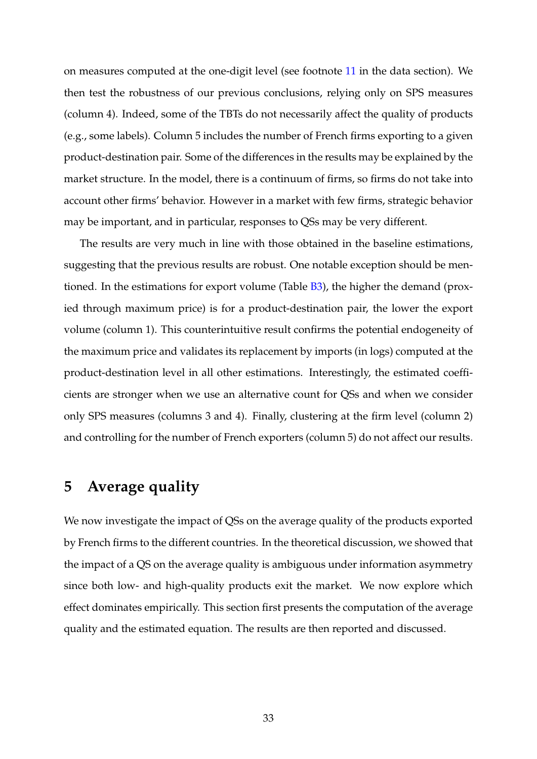on measures computed at the one-digit level (see footnote 11 in the data section). We then test the robustness of our previous conclusions, relying only on SPS measures (column 4). Indeed, some of the TBTs do not necessarily affect the quality of products (e.g., some labels). Column 5 includes the number of French firms exporting to a given product-destination pair. Some of the differences in the results may be explained by the market structure. In the model, there is a continuum of firms, so firms do not take into account other firms' behavior. However in a market with few firms, strategic behavior may be important, and in particular, responses to QSs may be very different.

The results are very much in line with those obtained in the baseline estimations, suggesting that the previous results are robust. One notable exception should be mentioned. In the estimations for export volume (Table B3), the higher the demand (proxied through maximum price) is for a product-destination pair, the lower the export volume (column 1). This counterintuitive result confirms the potential endogeneity of the maximum price and validates its replacement by imports (in logs) computed at the product-destination level in all other estimations. Interestingly, the estimated coefficients are stronger when we use an alternative count for QSs and when we consider only SPS measures (columns 3 and 4). Finally, clustering at the firm level (column 2) and controlling for the number of French exporters (column 5) do not affect our results.

### **5 Average quality**

We now investigate the impact of QSs on the average quality of the products exported by French firms to the different countries. In the theoretical discussion, we showed that the impact of a QS on the average quality is ambiguous under information asymmetry since both low- and high-quality products exit the market. We now explore which effect dominates empirically. This section first presents the computation of the average quality and the estimated equation. The results are then reported and discussed.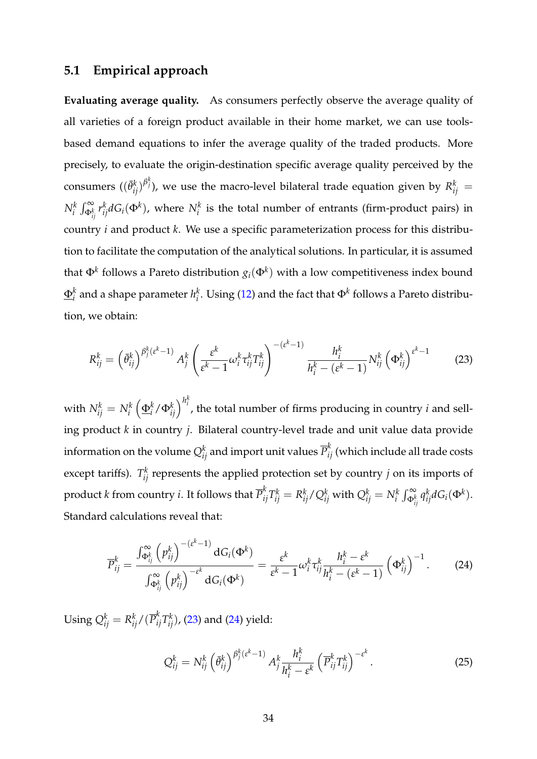#### **5.1 Empirical approach**

**Evaluating average quality.** As consumers perfectly observe the average quality of all varieties of a foreign product available in their home market, we can use toolsbased demand equations to infer the average quality of the traded products. More precisely, to evaluate the origin-destination specific average quality perceived by the consumers  $((\bar{\theta}_{ij}^k)^{\beta_j^k})$ , we use the macro-level bilateral trade equation given by  $R_{ij}^k =$  $N_i^k \int_{\Phi_{ij}^k}^{\infty} r_{ij}^k dG_i(\Phi^k)$ , where  $N_i^k$  is the total number of entrants (firm-product pairs) in country *i* and product *k*. We use a specific parameterization process for this distribution to facilitate the computation of the analytical solutions. In particular, it is assumed that  $\Phi^k$  follows a Pareto distribution  $g_i(\Phi^k)$  with a low competitiveness index bound  $\underline{\Phi}^k_i$  $\frac{k}{i}$  and a shape parameter  $h_i^k$  $i<sub>i</sub>$ . Using (12) and the fact that  $\Phi<sup>k</sup>$  follows a Pareto distribution, we obtain:

$$
R_{ij}^k = \left(\bar{\theta}_{ij}^k\right)^{\beta_j^k(\varepsilon^k - 1)} A_j^k \left(\frac{\varepsilon^k}{\varepsilon^k - 1} \omega_i^k \tau_{ij}^k T_{ij}^k\right)^{-(\varepsilon^k - 1)} \frac{h_i^k}{h_i^k - (\varepsilon^k - 1)} N_{ij}^k \left(\Phi_{ij}^k\right)^{\varepsilon^k - 1}
$$
(23)

with  $N_{ij}^k=N_i^k$  $\left(\frac{\Phi_i^k}{\Phi_i^k}\right)^{h_i^k}$ , the total number of firms producing in country *i* and selling product *k* in country *j*. Bilateral country-level trade and unit value data provide information on the volume  $Q_{ij}^k$  and import unit values  $\overline{P}_{ij}^k$  (which include all trade costs except tariffs).  $T_{ij}^k$  represents the applied protection set by country *j* on its imports of product  $k$  from country  $i$ . It follows that  $\overline{P}_{ij}^k T_{ij}^k = R_{ij}^k/Q_{ij}^k$  with  $Q_{ij}^k = N_i^k \int_{\Phi_{ij}^k}^\infty q_{ij}^k dG_i(\Phi^k)$ . Standard calculations reveal that:

$$
\overline{P}_{ij}^k = \frac{\int_{\Phi_{ij}^k}^{\infty} \left(p_{ij}^k\right)^{-(\varepsilon^k - 1)} dG_i(\Phi^k)}{\int_{\Phi_{ij}^k}^{\infty} \left(p_{ij}^k\right)^{-\varepsilon^k} dG_i(\Phi^k)} = \frac{\varepsilon^k}{\varepsilon^k - 1} \omega_i^k \tau_{ij}^k \frac{h_i^k - \varepsilon^k}{h_i^k - (\varepsilon^k - 1)} \left(\Phi_{ij}^k\right)^{-1}.
$$
 (24)

Using  $Q_{ij}^k = R_{ij}^k/(\overline{P}_{ij}^kT_{ij}^k)$ , (23) and (24) yield:

$$
Q_{ij}^k = N_{ij}^k \left( \bar{\theta}_{ij}^k \right)^{\beta_j^k \left( \varepsilon^k - 1 \right)} A_j^k \frac{h_i^k}{h_i^k - \varepsilon^k} \left( \overline{P}_{ij}^k T_{ij}^k \right)^{-\varepsilon^k} . \tag{25}
$$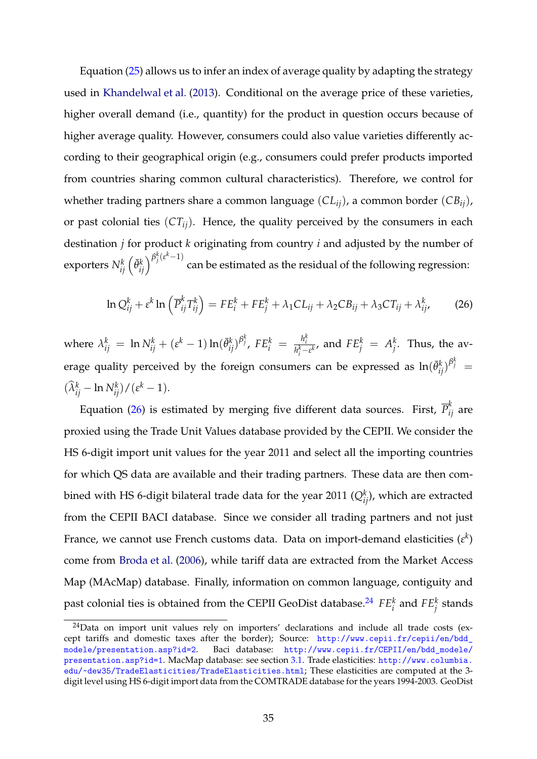Equation (25) allows us to infer an index of average quality by adapting the strategy used in Khandelwal et al. (2013). Conditional on the average price of these varieties, higher overall demand (i.e., quantity) for the product in question occurs because of higher average quality. However, consumers could also value varieties differently according to their geographical origin (e.g., consumers could prefer products imported from countries sharing common cultural characteristics). Therefore, we control for whether trading partners share a common language (*CLij*), a common border (*CBij*), or past colonial ties  $(CT_{ij})$ . Hence, the quality perceived by the consumers in each destination *j* for product *k* originating from country *i* and adjusted by the number of  $\exp$ orters  $N_{ij}^k\left(\bar{\theta}_{ij}^k\right)^{\beta_j^k\left(\varepsilon^k-1\right)}$ can be estimated as the residual of the following regression:

$$
\ln Q_{ij}^k + \varepsilon^k \ln \left( \overline{P}_{ij}^k T_{ij}^k \right) = FE_i^k + FE_j^k + \lambda_1 CL_{ij} + \lambda_2 CB_{ij} + \lambda_3 CT_{ij} + \lambda_{ij}^k, \tag{26}
$$

where  $\lambda_{ij}^k$  = ln  $N_{ij}^k + (\varepsilon^k - 1) \ln(\bar{\theta}_{ij}^k)^{\beta_j^k}$ ,  $FE_i^k$  =  $\frac{h_i^k}{h_i^k - 1}$  $\frac{n_i^2}{h_i^k - \varepsilon^k}$ , and  $FE_j^k = A_j^k$  $j^k$ . Thus, the average quality perceived by the foreign consumers can be expressed as  $\ln(\bar{\theta}_{ij}^k)^{\beta_j^k} =$  $(\widehat{\lambda}_{ij}^k - \ln N_{ij}^k)/(\varepsilon^k - 1).$ 

Equation (26) is estimated by merging five different data sources. First,  $\overline{P}_{ij}^k$  are proxied using the Trade Unit Values database provided by the CEPII. We consider the HS 6-digit import unit values for the year 2011 and select all the importing countries for which QS data are available and their trading partners. These data are then combined with HS 6-digit bilateral trade data for the year 2011 ( $Q^k_{ij}$ ), which are extracted from the CEPII BACI database. Since we consider all trading partners and not just France, we cannot use French customs data. Data on import-demand elasticities  $(\varepsilon^k)$ come from Broda et al. (2006), while tariff data are extracted from the Market Access Map (MAcMap) database. Finally, information on common language, contiguity and past colonial ties is obtained from the CEPII GeoDist database.<sup>24</sup>  $FE_i^k$  and  $FE_j^k$  stands

 $24$ Data on import unit values rely on importers' declarations and include all trade costs (except tariffs and domestic taxes after the border); Source: [http://www.cepii.fr/cepii/en/bdd\\_](http://www.cepii.fr/cepii/en/bdd_modele/presentation.asp?id=2) [modele/presentation.asp?id=2](http://www.cepii.fr/cepii/en/bdd_modele/presentation.asp?id=2). Baci database: [http://www.cepii.fr/CEPII/en/bdd\\_modele/](http://www.cepii.fr/CEPII/en/bdd_modele/presentation.asp?id=1) [presentation.asp?id=1](http://www.cepii.fr/CEPII/en/bdd_modele/presentation.asp?id=1). MacMap database: see section 3.1. Trade elasticities: [http://www.columbia.]( http://www.columbia.edu/~dew35/TradeElasticities/TradeElasticities.html) [edu/~dew35/TradeElasticities/TradeElasticities.html]( http://www.columbia.edu/~dew35/TradeElasticities/TradeElasticities.html); These elasticities are computed at the 3 digit level using HS 6-digit import data from the COMTRADE database for the years 1994-2003. GeoDist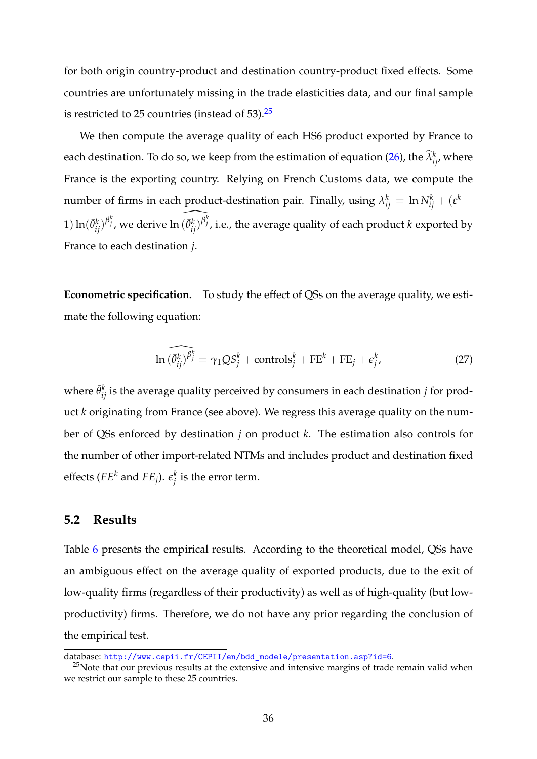for both origin country-product and destination country-product fixed effects. Some countries are unfortunately missing in the trade elasticities data, and our final sample is restricted to 25 countries (instead of  $53$ ).<sup>25</sup>

We then compute the average quality of each HS6 product exported by France to each destination. To do so, we keep from the estimation of equation (26), the  $\widehat{\lambda}_{ij}^k$ , where France is the exporting country. Relying on French Customs data, we compute the number of firms in each product-destination pair. Finally, using  $\lambda_{ij}^k = \ln N_{ij}^k + (\varepsilon^k - \varepsilon^k)$ 1)  $\ln(\bar{\theta}_{ij}^k)^{\beta_j^k}$ , we derive  $\ln(\widehat{\theta}_{ij}^k)^{\beta_j^k}$ , i.e., the average quality of each product *k* exported by France to each destination *j*.

**Econometric specification.** To study the effect of QSs on the average quality, we estimate the following equation:

$$
\widehat{\ln(\theta_{ij}^k)^{\beta_j^k}} = \gamma_1 Q S_j^k + \text{controls}_j^k + \text{FE}_k^k + \text{FE}_j + \epsilon_j^k,
$$
\n(27)

where  $\bar{\theta}^k_{ij}$  is the average quality perceived by consumers in each destination  $j$  for product *k* originating from France (see above). We regress this average quality on the number of QSs enforced by destination *j* on product *k*. The estimation also controls for the number of other import-related NTMs and includes product and destination fixed effects ( $FE<sup>k</sup>$  and  $FE<sub>j</sub>$ ).  $\epsilon_i^k$  $j_i^{\kappa}$  is the error term.

#### **5.2 Results**

Table 6 presents the empirical results. According to the theoretical model, QSs have an ambiguous effect on the average quality of exported products, due to the exit of low-quality firms (regardless of their productivity) as well as of high-quality (but lowproductivity) firms. Therefore, we do not have any prior regarding the conclusion of the empirical test.

database: [http://www.cepii.fr/CEPII/en/bdd\\_modele/presentation.asp?id=6](http://www.cepii.fr/CEPII/en/bdd_modele/presentation.asp?id=6).

 $25$ Note that our previous results at the extensive and intensive margins of trade remain valid when we restrict our sample to these 25 countries.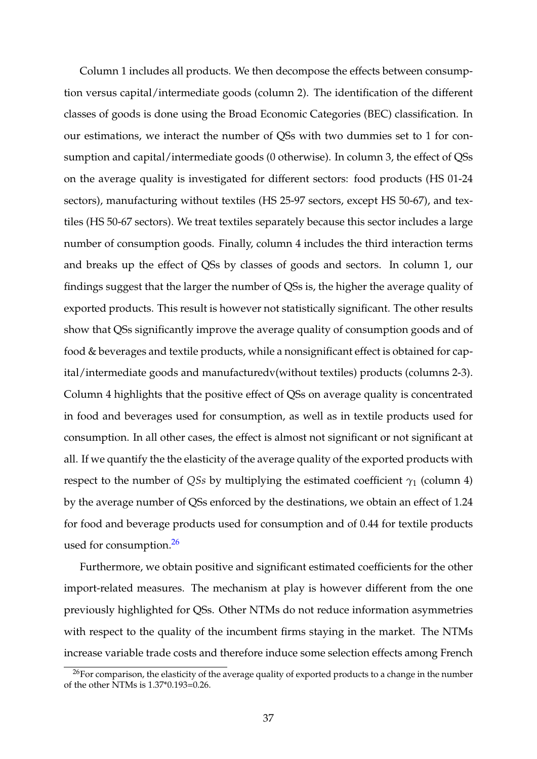Column 1 includes all products. We then decompose the effects between consumption versus capital/intermediate goods (column 2). The identification of the different classes of goods is done using the Broad Economic Categories (BEC) classification. In our estimations, we interact the number of QSs with two dummies set to 1 for consumption and capital/intermediate goods (0 otherwise). In column 3, the effect of QSs on the average quality is investigated for different sectors: food products (HS 01-24 sectors), manufacturing without textiles (HS 25-97 sectors, except HS 50-67), and textiles (HS 50-67 sectors). We treat textiles separately because this sector includes a large number of consumption goods. Finally, column 4 includes the third interaction terms and breaks up the effect of QSs by classes of goods and sectors. In column 1, our findings suggest that the larger the number of QSs is, the higher the average quality of exported products. This result is however not statistically significant. The other results show that QSs significantly improve the average quality of consumption goods and of food & beverages and textile products, while a nonsignificant effect is obtained for capital/intermediate goods and manufacturedv(without textiles) products (columns 2-3). Column 4 highlights that the positive effect of QSs on average quality is concentrated in food and beverages used for consumption, as well as in textile products used for consumption. In all other cases, the effect is almost not significant or not significant at all. If we quantify the the elasticity of the average quality of the exported products with respect to the number of *QSs* by multiplying the estimated coefficient  $\gamma_1$  (column 4) by the average number of QSs enforced by the destinations, we obtain an effect of 1.24 for food and beverage products used for consumption and of 0.44 for textile products used for consumption.<sup>26</sup>

Furthermore, we obtain positive and significant estimated coefficients for the other import-related measures. The mechanism at play is however different from the one previously highlighted for QSs. Other NTMs do not reduce information asymmetries with respect to the quality of the incumbent firms staying in the market. The NTMs increase variable trade costs and therefore induce some selection effects among French

 $^{26}$ For comparison, the elasticity of the average quality of exported products to a change in the number of the other NTMs is 1.37\*0.193=0.26.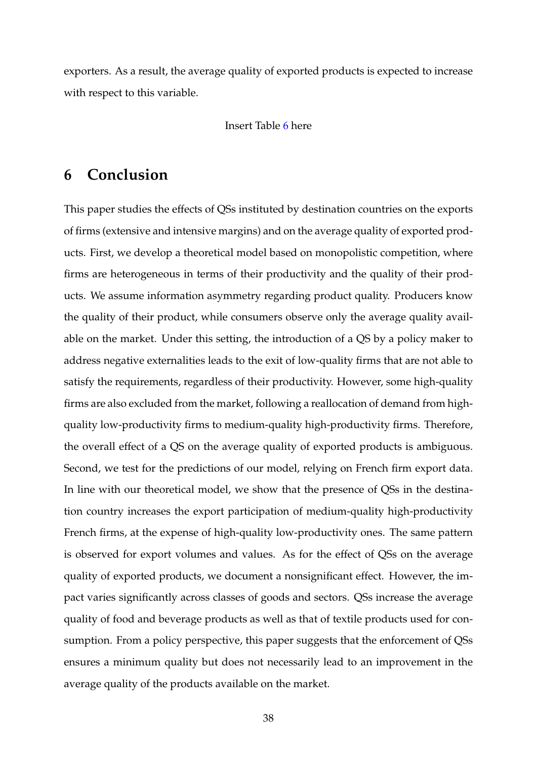exporters. As a result, the average quality of exported products is expected to increase with respect to this variable.

#### Insert Table 6 here

### **6 Conclusion**

This paper studies the effects of QSs instituted by destination countries on the exports of firms (extensive and intensive margins) and on the average quality of exported products. First, we develop a theoretical model based on monopolistic competition, where firms are heterogeneous in terms of their productivity and the quality of their products. We assume information asymmetry regarding product quality. Producers know the quality of their product, while consumers observe only the average quality available on the market. Under this setting, the introduction of a QS by a policy maker to address negative externalities leads to the exit of low-quality firms that are not able to satisfy the requirements, regardless of their productivity. However, some high-quality firms are also excluded from the market, following a reallocation of demand from highquality low-productivity firms to medium-quality high-productivity firms. Therefore, the overall effect of a QS on the average quality of exported products is ambiguous. Second, we test for the predictions of our model, relying on French firm export data. In line with our theoretical model, we show that the presence of QSs in the destination country increases the export participation of medium-quality high-productivity French firms, at the expense of high-quality low-productivity ones. The same pattern is observed for export volumes and values. As for the effect of QSs on the average quality of exported products, we document a nonsignificant effect. However, the impact varies significantly across classes of goods and sectors. QSs increase the average quality of food and beverage products as well as that of textile products used for consumption. From a policy perspective, this paper suggests that the enforcement of QSs ensures a minimum quality but does not necessarily lead to an improvement in the average quality of the products available on the market.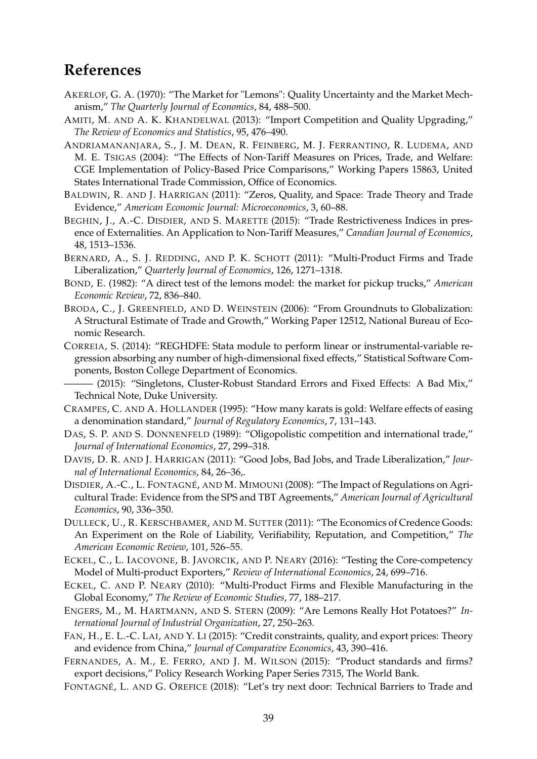### **References**

- AKERLOF, G. A. (1970): "The Market for "Lemons": Quality Uncertainty and the Market Mechanism," *The Quarterly Journal of Economics*, 84, 488–500.
- AMITI, M. AND A. K. KHANDELWAL (2013): "Import Competition and Quality Upgrading," *The Review of Economics and Statistics*, 95, 476–490.
- ANDRIAMANANJARA, S., J. M. DEAN, R. FEINBERG, M. J. FERRANTINO, R. LUDEMA, AND M. E. TSIGAS (2004): "The Effects of Non-Tariff Measures on Prices, Trade, and Welfare: CGE Implementation of Policy-Based Price Comparisons," Working Papers 15863, United States International Trade Commission, Office of Economics.
- BALDWIN, R. AND J. HARRIGAN (2011): "Zeros, Quality, and Space: Trade Theory and Trade Evidence," *American Economic Journal: Microeconomics*, 3, 60–88.
- BEGHIN, J., A.-C. DISDIER, AND S. MARETTE (2015): "Trade Restrictiveness Indices in presence of Externalities. An Application to Non-Tariff Measures," *Canadian Journal of Economics*, 48, 1513–1536.
- BERNARD, A., S. J. REDDING, AND P. K. SCHOTT (2011): "Multi-Product Firms and Trade Liberalization," *Quarterly Journal of Economics*, 126, 1271–1318.
- BOND, E. (1982): "A direct test of the lemons model: the market for pickup trucks," *American Economic Review*, 72, 836–840.
- BRODA, C., J. GREENFIELD, AND D. WEINSTEIN (2006): "From Groundnuts to Globalization: A Structural Estimate of Trade and Growth," Working Paper 12512, National Bureau of Economic Research.
- CORREIA, S. (2014): "REGHDFE: Stata module to perform linear or instrumental-variable regression absorbing any number of high-dimensional fixed effects," Statistical Software Components, Boston College Department of Economics.
- (2015): "Singletons, Cluster-Robust Standard Errors and Fixed Effects: A Bad Mix," Technical Note, Duke University.
- CRAMPES, C. AND A. HOLLANDER (1995): "How many karats is gold: Welfare effects of easing a denomination standard," *Journal of Regulatory Economics*, 7, 131–143.
- DAS, S. P. AND S. DONNENFELD (1989): "Oligopolistic competition and international trade," *Journal of International Economics*, 27, 299–318.
- DAVIS, D. R. AND J. HARRIGAN (2011): "Good Jobs, Bad Jobs, and Trade Liberalization," *Journal of International Economics*, 84, 26–36,.
- DISDIER, A.-C., L. FONTAGNÉ, AND M. MIMOUNI (2008): "The Impact of Regulations on Agricultural Trade: Evidence from the SPS and TBT Agreements," *American Journal of Agricultural Economics*, 90, 336–350.
- DULLECK, U., R. KERSCHBAMER, AND M. SUTTER (2011): "The Economics of Credence Goods: An Experiment on the Role of Liability, Verifiability, Reputation, and Competition," *The American Economic Review*, 101, 526–55.
- ECKEL, C., L. IACOVONE, B. JAVORCIK, AND P. NEARY (2016): "Testing the Core-competency Model of Multi-product Exporters," *Review of International Economics*, 24, 699–716.
- ECKEL, C. AND P. NEARY (2010): "Multi-Product Firms and Flexible Manufacturing in the Global Economy," *The Review of Economic Studies*, 77, 188–217.
- ENGERS, M., M. HARTMANN, AND S. STERN (2009): "Are Lemons Really Hot Potatoes?" *International Journal of Industrial Organization*, 27, 250–263.
- FAN, H., E. L.-C. LAI, AND Y. LI (2015): "Credit constraints, quality, and export prices: Theory and evidence from China," *Journal of Comparative Economics*, 43, 390–416.
- FERNANDES, A. M., E. FERRO, AND J. M. WILSON (2015): "Product standards and firms? export decisions," Policy Research Working Paper Series 7315, The World Bank.
- FONTAGNÉ, L. AND G. OREFICE (2018): "Let's try next door: Technical Barriers to Trade and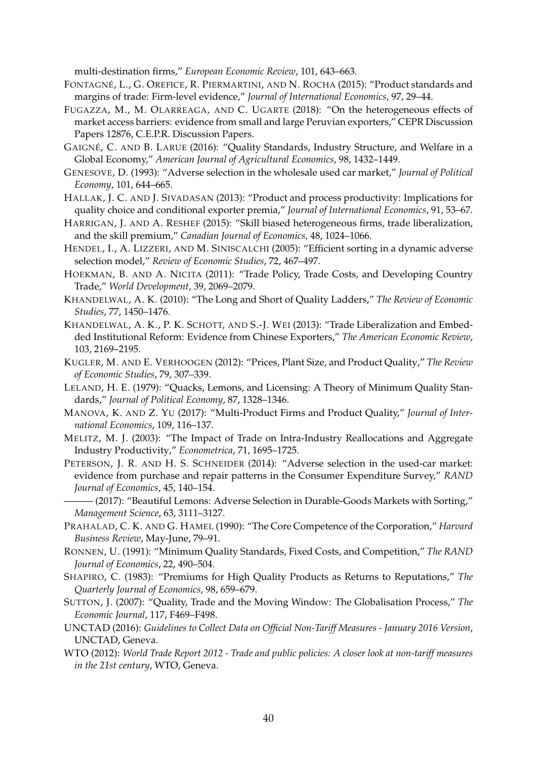multi-destination firms," *European Economic Review*, 101, 643–663.

- FONTAGNÉ, L., G. OREFICE, R. PIERMARTINI, AND N. ROCHA (2015): "Product standards and margins of trade: Firm-level evidence," *Journal of International Economics*, 97, 29–44.
- FUGAZZA, M., M. OLARREAGA, AND C. UGARTE (2018): "On the heterogeneous effects of market access barriers: evidence from small and large Peruvian exporters," CEPR Discussion Papers 12876, C.E.P.R. Discussion Papers.
- GAIGNÉ, C. AND B. LARUE (2016): "Quality Standards, Industry Structure, and Welfare in a Global Economy," *American Journal of Agricultural Economics*, 98, 1432–1449.
- GENESOVE, D. (1993): "Adverse selection in the wholesale used car market," *Journal of Political Economy*, 101, 644–665.
- HALLAK, J. C. AND J. SIVADASAN (2013): "Product and process productivity: Implications for quality choice and conditional exporter premia," *Journal of International Economics*, 91, 53–67.
- HARRIGAN, J. AND A. RESHEF (2015): "Skill biased heterogeneous firms, trade liberalization, and the skill premium," *Canadian Journal of Economics*, 48, 1024–1066.
- HENDEL, I., A. LIZZERI, AND M. SINISCALCHI (2005): "Efficient sorting in a dynamic adverse selection model," *Review of Economic Studies*, 72, 467–497.
- HOEKMAN, B. AND A. NICITA (2011): "Trade Policy, Trade Costs, and Developing Country Trade," *World Development*, 39, 2069–2079.
- KHANDELWAL, A. K. (2010): "The Long and Short of Quality Ladders," *The Review of Economic Studies*, 77, 1450–1476.
- KHANDELWAL, A. K., P. K. SCHOTT, AND S.-J. WEI (2013): "Trade Liberalization and Embedded Institutional Reform: Evidence from Chinese Exporters," *The American Economic Review*, 103, 2169–2195.
- KUGLER, M. AND E. VERHOOGEN (2012): "Prices, Plant Size, and Product Quality," *The Review of Economic Studies*, 79, 307–339.
- LELAND, H. E. (1979): "Quacks, Lemons, and Licensing: A Theory of Minimum Quality Standards," *Journal of Political Economy*, 87, 1328–1346.
- MANOVA, K. AND Z. YU (2017): "Multi-Product Firms and Product Quality," *Journal of International Economics*, 109, 116–137.
- MELITZ, M. J. (2003): "The Impact of Trade on Intra-Industry Reallocations and Aggregate Industry Productivity," *Econometrica*, 71, 1695–1725.
- PETERSON, J. R. AND H. S. SCHNEIDER (2014): "Adverse selection in the used-car market: evidence from purchase and repair patterns in the Consumer Expenditure Survey," *RAND Journal of Economics*, 45, 140–154.
- -(2017): "Beautiful Lemons: Adverse Selection in Durable-Goods Markets with Sorting," *Management Science*, 63, 3111–3127.
- PRAHALAD, C. K. AND G. HAMEL (1990): "The Core Competence of the Corporation," *Harvard Business Review*, May-June, 79–91.
- RONNEN, U. (1991): "Minimum Quality Standards, Fixed Costs, and Competition," *The RAND Journal of Economics*, 22, 490–504.
- SHAPIRO, C. (1983): "Premiums for High Quality Products as Returns to Reputations," *The Quarterly Journal of Economics*, 98, 659–679.
- SUTTON, J. (2007): "Quality, Trade and the Moving Window: The Globalisation Process," *The Economic Journal*, 117, F469–F498.
- UNCTAD (2016): *Guidelines to Collect Data on Official Non-Tariff Measures January 2016 Version*, UNCTAD, Geneva.
- WTO (2012): *World Trade Report 2012 Trade and public policies: A closer look at non-tariff measures in the 21st century*, WTO, Geneva.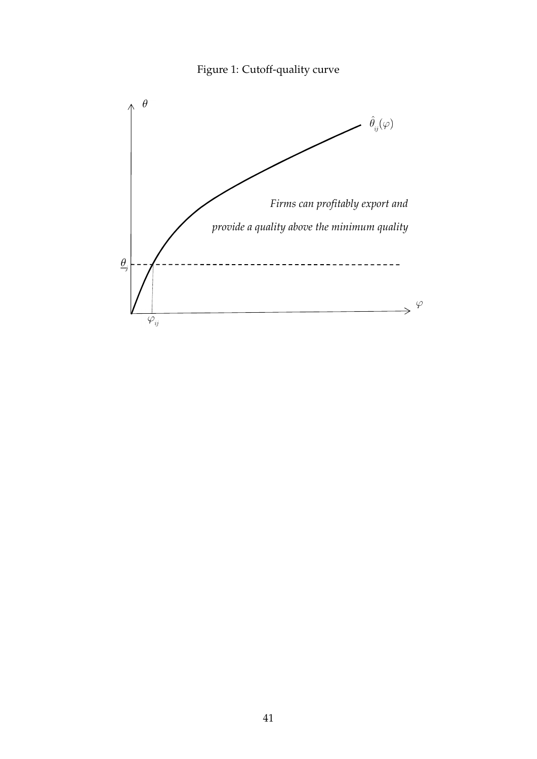

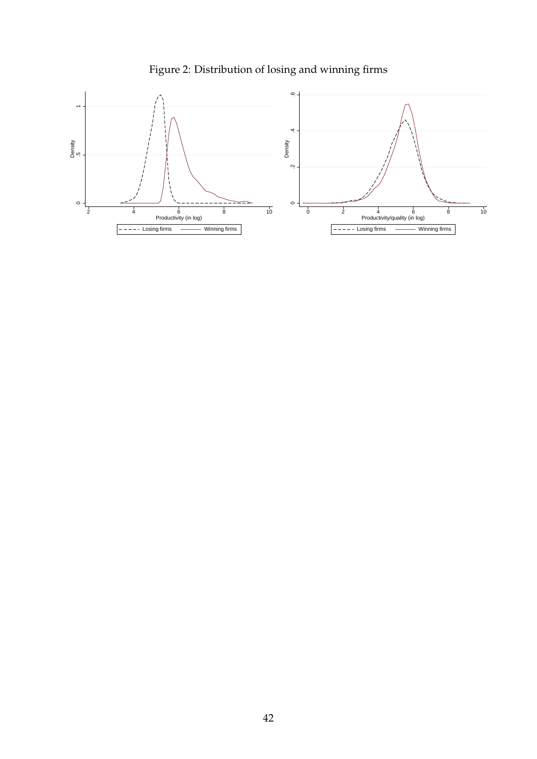

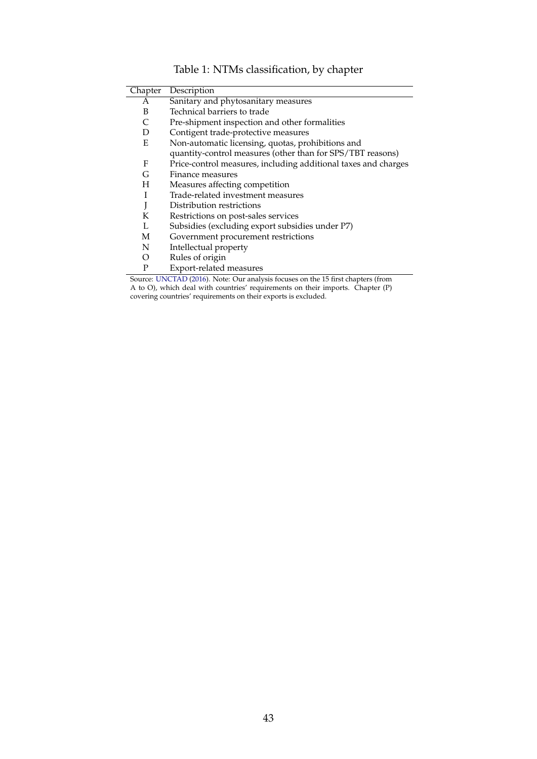<span id="page-43-0"></span>

| Chapter  | Description                                                    |
|----------|----------------------------------------------------------------|
| А        | Sanitary and phytosanitary measures                            |
| B        | Technical barriers to trade                                    |
| C        | Pre-shipment inspection and other formalities                  |
| D        | Contigent trade-protective measures                            |
| E        | Non-automatic licensing, quotas, prohibitions and              |
|          | quantity-control measures (other than for SPS/TBT reasons)     |
| F        | Price-control measures, including additional taxes and charges |
| G        | Finance measures                                               |
| H        | Measures affecting competition                                 |
|          | Trade-related investment measures                              |
| J        | Distribution restrictions                                      |
| K        | Restrictions on post-sales services                            |
| L        | Subsidies (excluding export subsidies under P7)                |
| M        | Government procurement restrictions                            |
| N        | Intellectual property                                          |
| $\Omega$ | Rules of origin                                                |
| P        | Export-related measures                                        |

Table 1: NTMs classification, by chapter

Source: UNCTAD (2016). Note: Our analysis focuses on the 15 first chapters (from A to O), which deal with countries' requirements on their imports. Chapter (P) covering countries' requirements on their exports is excluded.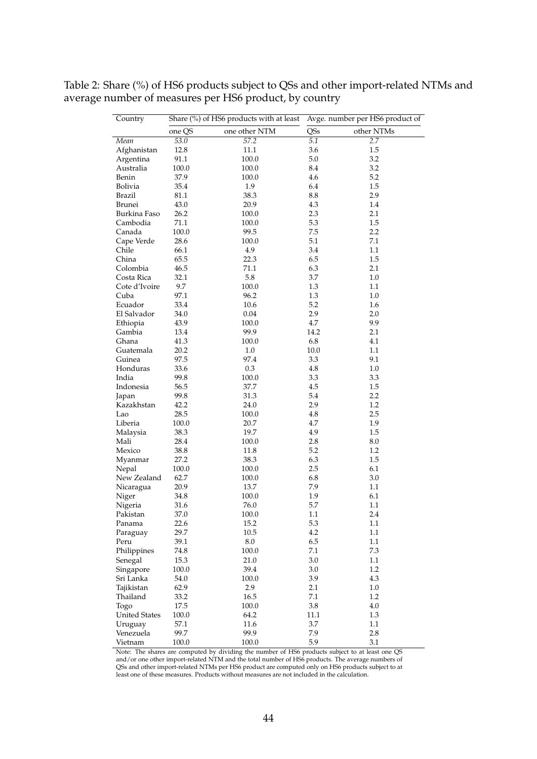<span id="page-44-0"></span>

| Table 2: Share (%) of HS6 products subject to QSs and other import-related NTMs and |  |  |  |
|-------------------------------------------------------------------------------------|--|--|--|
| average number of measures per HS6 product, by country                              |  |  |  |

| Country              |        | Share (%) of HS6 products with at least | Avge. number per HS6 product of |            |
|----------------------|--------|-----------------------------------------|---------------------------------|------------|
|                      | one QS | one other NTM                           | QSs                             | other NTMs |
| Mean                 | 53.0   | $\overline{57.2}$                       | 5.1                             | 2.7        |
| Afghanistan          | 12.8   | 11.1                                    | 3.6                             | 1.5        |
| Argentina            | 91.1   | 100.0                                   | 5.0                             | 3.2        |
| Australia            | 100.0  | 100.0                                   | 8.4                             | 3.2        |
| Benin                | 37.9   | 100.0                                   | 4.6                             | 5.2        |
| Bolivia              | 35.4   | 1.9                                     | 6.4                             | 1.5        |
| <b>Brazil</b>        | 81.1   | 38.3                                    | 8.8                             | 2.9        |
| Brunei               | 43.0   | 20.9                                    | 4.3                             | 1.4        |
| Burkina Faso         | 26.2   | 100.0                                   | 2.3                             | 2.1        |
| Cambodia             | 71.1   | 100.0                                   | 5.3                             | 1.5        |
| Canada               | 100.0  | 99.5                                    | 7.5                             | 2.2        |
| Cape Verde           | 28.6   | 100.0                                   | 5.1                             | 7.1        |
| Chile                | 66.1   | 4.9                                     | 3.4                             | 1.1        |
| China                | 65.5   | 22.3                                    | 6.5                             | 1.5        |
| Colombia             | 46.5   | 71.1                                    | 6.3                             | 2.1        |
| Costa Rica           | 32.1   | 5.8                                     | 3.7                             | $1.0\,$    |
| Cote d'Ivoire        | 9.7    | 100.0                                   | 1.3                             | 1.1        |
| Cuba                 | 97.1   | 96.2                                    | 1.3                             | 1.0        |
| Ecuador              | 33.4   | 10.6                                    | 5.2                             | 1.6        |
| El Salvador          | 34.0   | 0.04                                    | 2.9                             | 2.0        |
| Ethiopia             | 43.9   | 100.0                                   | 4.7                             | 9.9        |
| Gambia               | 13.4   | 99.9                                    | 14.2                            | 2.1        |
| Ghana                | 41.3   | 100.0                                   | 6.8                             | 4.1        |
| Guatemala            | 20.2   | 1.0                                     | 10.0                            | 1.1        |
| Guinea               | 97.5   | 97.4                                    | 3.3                             | 9.1        |
| Honduras             | 33.6   | 0.3                                     | 4.8                             | $1.0\,$    |
| India                | 99.8   | 100.0                                   | 3.3                             | 3.3        |
| Indonesia            | 56.5   | 37.7                                    | 4.5                             | 1.5        |
| Japan                | 99.8   | 31.3                                    | 5.4                             | 2.2        |
| Kazakhstan           | 42.2   | 24.0                                    | 2.9                             | 1.2        |
| Lao                  | 28.5   | 100.0                                   | 4.8                             | 2.5        |
| Liberia              | 100.0  | 20.7                                    | 4.7                             | 1.9        |
| Malaysia             | 38.3   | 19.7                                    | 4.9                             | 1.5        |
| Mali                 | 28.4   | 100.0                                   | 2.8                             | 8.0        |
| Mexico               | 38.8   | 11.8                                    | 5.2                             | 1.2        |
| Myanmar              | 27.2   | 38.3                                    | 6.3                             | 1.5        |
| Nepal                | 100.0  | 100.0                                   | 2.5                             | 6.1        |
| New Zealand          | 62.7   | 100.0                                   | 6.8                             | 3.0        |
| Nicaragua            | 20.9   | 13.7                                    | 7.9                             | 1.1        |
| Niger                | 34.8   | 100.0                                   | 1.9                             | 6.1        |
| Nigeria              | 31.6   | 76.0                                    | 5.7                             | 1.1        |
| Pakistan             | 37.0   | $100.0\,$                               | $1.1\,$                         | $2.4\,$    |
| Panama               | 22.6   | 15.2                                    | 5.3                             | $1.1\,$    |
| Paraguay             | 29.7   | 10.5                                    | 4.2                             | 1.1        |
| Peru                 | 39.1   | $8.0\,$                                 | 6.5                             | $1.1\,$    |
| Philippines          | 74.8   | 100.0                                   | 7.1                             | 7.3        |
| Senegal              | 15.3   | 21.0                                    | 3.0                             | 1.1        |
| Singapore            | 100.0  | 39.4                                    | 3.0                             | 1.2        |
| Sri Lanka            | 54.0   | 100.0                                   | 3.9                             | 4.3        |
| Tajikistan           | 62.9   | 2.9                                     | 2.1                             | 1.0        |
| Thailand             | 33.2   | 16.5                                    | 7.1                             | 1.2        |
| Togo                 | 17.5   | 100.0                                   | 3.8                             | 4.0        |
| <b>United States</b> | 100.0  | 64.2                                    | 11.1                            | 1.3        |
| Uruguay              | 57.1   | 11.6                                    | 3.7                             | 1.1        |
| Venezuela            | 99.7   | 99.9                                    | 7.9                             | 2.8        |
| Vietnam              | 100.0  | 100.0                                   | 5.9                             | 3.1        |

Note: The shares are computed by dividing the number of HS6 products subject to at least one QS and/or one other import-related NTM and the total number of HS6 products. The average numbers of QSs and other import-related NTMs per HS6 product are computed only on HS6 products subject to at least one of these measures. Products without measures are not included in the calculation.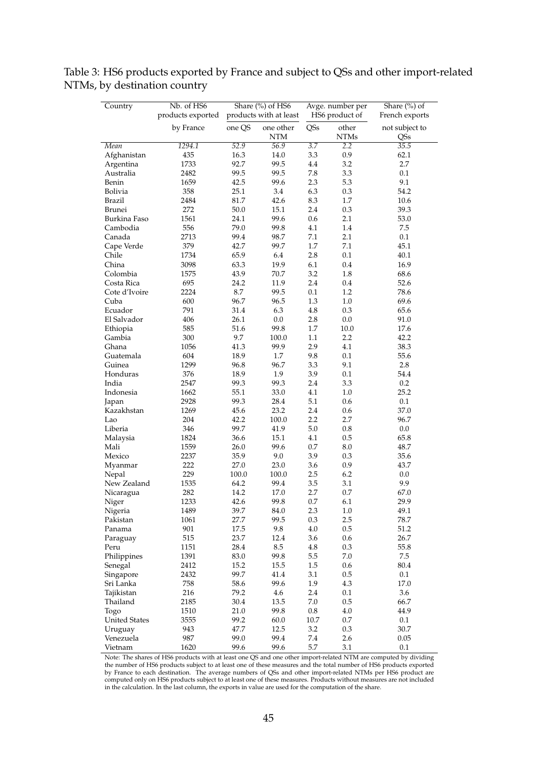| Country              | Nb. of HS6<br>products exported |               | Share (%) of HS6<br>products with at least | Avge. number per<br>HS6 product of |                      | Share $(\%)$ of<br>French exports |
|----------------------|---------------------------------|---------------|--------------------------------------------|------------------------------------|----------------------|-----------------------------------|
|                      | by France                       | one QS        | one other<br><b>NTM</b>                    | QSs                                | other<br><b>NTMs</b> | not subject to<br>QSs             |
| Mean                 | 1294.1                          | 52.9          | 56.9                                       | $\overline{3.7}$                   | 2.2                  | 35.5                              |
| Afghanistan          | 435                             | 16.3          | 14.0                                       | 3.3                                | 0.9                  | 62.1                              |
| Argentina            | 1733                            | 92.7          | 99.5                                       | 4.4                                | 3.2                  | 2.7                               |
| Australia            | 2482                            | 99.5          | 99.5                                       | 7.8                                | 3.3                  | $0.1\,$                           |
| Benin                | 1659                            | 42.5          | 99.6                                       | 2.3                                | 5.3                  | 9.1                               |
| Bolivia              | 358                             | 25.1          | 3.4                                        | 6.3                                | 0.3                  | 54.2                              |
| Brazil               | 2484                            | 81.7          | 42.6                                       | 8.3                                | 1.7                  | 10.6                              |
| Brunei               | 272                             | 50.0          | 15.1                                       | 2.4                                | 0.3                  | 39.3                              |
| Burkina Faso         | 1561                            | 24.1          | 99.6                                       | 0.6                                | 2.1                  | 53.0                              |
| Cambodia             | 556                             | 79.0          | 99.8                                       | 4.1                                | 1.4                  | 7.5                               |
| Canada               | 2713                            | 99.4          | 98.7                                       | 7.1                                | 2.1                  | 0.1                               |
| Cape Verde           | 379                             | 42.7          | 99.7                                       | 1.7                                | 7.1                  | 45.1                              |
| Chile                | 1734                            | 65.9          | 6.4                                        | 2.8                                | 0.1                  | 40.1                              |
| China                | 3098                            | 63.3          | 19.9                                       | 6.1                                | 0.4                  | 16.9                              |
| Colombia             | 1575                            | 43.9          | 70.7                                       | 3.2                                | 1.8                  | 68.6                              |
| Costa Rica           | 695                             | 24.2          | 11.9                                       | 2.4                                | 0.4                  | 52.6                              |
| Cote d'Ivoire        | 2224                            | 8.7           | 99.5                                       | 0.1                                | 1.2                  | 78.6                              |
| Cuba                 | 600                             | 96.7          | 96.5                                       | 1.3                                | 1.0                  | 69.6                              |
| Ecuador              | 791                             | 31.4          | 6.3                                        | 4.8                                | 0.3                  | 65.6                              |
| El Salvador          | 406                             | 26.1          | 0.0                                        | 2.8                                | 0.0                  | 91.0                              |
| Ethiopia             | 585                             | 51.6          | 99.8                                       | 1.7                                | 10.0                 | 17.6                              |
| Gambia               | 300                             | 9.7           | 100.0                                      | $1.1\,$                            | 2.2                  | 42.2                              |
| Ghana                | 1056                            | 41.3          | 99.9                                       | 2.9                                | 4.1                  | 38.3                              |
| Guatemala            | 604                             | 18.9          | 1.7                                        | 9.8                                | 0.1                  | 55.6                              |
| Guinea               | 1299                            | 96.8          | 96.7                                       | 3.3                                | 9.1                  | 2.8                               |
| Honduras             | 376                             | 18.9          | 1.9                                        | 3.9                                | 0.1                  | 54.4                              |
| India                | 2547                            | 99.3          | 99.3                                       | 2.4                                | 3.3                  | 0.2                               |
| Indonesia            | 1662                            | 55.1          | 33.0                                       | 4.1                                | 1.0                  | 25.2                              |
| Japan                | 2928                            | 99.3          | 28.4                                       | 5.1                                | 0.6                  | 0.1                               |
| Kazakhstan           | 1269                            | 45.6          | 23.2                                       | 2.4                                | 0.6                  | 37.0                              |
| Lao                  | 204                             | 42.2          | 100.0                                      | 2.2                                | 2.7                  | 96.7                              |
| Liberia              | 346                             | 99.7          | 41.9                                       | 5.0                                | 0.8                  | 0.0                               |
| Malaysia             | 1824                            | 36.6          | 15.1                                       | 4.1                                | 0.5                  | 65.8                              |
| Mali                 | 1559                            | 26.0          | 99.6                                       | 0.7                                | 8.0                  | 48.7                              |
| Mexico               | 2237                            | 35.9          | 9.0                                        | 3.9                                | 0.3                  | 35.6                              |
| Myanmar              | 222<br>229                      | 27.0          | 23.0                                       | 3.6                                | 0.9                  | 43.7                              |
| Nepal<br>New Zealand | 1535                            | 100.0<br>64.2 | 100.0<br>99.4                              | 2.5<br>3.5                         | 6.2<br>3.1           | 0.0<br>9.9                        |
| Nicaragua            | 282                             | 14.2          | 17.0                                       | 2.7                                | 0.7                  | 67.0                              |
| Niger                | 1233                            | 42.6          | 99.8                                       | $0.7\,$                            | 6.1                  | 29.9                              |
| Nigeria              | 1489                            | 39.7          | 84.0                                       | 2.3                                | 1.0                  | 49.1                              |
| Pakistan             | 1061                            | 27.7          | 99.5                                       | 0.3                                | 2.5                  | $78.7\,$                          |
| Panama               | 901                             | 17.5          | 9.8                                        | 4.0                                | 0.5                  | 51.2                              |
| Paraguay             | 515                             | 23.7          | 12.4                                       | 3.6                                | 0.6                  | 26.7                              |
| Peru                 | 1151                            | 28.4          | $\ \, 8.5$                                 | 4.8                                | 0.3                  | 55.8                              |
| Philippines          | 1391                            | 83.0          | 99.8                                       | 5.5                                | 7.0                  | $7.5\,$                           |
| Senegal              | 2412                            | 15.2          | 15.5                                       | $1.5\,$                            | 0.6                  | 80.4                              |
| Singapore            | 2432                            | 99.7          | 41.4                                       | 3.1                                | 0.5                  | 0.1                               |
| Sri Lanka            | 758                             | 58.6          | 99.6                                       | 1.9                                | 4.3                  | 17.0                              |
| Tajikistan           | 216                             | 79.2          | 4.6                                        | 2.4                                | 0.1                  | 3.6                               |
| Thailand             | 2185                            | 30.4          | 13.5                                       | 7.0                                | 0.5                  | 66.7                              |
| Togo                 | 1510                            | 21.0          | 99.8                                       | 0.8                                | 4.0                  | 44.9                              |
| <b>United States</b> | 3555                            | 99.2          | 60.0                                       | 10.7                               | $0.7\,$              | 0.1                               |
| Uruguay              | 943                             | 47.7          | 12.5                                       | 3.2                                | 0.3                  | 30.7                              |
| Venezuela            | 987                             | 99.0          | 99.4                                       | 7.4                                | 2.6                  | 0.05                              |
| Vietnam              | 1620                            | 99.6          | 99.6                                       | 5.7                                | 3.1                  | 0.1                               |

<span id="page-45-0"></span>Table 3: HS6 products exported by France and subject to QSs and other import-related NTMs, by destination country

Note: The shares of HS6 products with at least one QS and one other import-related NTM are computed by dividing the number of HS6 products subject to at least one of these measures and the total number of HS6 products exported by France to each destination. The average numbers of QSs and other import-related NTMs per HS6 product are computed only on HS6 products subject to at least one of these measures. Products without measures are not included in the calculation. In the last column, the exports in value are used for the computation of the share.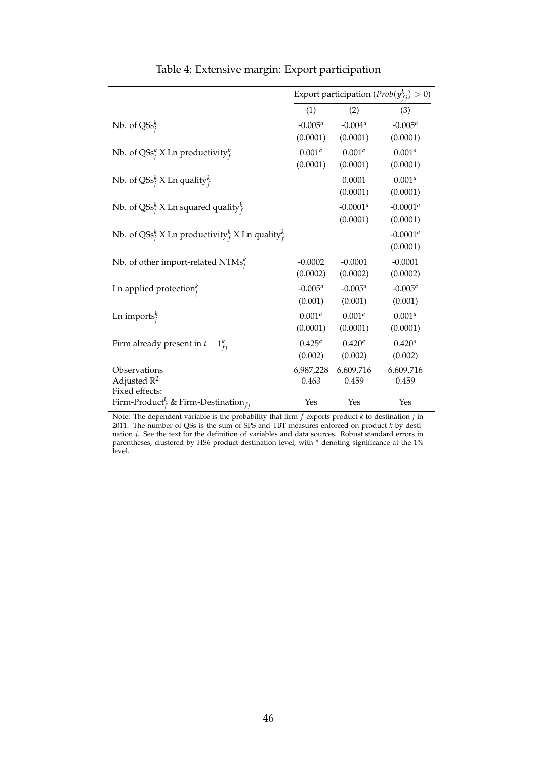|                                                                                  | Export participation ( $Prob(y_{fi}^k) > 0$ ) |             |             |  |  |
|----------------------------------------------------------------------------------|-----------------------------------------------|-------------|-------------|--|--|
|                                                                                  | (1)                                           | (2)         | (3)         |  |  |
| Nb. of $\text{QSS}_i^k$                                                          | $-0.005^{a}$                                  | $-0.004^a$  | $-0.005^a$  |  |  |
|                                                                                  | (0.0001)                                      | (0.0001)    | (0.0001)    |  |  |
| Nb. of QSs <sup>k</sup> X Ln productivity <sup>k</sup>                           | $0.001^{a}$                                   | $0.001^a$   | $0.001^{a}$ |  |  |
|                                                                                  | (0.0001)                                      | (0.0001)    | (0.0001)    |  |  |
| Nb. of QSs <sup>k</sup> X Ln quality <sup>k</sup>                                |                                               | 0.0001      | $0.001^{a}$ |  |  |
|                                                                                  |                                               | (0.0001)    | (0.0001)    |  |  |
| Nb. of QSs <sup>k</sup> X Ln squared quality <sup>k</sup>                        |                                               | $-0.0001^a$ | $-0.0001^a$ |  |  |
|                                                                                  |                                               | (0.0001)    | (0.0001)    |  |  |
| Nb. of QSs <sup>k</sup> X Ln productivity <sup>k</sup> X Ln quality <sup>k</sup> |                                               |             | $-0.0001^a$ |  |  |
|                                                                                  |                                               |             | (0.0001)    |  |  |
| Nb. of other import-related NTMs $_i^k$                                          | $-0.0002$                                     | $-0.0001$   | $-0.0001$   |  |  |
|                                                                                  | (0.0002)                                      | (0.0002)    | (0.0002)    |  |  |
| Ln applied protection $i$                                                        | $-0.005^a$                                    | $-0.005^a$  | $-0.005^a$  |  |  |
|                                                                                  | (0.001)                                       | (0.001)     | (0.001)     |  |  |
| Ln imports $_i^k$                                                                | $0.001^{a}$                                   | $0.001^a$   | $0.001^{a}$ |  |  |
|                                                                                  | (0.0001)                                      | (0.0001)    | (0.0001)    |  |  |
| Firm already present in $t-1_{fi}^k$                                             | $0.425^{a}$                                   | $0.420^{a}$ | $0.420^{a}$ |  |  |
|                                                                                  | (0.002)                                       | (0.002)     | (0.002)     |  |  |
| Observations                                                                     | 6,987,228                                     | 6,609,716   | 6,609,716   |  |  |
| Adjusted $R^2$                                                                   | 0.463                                         | 0.459       | 0.459       |  |  |
| Fixed effects:<br>Firm-Product <sup>k</sup> & Firm-Destination <sub>fi</sub>     | Yes                                           | Yes         | Yes         |  |  |
|                                                                                  |                                               |             |             |  |  |

Table 4: Extensive margin: Export participation

Note: The dependent variable is the probability that firm *f* exports product *k* to destination *j* in 2011. The number of QSs is the sum of SPS and TBT measures enforced on product *k* by destination *j*. See the text for the definition of variables and data sources. Robust standard errors in parentheses, clustered by HS6 product-destination level, with *<sup>a</sup>* denoting significance at the 1% level.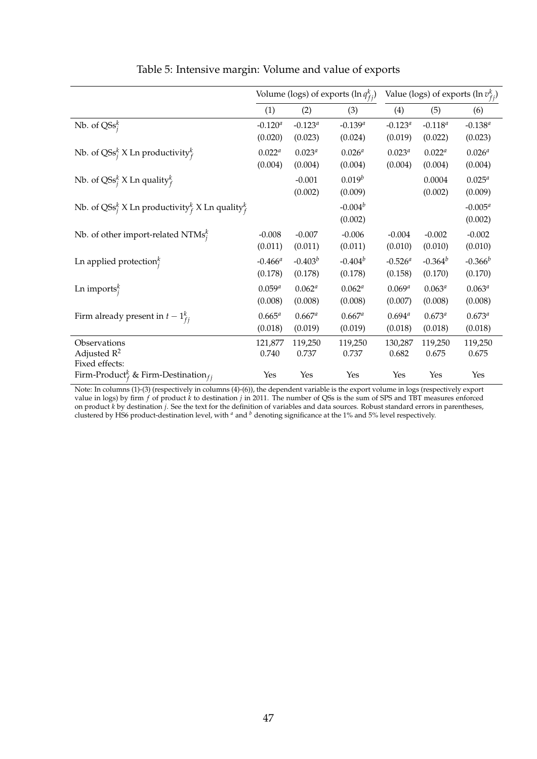|                                                                                  | Volume (logs) of exports $(\ln q_{f_i}^k)$ |              |              | Value (logs) of exports $(\ln v_{f_i}^k)$ |              |              |
|----------------------------------------------------------------------------------|--------------------------------------------|--------------|--------------|-------------------------------------------|--------------|--------------|
|                                                                                  | (1)                                        | (2)          | (3)          | (4)                                       | (5)          | (6)          |
| Nb. of $\text{QSS}_i^k$                                                          | $-0.120^{a}$                               | $-0.123^{a}$ | $-0.139^{a}$ | $-0.123^{a}$                              | $-0.118^{a}$ | $-0.138^{a}$ |
|                                                                                  | (0.020)                                    | (0.023)      | (0.024)      | (0.019)                                   | (0.022)      | (0.023)      |
| Nb. of QSs <sup>k</sup> X Ln productivity <sup>k</sup>                           | $0.022^{a}$                                | $0.023^{a}$  | $0.026^{a}$  | $0.023^{a}$                               | $0.022^{a}$  | $0.026^{a}$  |
|                                                                                  | (0.004)                                    | (0.004)      | (0.004)      | (0.004)                                   | (0.004)      | (0.004)      |
| Nb. of QSs <sup>k</sup> X Ln quality <sup>k</sup>                                |                                            | $-0.001$     | $0.019^b$    |                                           | 0.0004       | $0.025^{a}$  |
|                                                                                  |                                            | (0.002)      | (0.009)      |                                           | (0.002)      | (0.009)      |
| Nb. of QSs <sup>k</sup> X Ln productivity <sup>k</sup> X Ln quality <sup>k</sup> |                                            |              | $-0.004^b$   |                                           |              | $-0.005^a$   |
|                                                                                  |                                            |              | (0.002)      |                                           |              | (0.002)      |
| Nb. of other import-related NTMs $_i^k$                                          | $-0.008$                                   | $-0.007$     | $-0.006$     | $-0.004$                                  | $-0.002$     | $-0.002$     |
|                                                                                  | (0.011)                                    | (0.011)      | (0.011)      | (0.010)                                   | (0.010)      | (0.010)      |
| Ln applied protection $i$                                                        | $-0.466$ <sup>a</sup>                      | $-0.403^b$   | $-0.404^{b}$ | $-0.526$ <sup>a</sup>                     | $-0.364^{b}$ | $-0.366^b$   |
|                                                                                  | (0.178)                                    | (0.178)      | (0.178)      | (0.158)                                   | (0.170)      | (0.170)      |
| Ln imports $_i^k$                                                                | $0.059^{a}$                                | $0.062^{a}$  | $0.062^{a}$  | $0.069^{a}$                               | $0.063^{a}$  | $0.063^{a}$  |
|                                                                                  | (0.008)                                    | (0.008)      | (0.008)      | (0.007)                                   | (0.008)      | (0.008)      |
| Firm already present in $t-1_{fi}^k$                                             | $0.665^{a}$                                | $0.667^a$    | $0.667^a$    | $0.694^{a}$                               | $0.673^{a}$  | $0.673^{a}$  |
|                                                                                  | (0.018)                                    | (0.019)      | (0.019)      | (0.018)                                   | (0.018)      | (0.018)      |
| Observations                                                                     | 121,877                                    | 119,250      | 119,250      | 130,287                                   | 119,250      | 119,250      |
| Adjusted $R^2$                                                                   | 0.740                                      | 0.737        | 0.737        | 0.682                                     | 0.675        | 0.675        |
| Fixed effects:<br>Firm-Product <sup>k</sup> & Firm-Destination <sub>fi</sub>     | Yes                                        | Yes          | Yes          | Yes                                       | Yes          | Yes          |

Table 5: Intensive margin: Volume and value of exports

Note: In columns (1)-(3) (respectively in columns (4)-(6)), the dependent variable is the export volume in logs (respectively export value in logs) by firm *f* of product *k* to destination *j* in 2011. The number of QSs is the sum of SPS and TBT measures enforced on product *k* by destination *j*. See the text for the definition of variables and data sources. Robust standard errors in parentheses, clustered by HS6 product-destination level, with *<sup>a</sup>* and *<sup>b</sup>* denoting significance at the 1% and 5% level respectively.

l,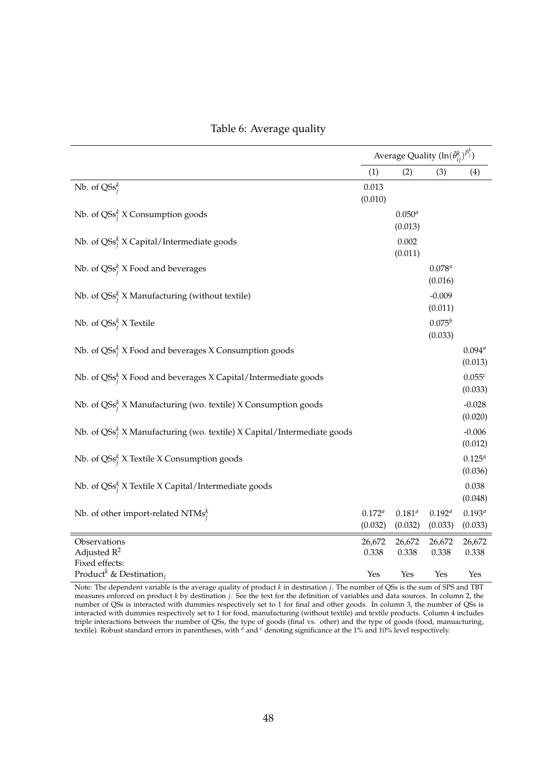|                                                                                    | Average Quality $(\ln(\bar{\theta}_{ij}^k)^{\beta_j^k})$ |                        |                        |                        |
|------------------------------------------------------------------------------------|----------------------------------------------------------|------------------------|------------------------|------------------------|
|                                                                                    | (1)                                                      | (2)                    | (3)                    | (4)                    |
| Nb. of $\text{QSs}_i^k$                                                            | 0.013<br>(0.010)                                         |                        |                        |                        |
| Nb. of QSs <sup><math>k</math></sup> X Consumption goods                           |                                                          | $0.050^{a}$<br>(0.013) |                        |                        |
| Nb. of $\text{QSS}_i^k$ X Capital/Intermediate goods                               |                                                          | 0.002<br>(0.011)       |                        |                        |
| Nb. of $\text{QSS}_{i}^{k}$ X Food and beverages                                   |                                                          |                        | $0.078^{a}$<br>(0.016) |                        |
| Nb. of $\text{QSS}_i^k$ X Manufacturing (without textile)                          |                                                          |                        | $-0.009$<br>(0.011)    |                        |
| Nb. of QSs <sup><math>k</math></sup> X Textile                                     |                                                          |                        | $0.075^b$<br>(0.033)   |                        |
| Nb. of $\text{QSS}_i^k$ X Food and beverages X Consumption goods                   |                                                          |                        |                        | $0.094^{a}$<br>(0.013) |
| Nb. of $\text{QSS}^k_j$ X Food and beverages X Capital/Intermediate goods          |                                                          |                        |                        | $0.055^c$<br>(0.033)   |
| Nb. of QSs <sup>k</sup> X Manufacturing (wo. textile) X Consumption goods          |                                                          |                        |                        | $-0.028$<br>(0.020)    |
| Nb. of QSs <sup>k</sup> X Manufacturing (wo. textile) X Capital/Intermediate goods |                                                          |                        |                        | $-0.006$<br>(0.012)    |
| Nb. of QSs <sup>k</sup> X Textile X Consumption goods                              |                                                          |                        |                        | $0.125^{a}$<br>(0.036) |
| Nb. of QSs <sup>k</sup> X Textile X Capital/Intermediate goods                     |                                                          |                        |                        | 0.038<br>(0.048)       |
| Nb. of other import-related NTMs $_i^k$                                            | $0.172^{a}$<br>(0.032)                                   | $0.181^{a}$<br>(0.032) | $0.192^{a}$<br>(0.033) | $0.193^{a}$<br>(0.033) |
| Observations                                                                       | 26,672                                                   | 26,672                 | 26,672                 | 26,672                 |
| Adjusted $R^2$<br>Fixed effects:                                                   | 0.338                                                    | 0.338                  | 0.338                  | 0.338                  |
| Product <sup>k</sup> & Destination <sub>i</sub>                                    | Yes                                                      | Yes                    | Yes                    | Yes                    |

#### Table 6: Average quality

Note: The dependent variable is the average quality of product *k* in destination *j*. The number of QSs is the sum of SPS and TBT measures enforced on product *k* by destination *j*. See the text for the definition of variables and data sources. In column 2, the number of QSs is interacted with dummies respectively set to 1 for final and other goods. In column 3, the number of QSs is interacted with dummies respectively set to 1 for food, manufacturing (without textile) and textile products. Column 4 includes triple interactions between the number of QSs, the type of goods (final vs. other) and the type of goods (food, manuacturing, textile). Robust standard errors in parentheses, with *<sup>a</sup>* and *<sup>c</sup>* denoting significance at the 1% and 10% level respectively.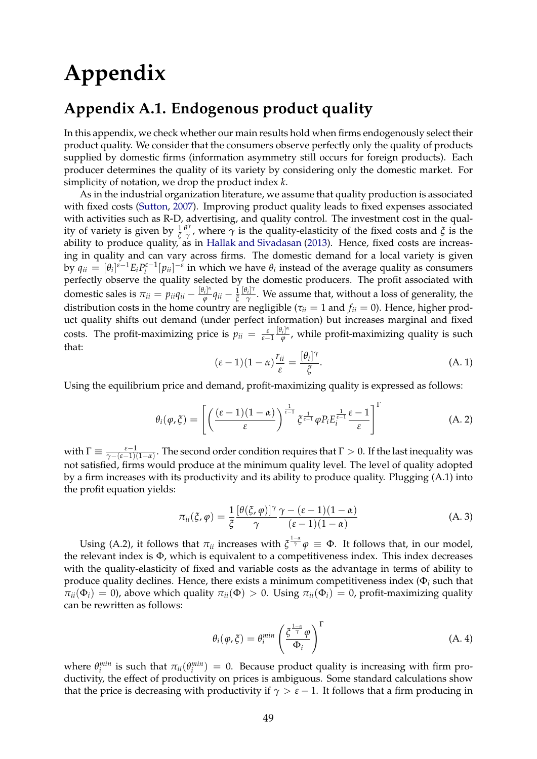# **Appendix**

### **Appendix A.1. Endogenous product quality**

In this appendix, we check whether our main results hold when firms endogenously select their product quality. We consider that the consumers observe perfectly only the quality of products supplied by domestic firms (information asymmetry still occurs for foreign products). Each producer determines the quality of its variety by considering only the domestic market. For simplicity of notation, we drop the product index *k*.

As in the industrial organization literature, we assume that quality production is associated with fixed costs (Sutton, 2007). Improving product quality leads to fixed expenses associated with activities such as R-D, advertising, and quality control. The investment cost in the quality of variety is given by <sup>1</sup> *ξ θ γ γ*, where *γ* is the quality-elasticity of the fixed costs and  $\zeta$  is the ability to produce quality, as in Hallak and Sivadasan (2013). Hence, fixed costs are increasing in quality and can vary across firms. The domestic demand for a local variety is given by  $q_{ii} = [\theta_i]^{i-1} E_i P_i^{i-1} [p_{ii}]^{-i}$  in which we have  $\theta_i$  instead of the average quality as consumers perfectly observe the quality selected by the domestic producers. The profit associated with domestic sales is  $\pi_{ii} = p_{ii}q_{ii} - \frac{[\theta_i]^{\alpha}}{\varphi}$  $\frac{q_i|^\alpha}{\varphi}$ *q<sub>ii*</sub> –  $\frac{1}{\xi}$ [*θi* ] *γ γ* . We assume that, without a loss of generality, the distribution costs in the home country are negligible ( $\tau_{ii} = 1$  and  $f_{ii} = 0$ ). Hence, higher product quality shifts out demand (under perfect information) but increases marginal and fixed costs. The profit-maximizing price is  $p_{ii} = \frac{\varepsilon}{\varepsilon - 1}$  $[\theta_i]^{\alpha}$ *ϕ* , while profit-maximizing quality is such that:

$$
(\varepsilon - 1)(1 - \alpha) \frac{r_{ii}}{\varepsilon} = \frac{[\theta_i]^\gamma}{\xi}.
$$
 (A. 1)

Using the equilibrium price and demand, profit-maximizing quality is expressed as follows:

$$
\theta_i(\varphi,\xi) = \left[ \left( \frac{(\varepsilon-1)(1-\alpha)}{\varepsilon} \right)^{\frac{1}{\varepsilon-1}} \xi^{\frac{1}{\varepsilon-1}} \varphi P_i E_i^{\frac{1}{\varepsilon-1}} \frac{\varepsilon-1}{\varepsilon} \right]^{\Gamma} \tag{A.2}
$$

with  $\Gamma \equiv \frac{\varepsilon-1}{\gamma-(\varepsilon-1)(1-\alpha)}$ . The second order condition requires that  $\Gamma > 0$ . If the last inequality was not satisfied, firms would produce at the minimum quality level. The level of quality adopted by a firm increases with its productivity and its ability to produce quality. Plugging (A.1) into the profit equation yields:

$$
\pi_{ii}(\xi,\varphi) = \frac{1}{\xi} \frac{[\theta(\xi,\varphi)]^{\gamma}}{\gamma} \frac{\gamma - (\varepsilon - 1)(1 - \alpha)}{(\varepsilon - 1)(1 - \alpha)}
$$
(A. 3)

Using (A.2), it follows that  $\pi_{ii}$  increases with  $\zeta^{\frac{1-\alpha}{\gamma}}\varphi \equiv \Phi$ . It follows that, in our model, the relevant index is Φ, which is equivalent to a competitiveness index. This index decreases with the quality-elasticity of fixed and variable costs as the advantage in terms of ability to produce quality declines. Hence, there exists a minimum competitiveness index (Φ*<sup>i</sup>* such that  $\pi_{ii}(\Phi_i) = 0$ , above which quality  $\pi_{ii}(\Phi) > 0$ . Using  $\pi_{ii}(\Phi_i) = 0$ , profit-maximizing quality can be rewritten as follows:

$$
\theta_i(\varphi,\xi) = \theta_i^{\min} \left(\frac{\xi^{\frac{1-\alpha}{\gamma}}\varphi}{\Phi_i}\right)^{\Gamma}
$$
\n(A. 4)

where  $\theta_i^{min}$  is such that  $\pi_{ii}(\theta_i^{min}) = 0$ . Because product quality is increasing with firm productivity, the effect of productivity on prices is ambiguous. Some standard calculations show that the price is decreasing with productivity if  $\gamma > \varepsilon - 1$ . It follows that a firm producing in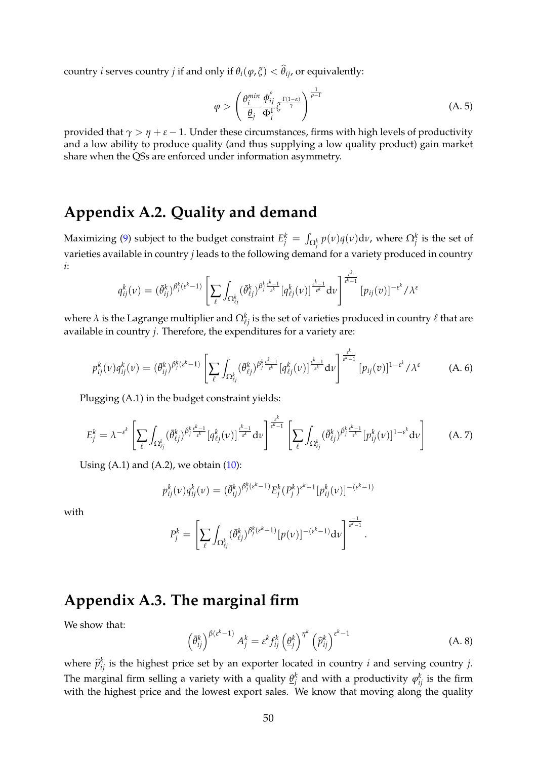country *i* serves country *j* if and only if  $\theta_i(\varphi, \xi) < \theta_{ij}$ , or equivalently:

$$
\varphi > \left(\frac{\theta_i^{\min}}{\frac{\theta}{j}} \frac{\phi_{ij}^{\rho}}{\Phi_i^{\Gamma}} \xi^{\frac{\Gamma(1-\alpha)}{\gamma}}\right)^{\frac{1}{\rho-1}}
$$
(A. 5)

provided that *γ* > *η* + *ε* − 1. Under these circumstances, firms with high levels of productivity and a low ability to produce quality (and thus supplying a low quality product) gain market share when the QSs are enforced under information asymmetry.

### **Appendix A.2. Quality and demand**

Maximizing (9) subject to the budget constraint  $E_j^k = \int_{\Omega_j^k} p(v) q(v) \mathsf{d} v$ , where  $\Omega_j^k$  is the set of varieties available in country *j* leads to the following demand for a variety produced in country *i*:

$$
q_{ij}^k(v) = (\bar{\theta}_{ij}^k)^{\beta_j^k(\varepsilon^k-1)} \left[ \sum_{\ell} \int_{\Omega_{\ell j}^k} (\bar{\theta}_{\ell j}^k)^{\beta_j^k \frac{\varepsilon^k-1}{\varepsilon^k}} [q_{\ell j}^k(v)]^{\frac{\varepsilon^k-1}{\varepsilon^k}} dv \right]^{\frac{\varepsilon^k}{\varepsilon^k-1}} [p_{ij}(v)]^{-\varepsilon^k}/\lambda^{\varepsilon}
$$

where  $\lambda$  is the Lagrange multiplier and  $\Omega_{\ell j}^k$  is the set of varieties produced in country  $\ell$  that are available in country *j*. Therefore, the expenditures for a variety are:

$$
p_{ij}^k(v)q_{ij}^k(v) = (\bar{\theta}_{ij}^k)^{\beta_j^k(\varepsilon^k-1)} \left[ \sum_{\ell} \int_{\Omega_{\ell j}^k} (\bar{\theta}_{\ell j}^k)^{\beta_j^k \frac{\varepsilon^k-1}{\varepsilon^k}} [q_{\ell j}^k(v)]^{\frac{\varepsilon^k-1}{\varepsilon^k}} dv \right]^{\frac{\varepsilon^k}{\varepsilon^k-1}} [p_{ij}(v)]^{1-\varepsilon^k}/\lambda^{\varepsilon}
$$
(A. 6)

Plugging (A.1) in the budget constraint yields:

$$
E_j^k = \lambda^{-\varepsilon^k} \left[ \sum_{\ell} \int_{\Omega_{\ell j}^k} (\bar{\theta}_{\ell j}^k)^{\beta_j^k \frac{\varepsilon^k - 1}{\varepsilon^k}} [\mathbf{q}_{\ell j}^k(\nu)]^{\frac{\varepsilon^k - 1}{\varepsilon^k}} d\nu \right]^{\frac{\varepsilon^k}{\varepsilon^k - 1}} \left[ \sum_{\ell} \int_{\Omega_{\ell j}^k} (\bar{\theta}_{\ell j}^k)^{\beta_j^k \frac{\varepsilon^k - 1}{\varepsilon^k}} [\mathbf{p}_{ij}^k(\nu)]^{1 - \varepsilon^k} d\nu \right] \tag{A.7}
$$

Using  $(A.1)$  and  $(A.2)$ , we obtain  $(10)$ :

$$
p_{ij}^k(v)q_{ij}^k(v) = (\bar{\theta}_{ij}^k)^{\beta_j^k(\epsilon^k-1)} E_j^k(P_j^k)^{\epsilon^k-1} [p_{ij}^k(v)]^{-(\epsilon^k-1)}
$$

with

$$
P_j^k=\left[\sum_\ell\int_{\Omega_{\ell_j}^k}(\bar{\theta}_{\ell j}^k)^{\beta_j^k(\epsilon^k-1)}[p(\nu)]^{-(\epsilon^k-1)}\mathrm{d}\nu\right]^{\frac{-1}{\epsilon^k-1}}.
$$

### **Appendix A.3. The marginal firm**

We show that:

$$
\left(\bar{\theta}_{ij}^{k}\right)^{\beta(\varepsilon^{k}-1)}A_{j}^{k}=\varepsilon^{k}f_{ij}^{k}\left(\underline{\theta}_{j}^{k}\right)^{\eta^{k}}\left(\widehat{p}_{ij}^{k}\right)^{\varepsilon^{k}-1}
$$
\n(A. 8)

where  $\hat{p}_{ij}^k$  is the highest price set by an exporter located in country *i* and serving country *j*. The marginal firm selling a variety with a quality  $\underline{\theta}_j^k$  and with a productivity  $\varphi_{ij}^k$  is the firm with the highest price and the lowest export sales. We know that moving along the quality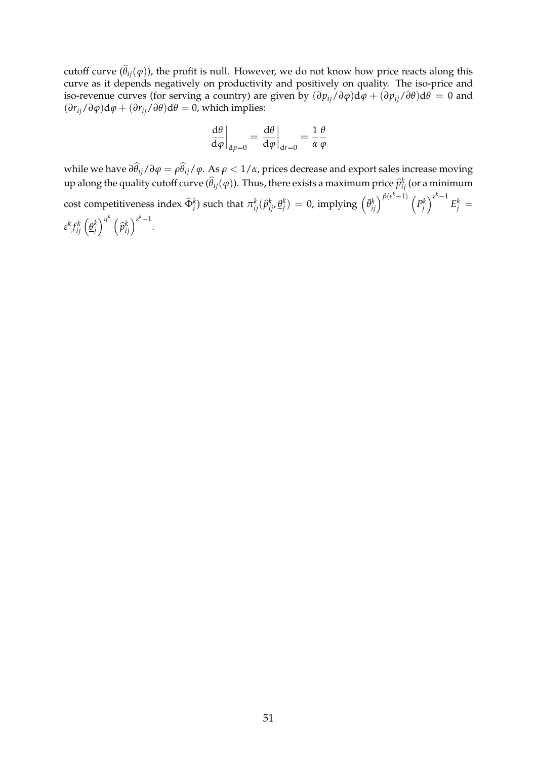cutoff curve  $(\theta_{ij}(\varphi))$ , the profit is null. However, we do not know how price reacts along this curve as it depends negatively on productivity and positively on quality. The iso-price and iso-revenue curves (for serving a country) are given by  $(\partial p_{ij}/\partial \varphi) d\varphi + (\partial p_{ij}/\partial \theta) d\theta = 0$  and  $(\partial r_{ij}/\partial \varphi) d\varphi + (\partial r_{ij}/\partial \theta) d\theta = 0$ , which implies:

$$
\left. \frac{\mathrm{d}\theta}{\mathrm{d}\varphi} \right|_{\mathrm{d}p=0} = \left. \frac{\mathrm{d}\theta}{\mathrm{d}\varphi} \right|_{\mathrm{d}r=0} = \frac{1}{\alpha} \frac{\theta}{\varphi}
$$

while we have  $\partial \theta_{ij}/\partial \varphi = \rho \theta_{ij}/\varphi$ . As  $\rho < 1/\alpha$ , prices decrease and export sales increase moving up along the quality cutoff curve  $(\widehat{\theta}_{ij}(\varphi))$ . Thus, there exists a maximum price  $\widehat{p}_{ij}^k$  (or a minimum cost competitiveness index  $\widehat{\Phi}_i^k$ ) such that  $\pi_{ij}^k(\widehat{p}_{ij}^k, \underline{\theta}_j^k) = 0$ , implying  $\left(\bar{\theta}_{ij}^k\right)^{\beta(\epsilon^k-1)} \left(P_j^k\right)^{\epsilon^k-1}$  $E_j^k =$  $\epsilon^k f_{ij}^k \left(\underline{\theta}_j^k\right)^{\eta^k}$   $\left(\frac{1}{2} \right)^{\eta^k}$  $\left(\widehat{p}_{ij}^{k}\right)^{\varepsilon^{k}-1}$ .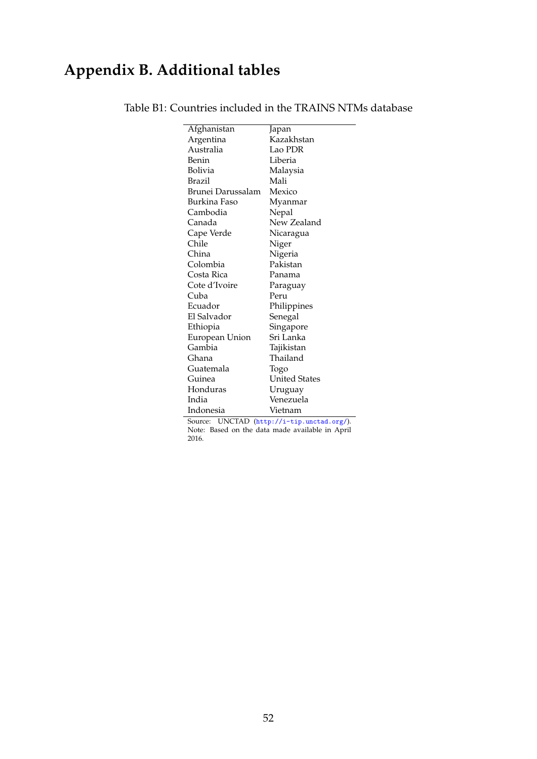## **Appendix B. Additional tables**

 $\overline{a}$ 

| Afghanistan       | Japan                |
|-------------------|----------------------|
| Argentina         | Kazakhstan           |
| Australia         | Lao PDR              |
| Benin             | Liberia              |
| Bolivia           | Malaysia             |
| Brazil            | Mali                 |
| Brunei Darussalam | Mexico               |
| Burkina Faso      | Myanmar              |
| Cambodia          | Nepal                |
| Canada            | New Zealand          |
| Cape Verde        | Nicaragua            |
| Chile             | Niger                |
| China             | Nigeria              |
| Colombia          | Pakistan             |
| Costa Rica        | Panama               |
| Cote d'Ivoire     | Paraguay             |
| Cuba              | Peru                 |
| Ecuador           | Philippines          |
| El Salvador       | Senegal              |
| Ethiopia          | Singapore            |
| European Union    | Sri Lanka            |
| Gambia            | Tajikistan           |
| Ghana             | Thailand             |
| Guatemala         | Togo                 |
| Guinea            | <b>United States</b> |
| Honduras          | Uruguay              |
| India             | Venezuela            |
| Indonesia         | Vietnam              |

#### Table B1: Countries included in the TRAINS NTMs database

Source: UNCTAD (<http://i-tip.unctad.org/>). Note: Based on the data made available in April 2016.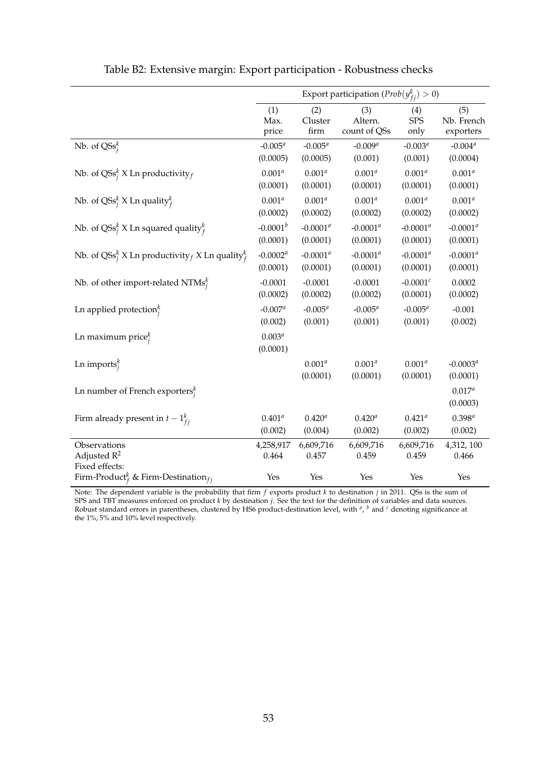|                                                                              | Export participation ( $Prob(y_{fi}^k) > 0$ ) |                         |                                |                           |                                |
|------------------------------------------------------------------------------|-----------------------------------------------|-------------------------|--------------------------------|---------------------------|--------------------------------|
|                                                                              | (1)<br>Max.<br>price                          | (2)<br>Cluster<br>firm  | (3)<br>Altern.<br>count of QSs | (4)<br><b>SPS</b><br>only | (5)<br>Nb. French<br>exporters |
| Nb. of $\text{QSs}_i^k$                                                      | $-0.005^a$                                    | $-0.005^a$              | $-0.009a$                      | $-0.003^a$                | $-0.004^a$                     |
|                                                                              | (0.0005)                                      | (0.0005)                | (0.001)                        | (0.001)                   | (0.0004)                       |
| Nb. of QSs <sup>k</sup> X Ln productivity $f$                                | $0.001^{a}$<br>(0.0001)                       | $0.001^{a}$<br>(0.0001) | $0.001^{a}$<br>(0.0001)        | $0.001^{a}$<br>(0.0001)   | $0.001^{a}$<br>(0.0001)        |
|                                                                              | $0.001^{a}$                                   | $0.001^{a}$             | $0.001^{a}$                    | $0.001^{a}$               | $0.001^a$                      |
| Nb. of QSs <sup><math>k</math></sup> X Ln quality ${}_{f}^{k}$               | (0.0002)                                      | (0.0002)                | (0.0002)                       | (0.0002)                  | (0.0002)                       |
| Nb. of QSs <sup>k</sup> X Ln squared quality <sup>k</sup>                    | $-0.0001^b$                                   | $-0.0001^a$             | $-0.0001^a$                    | $-0.0001^a$               | $-0.0001^a$                    |
|                                                                              | (0.0001)                                      | (0.0001)                | (0.0001)                       | (0.0001)                  | (0.0001)                       |
| Nb. of QSs <sup>k</sup> X Ln productivity f X Ln quality <sup>k</sup>        | $-0.0002^a$                                   | $-0.0001^a$             | $-0.0001^a$                    | $-0.0001^a$               | $-0.0001^a$                    |
|                                                                              | (0.0001)                                      | (0.0001)                | (0.0001)                       | (0.0001)                  | (0.0001)                       |
| Nb. of other import-related NTMs $_i^k$                                      | $-0.0001$                                     | $-0.0001$               | $-0.0001$                      | $-0.0001^{c}$             | 0.0002                         |
|                                                                              | (0.0002)                                      | (0.0002)                | (0.0002)                       | (0.0001)                  | (0.0002)                       |
| Ln applied protection $i$                                                    | $-0.007^a$                                    | $-0.005^a$              | $-0.005^a$                     | $-0.005^{a}$              | $-0.001$                       |
|                                                                              | (0.002)                                       | (0.001)                 | (0.001)                        | (0.001)                   | (0.002)                        |
| Ln maximum price $_i^k$                                                      | $0.003^{a}$                                   |                         |                                |                           |                                |
|                                                                              | (0.0001)                                      |                         |                                |                           |                                |
| Ln imports $_i^k$                                                            |                                               | $0.001^{a}$<br>(0.0001) | $0.001^{a}$                    | $0.001^{a}$               | $-0.0003^{a}$                  |
|                                                                              |                                               |                         | (0.0001)                       | (0.0001)                  | (0.0001)                       |
| Ln number of French exporters $_i^k$                                         |                                               |                         |                                |                           | $0.017^{a}$<br>(0.0003)        |
| Firm already present in $t-1_{fi}^k$                                         | $0.401^{a}$                                   | $0.420^{a}$             | $0.420^{a}$                    | $0.421^{a}$               | $0.398^{a}$                    |
|                                                                              | (0.002)                                       | (0.004)                 | (0.002)                        | (0.002)                   | (0.002)                        |
| Observations                                                                 | 4,258,917                                     | 6,609,716               | 6,609,716                      | 6,609,716                 | 4,312, 100                     |
| Adjusted $R^2$                                                               | 0.464                                         | 0.457                   | 0.459                          | 0.459                     | 0.466                          |
| Fixed effects:<br>Firm-Product <sup>k</sup> & Firm-Destination <sub>fi</sub> | Yes                                           | Yes                     | Yes                            | Yes                       | Yes                            |

Table B2: Extensive margin: Export participation - Robustness checks

Note: The dependent variable is the probability that firm *f* exports product *k* to destination *j* in 2011. QSs is the sum of SPS and TBT measures enforced on product *k* by destination *j*. See the text for the definition of variables and data sources. Robust standard errors in parentheses, clustered by HS6 product-destination level, with *<sup>a</sup>* , *<sup>b</sup>* and *<sup>c</sup>* denoting significance at the 1%, 5% and 10% level respectively.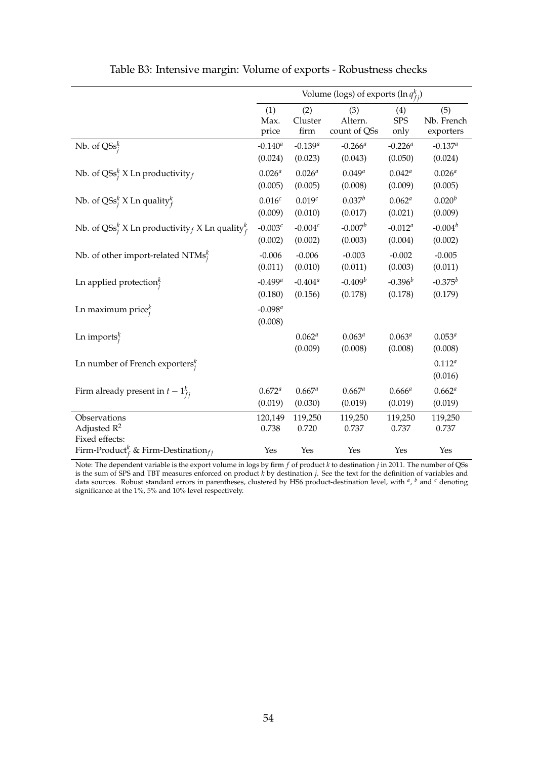|                                                                              |                       |                        | Volume (logs) of exports $(\ln q_{f_i}^k)$ |                        |                        |
|------------------------------------------------------------------------------|-----------------------|------------------------|--------------------------------------------|------------------------|------------------------|
|                                                                              | (1)                   | (2)                    | (3)                                        | (4)                    | (5)                    |
|                                                                              | Max.                  | Cluster                | Altern.                                    | <b>SPS</b>             | Nb. French             |
|                                                                              | price                 | firm                   | count of QSs                               | only                   | exporters              |
| Nb. of $\text{QSS}_i^k$                                                      | $-0.140^a$            | $-0.139^{a}$           | $-0.266^a$                                 | $-0.226^a$             | $-0.137^a$             |
|                                                                              | (0.024)               | (0.023)                | (0.043)                                    | (0.050)                | (0.024)                |
| Nb. of QSs <sup>k</sup> X Ln productivity $f$                                | $0.026^{a}$           | $0.026^{a}$            | $0.049^{a}$                                | $0.042^{a}$            | $0.026^{a}$            |
|                                                                              | (0.005)               | (0.005)                | (0.008)                                    | (0.009)                | (0.005)                |
| Nb. of QSs <sup><math>k</math></sup> X Ln quality ${}_{f}^{k}$               | 0.016 <sup>c</sup>    | 0.019 <sup>c</sup>     | $0.037^b$                                  | $0.062^{a}$            | $0.020^{b}$            |
|                                                                              | (0.009)               | (0.010)                | (0.017)                                    | (0.021)                | (0.009)                |
| Nb. of QSs <sup>k</sup> X Ln productivity <i>f</i> X Ln quality <sup>k</sup> | -0.003 $^c$           | $-0.004c$              | $-0.007b$                                  | $-0.012^a$             | $-0.004^b$             |
|                                                                              | (0.002)               | (0.002)                | (0.003)                                    | (0.004)                | (0.002)                |
| Nb. of other import-related NTMs $_i^k$                                      | $-0.006$              | $-0.006$               | $-0.003$                                   | $-0.002$               | $-0.005$               |
|                                                                              | (0.011)               | (0.010)                | (0.011)                                    | (0.003)                | (0.011)                |
| Ln applied protection $i$                                                    | $-0.499$ <sup>a</sup> | $-0.404^a$             | $-0.409^b$                                 | $-0.396^{b}$           | $-0.375^{b}$           |
|                                                                              | (0.180)               | (0.156)                | (0.178)                                    | (0.178)                | (0.179)                |
| Ln maximum price $_i^k$                                                      | $-0.098^a$<br>(0.008) |                        |                                            |                        |                        |
| Ln imports $_i^k$                                                            |                       | $0.062^{a}$<br>(0.009) | $0.063^{a}$<br>(0.008)                     | $0.063^{a}$<br>(0.008) | $0.053^{a}$<br>(0.008) |
| Ln number of French exporters $_i^k$                                         |                       |                        |                                            |                        | $0.112^{a}$<br>(0.016) |
| Firm already present in $t-1_{fi}^k$                                         | $0.672^{a}$           | $0.667^{a}$            | $0.667^a$                                  | $0.666^{a}$            | $0.662^{a}$            |
|                                                                              | (0.019)               | (0.030)                | (0.019)                                    | (0.019)                | (0.019)                |
| Observations<br>Adjusted $\mathbb{R}^2$<br>Fixed effects:                    | 120,149<br>0.738      | 119,250<br>0.720       | 119,250<br>0.737                           | 119,250<br>0.737       | 119,250<br>0.737       |
| Firm-Product <sup>k</sup> & Firm-Destination <sub>fj</sub>                   | Yes                   | Yes                    | Yes                                        | Yes                    | Yes                    |

Table B3: Intensive margin: Volume of exports - Robustness checks

Note: The dependent variable is the export volume in logs by firm *f* of product *k* to destination *j* in 2011. The number of QSs is the sum of SPS and TBT measures enforced on product *k* by destination *j*. See the text for the definition of variables and data sources. Robust standard errors in parentheses, clustered by HS6 product-destination level, with *<sup>a</sup>* , *<sup>b</sup>* and *<sup>c</sup>* denoting significance at the 1%, 5% and 10% level respectively.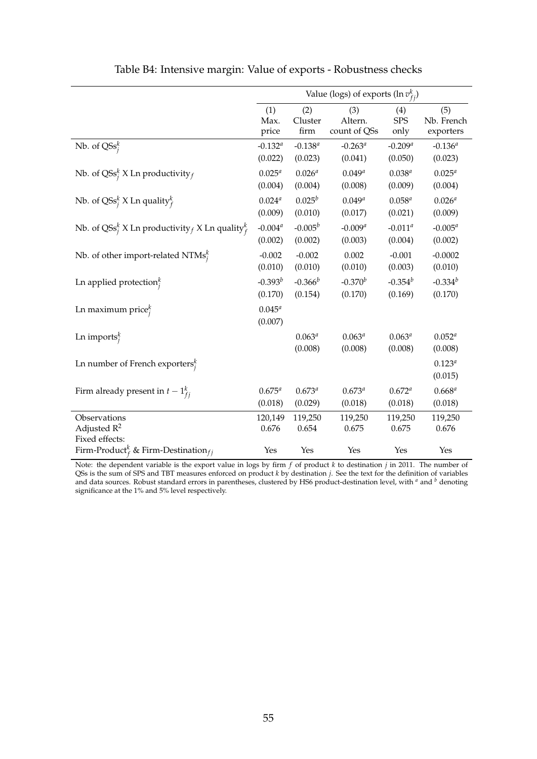<span id="page-55-0"></span>

|                                                                     |                        |                        | Value (logs) of exports (ln $v_{fi}^k$ ) |                        |                        |
|---------------------------------------------------------------------|------------------------|------------------------|------------------------------------------|------------------------|------------------------|
|                                                                     | (1)                    | (2)                    | (3)                                      | (4)                    | (5)                    |
|                                                                     | Max.                   | Cluster                | Altern.                                  | <b>SPS</b>             | Nb. French             |
|                                                                     | price                  | firm                   | count of QSs                             | only                   | exporters              |
| Nb. of $\text{QSS}_i^k$                                             | $-0.132^{a}$           | $-0.138^{a}$           | $-0.263^a$                               | $-0.209^{a}$           | $-0.136^{a}$           |
|                                                                     | (0.022)                | (0.023)                | (0.041)                                  | (0.050)                | (0.023)                |
| Nb. of QSs <sup>k</sup> X Ln productivity $f$                       | $0.025^{a}$            | $0.026^{a}$            | $0.049^{a}$                              | $0.038^{a}$            | $0.025^{a}$            |
|                                                                     | (0.004)                | (0.004)                | (0.008)                                  | (0.009)                | (0.004)                |
| Nb. of QSs <sup><math>k</math></sup> X Ln quality ${}_{f}^{k}$      | $0.024^{a}$            | $0.025^{b}$            | $0.049^{a}$                              | $0.058^{a}$            | $0.026^{a}$            |
|                                                                     | (0.009)                | (0.010)                | (0.017)                                  | (0.021)                | (0.009)                |
| Nb. of QSs <sup>k</sup> X Ln productivity K Ln quality <sup>k</sup> | $-0.004^{a}$           | $-0.005^b$             | $-0.009^{a}$                             | $-0.011^a$             | $-0.005^a$             |
|                                                                     | (0.002)                | (0.002)                | (0.003)                                  | (0.004)                | (0.002)                |
| Nb. of other import-related NTMs $_i^k$                             | $-0.002$               | $-0.002$               | 0.002                                    | $-0.001$               | $-0.0002$              |
|                                                                     | (0.010)                | (0.010)                | (0.010)                                  | (0.003)                | (0.010)                |
| Ln applied protection $i$                                           | $-0.393^{b}$           | $-0.366^{b}$           | $-0.370^{b}$                             | $-0.354^{b}$           | $-0.334^{b}$           |
|                                                                     | (0.170)                | (0.154)                | (0.170)                                  | (0.169)                | (0.170)                |
| Ln maximum price $_i^k$                                             | $0.045^{a}$<br>(0.007) |                        |                                          |                        |                        |
| Ln imports $_i^k$                                                   |                        | $0.063^{a}$<br>(0.008) | $0.063^{a}$<br>(0.008)                   | $0.063^{a}$<br>(0.008) | $0.052^{a}$<br>(0.008) |
| Ln number of French exporters $_i^k$                                |                        |                        |                                          |                        | $0.123^{a}$<br>(0.015) |
| Firm already present in $t-1_{fi}^k$                                | $0.675^{a}$            | $0.673^{a}$            | $0.673^{a}$                              | $0.672^{a}$            | $0.668^{a}$            |
|                                                                     | (0.018)                | (0.029)                | (0.018)                                  | (0.018)                | (0.018)                |
| Observations<br>Adjusted $R^2$<br>Fixed effects:                    | 120,149<br>0.676       | 119,250<br>0.654       | 119,250<br>0.675                         | 119,250<br>0.675       | 119,250<br>0.676       |
| Firm-Product <sup>k</sup> & Firm-Destination <sub>fi</sub>          | Yes                    | Yes                    | Yes                                      | Yes                    | Yes                    |

Table B4: Intensive margin: Value of exports - Robustness checks

Note: the dependent variable is the export value in logs by firm *f* of product *k* to destination *j* in 2011. The number of QSs is the sum of SPS and TBT measures enforced on product *k* by destination *j*. See the text for the definition of variables and data sources. Robust standard errors in parentheses, clustered by HS6 product-destination level, with  $^a$  and  $^b$  denoting significance at the 1% and 5% level respectively.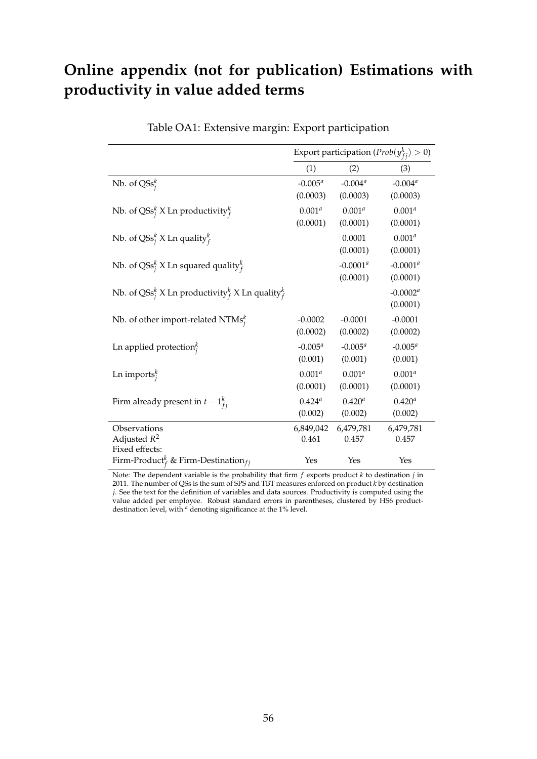## **Online appendix (not for publication) Estimations with productivity in value added terms**

|                                                                                  | Export participation ( $Prob(y_{fi}^k) > 0$ ) |                          |                         |  |  |
|----------------------------------------------------------------------------------|-----------------------------------------------|--------------------------|-------------------------|--|--|
|                                                                                  | (1)                                           | (2)                      | (3)                     |  |  |
| Nb. of $\text{QSs}_i^k$                                                          | $-0.005^a$<br>(0.0003)                        | $-0.004^{a}$<br>(0.0003) | $-0.004^a$<br>(0.0003)  |  |  |
| Nb. of QSs <sup>k</sup> X Ln productivity <sup>k</sup>                           | $0.001^{a}$<br>(0.0001)                       | $0.001^{a}$<br>(0.0001)  | $0.001^{a}$<br>(0.0001) |  |  |
| Nb. of QSs <sup>k</sup> X Ln quality <sup>k</sup>                                |                                               | 0.0001<br>(0.0001)       | $0.001^{a}$<br>(0.0001) |  |  |
| Nb. of QSs <sup>k</sup> X Ln squared quality <sup>k</sup>                        |                                               | $-0.0001^a$<br>(0.0001)  | $-0.0001^a$<br>(0.0001) |  |  |
| Nb. of QSs <sup>k</sup> X Ln productivity <sup>k</sup> X Ln quality <sup>k</sup> |                                               |                          | $-0.0002^a$<br>(0.0001) |  |  |
| Nb. of other import-related NTMs $_i^k$                                          | $-0.0002$<br>(0.0002)                         | $-0.0001$<br>(0.0002)    | $-0.0001$<br>(0.0002)   |  |  |
| Ln applied protection $i$                                                        | $-0.005^a$<br>(0.001)                         | $-0.005^a$<br>(0.001)    | $-0.005^a$<br>(0.001)   |  |  |
| Ln imports $_i^k$                                                                | $0.001^{a}$<br>(0.0001)                       | $0.001^{a}$<br>(0.0001)  | $0.001^{a}$<br>(0.0001) |  |  |
| Firm already present in $t-1_{fi}^k$                                             | $0.424^{a}$<br>(0.002)                        | $0.420^{a}$<br>(0.002)   | $0.420^{a}$<br>(0.002)  |  |  |
| Observations<br>Adjusted $R^2$<br>Fixed effects:                                 | 6,849,042<br>0.461                            | 6,479,781<br>0.457       | 6,479,781<br>0.457      |  |  |
| Firm-Product <sup>k</sup> & Firm-Destination <sub>fi</sub>                       | Yes                                           | Yes                      | Yes                     |  |  |

#### Table OA1: Extensive margin: Export participation

Note: The dependent variable is the probability that firm *f* exports product *k* to destination *j* in 2011. The number of QSs is the sum of SPS and TBT measures enforced on product *k* by destination *j*. See the text for the definition of variables and data sources. Productivity is computed using the value added per employee. Robust standard errors in parentheses, clustered by HS6 productdestination level, with *<sup>a</sup>* denoting significance at the 1% level.